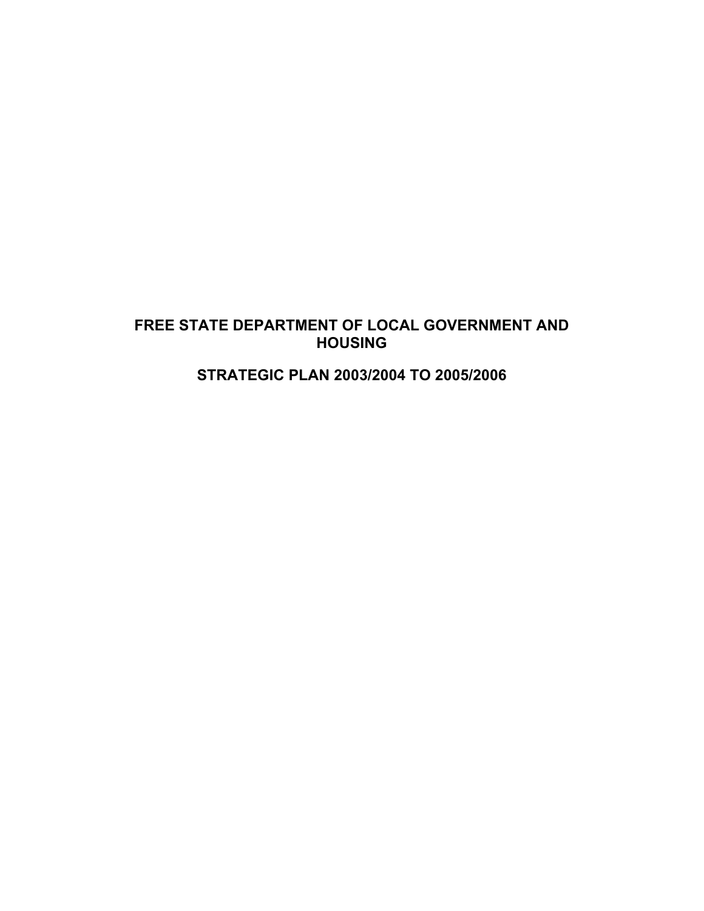# **FREE STATE DEPARTMENT OF LOCAL GOVERNMENT AND HOUSING**

**STRATEGIC PLAN 2003/2004 TO 2005/2006**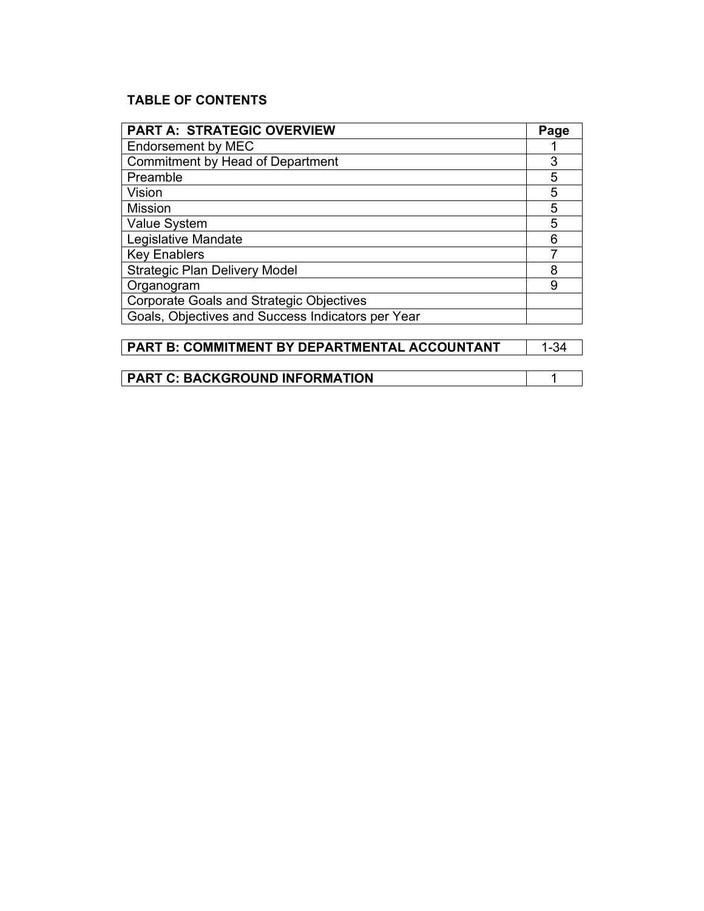# **TABLE OF CONTENTS**

| <b>PART A: STRATEGIC OVERVIEW</b>                 | Page |
|---------------------------------------------------|------|
| Endorsement by MEC                                |      |
| Commitment by Head of Department                  | 3    |
| Preamble                                          | 5    |
| Vision                                            | 5    |
| Mission                                           | 5    |
| Value System                                      | 5    |
| Legislative Mandate                               | 6    |
| <b>Key Enablers</b>                               |      |
| <b>Strategic Plan Delivery Model</b>              | 8    |
| Organogram                                        | 9    |
| <b>Corporate Goals and Strategic Objectives</b>   |      |
| Goals, Objectives and Success Indicators per Year |      |

**PART B: COMMITMENT BY DEPARTMENTAL ACCOUNTANT** 1-34

**PART C: BACKGROUND INFORMATION** 1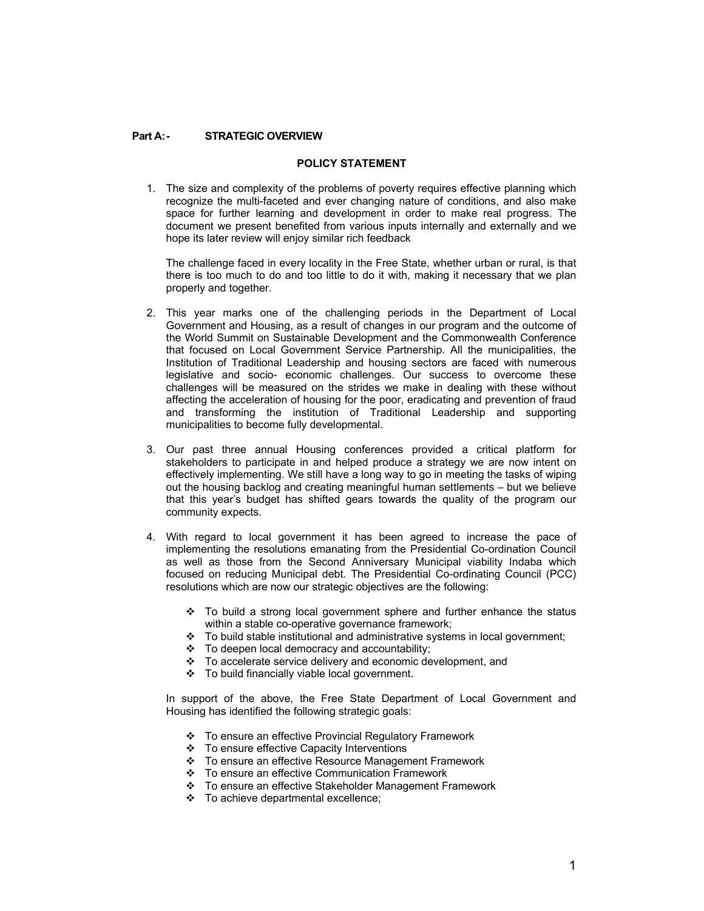#### **Part A: - STRATEGIC OVERVIEW**

#### **POLICY STATEMENT**

1. The size and complexity of the problems of poverty requires effective planning which recognize the multi-faceted and ever changing nature of conditions, and also make space for further learning and development in order to make real progress. The document we present benefited from various inputs internally and externally and we hope its later review will enjoy similar rich feedback

The challenge faced in every locality in the Free State, whether urban or rural, is that there is too much to do and too little to do it with, making it necessary that we plan properly and together.

- 2. This year marks one of the challenging periods in the Department of Local Government and Housing, as a result of changes in our program and the outcome of the World Summit on Sustainable Development and the Commonwealth Conference that focused on Local Government Service Partnership. All the municipalities, the Institution of Traditional Leadership and housing sectors are faced with numerous legislative and socio- economic challenges. Our success to overcome these challenges will be measured on the strides we make in dealing with these without affecting the acceleration of housing for the poor, eradicating and prevention of fraud and transforming the institution of Traditional Leadership and supporting municipalities to become fully developmental.
- 3. Our past three annual Housing conferences provided a critical platform for stakeholders to participate in and helped produce a strategy we are now intent on effectively implementing. We still have a long way to go in meeting the tasks of wiping out the housing backlog and creating meaningful human settlements – but we believe that this year's budget has shifted gears towards the quality of the program our community expects.
- 4. With regard to local government it has been agreed to increase the pace of implementing the resolutions emanating from the Presidential Co-ordination Council as well as those from the Second Anniversary Municipal viability Indaba which focused on reducing Municipal debt. The Presidential Co-ordinating Council (PCC) resolutions which are now our strategic objectives are the following:
	- \* To build a strong local government sphere and further enhance the status within a stable co-operative governance framework;
	- \* To build stable institutional and administrative systems in local government;
	- \* To deepen local democracy and accountability;
	- \* To accelerate service delivery and economic development, and
	- \* To build financially viable local government.

In support of the above, the Free State Department of Local Government and Housing has identified the following strategic goals:

- To ensure an effective Provincial Regulatory Framework
- To ensure effective Capacity Interventions
- To ensure an effective Resource Management Framework
- To ensure an effective Communication Framework
- To ensure an effective Stakeholder Management Framework
- To achieve departmental excellence;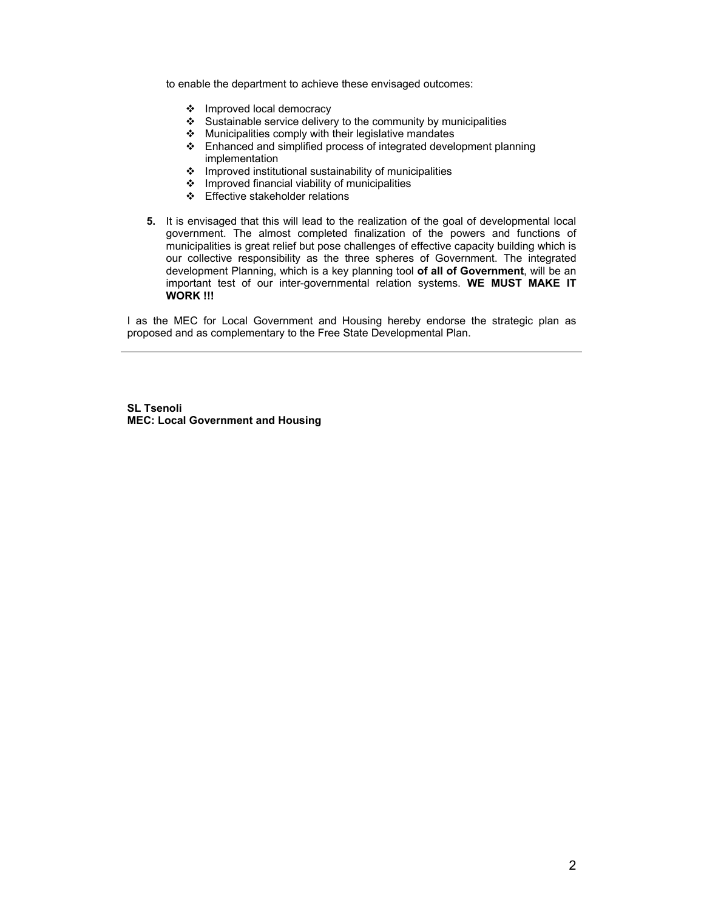to enable the department to achieve these envisaged outcomes:

- Improved local democracy
- $\cdot$  Sustainable service delivery to the community by municipalities
- $\div$  Municipalities comply with their legislative mandates
- $\div$  Enhanced and simplified process of integrated development planning implementation
- $\cdot$  Improved institutional sustainability of municipalities
- $\div$  Improved financial viability of municipalities
- Effective stakeholder relations
- **5.** It is envisaged that this will lead to the realization of the goal of developmental local government. The almost completed finalization of the powers and functions of municipalities is great relief but pose challenges of effective capacity building which is our collective responsibility as the three spheres of Government. The integrated development Planning, which is a key planning tool **of all of Government**, will be an important test of our inter-governmental relation systems. **WE MUST MAKE IT WORK !!!**

I as the MEC for Local Government and Housing hereby endorse the strategic plan as proposed and as complementary to the Free State Developmental Plan.

**SL Tsenoli MEC: Local Government and Housing**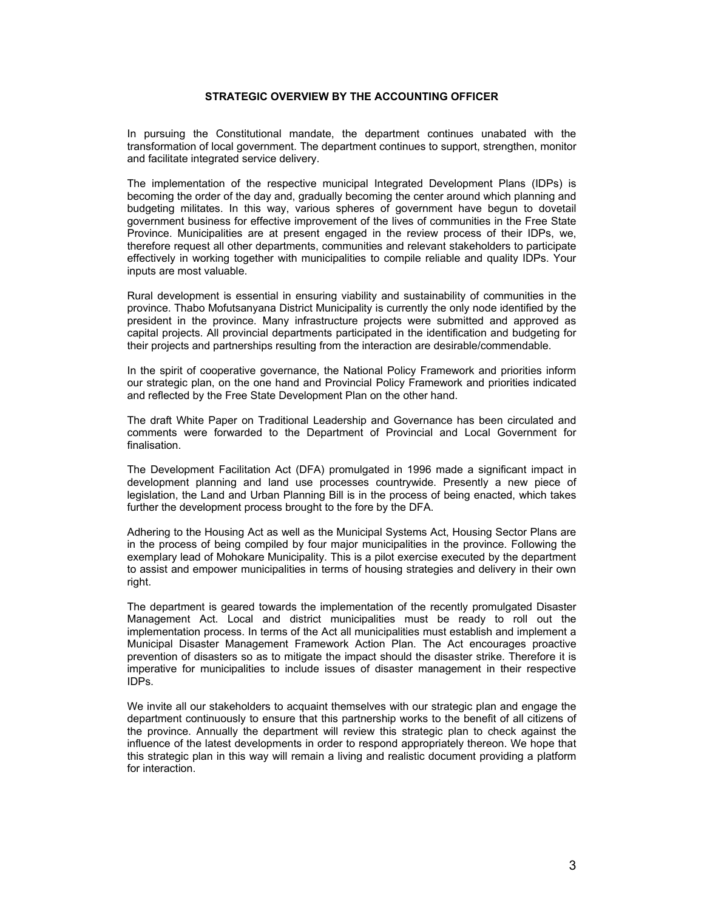#### **STRATEGIC OVERVIEW BY THE ACCOUNTING OFFICER**

In pursuing the Constitutional mandate, the department continues unabated with the transformation of local government. The department continues to support, strengthen, monitor and facilitate integrated service delivery.

The implementation of the respective municipal Integrated Development Plans (IDPs) is becoming the order of the day and, gradually becoming the center around which planning and budgeting militates. In this way, various spheres of government have begun to dovetail government business for effective improvement of the lives of communities in the Free State Province. Municipalities are at present engaged in the review process of their IDPs, we, therefore request all other departments, communities and relevant stakeholders to participate effectively in working together with municipalities to compile reliable and quality IDPs. Your inputs are most valuable.

Rural development is essential in ensuring viability and sustainability of communities in the province. Thabo Mofutsanyana District Municipality is currently the only node identified by the president in the province. Many infrastructure projects were submitted and approved as capital projects. All provincial departments participated in the identification and budgeting for their projects and partnerships resulting from the interaction are desirable/commendable.

In the spirit of cooperative governance, the National Policy Framework and priorities inform our strategic plan, on the one hand and Provincial Policy Framework and priorities indicated and reflected by the Free State Development Plan on the other hand.

The draft White Paper on Traditional Leadership and Governance has been circulated and comments were forwarded to the Department of Provincial and Local Government for finalisation.

The Development Facilitation Act (DFA) promulgated in 1996 made a significant impact in development planning and land use processes countrywide. Presently a new piece of legislation, the Land and Urban Planning Bill is in the process of being enacted, which takes further the development process brought to the fore by the DFA.

Adhering to the Housing Act as well as the Municipal Systems Act, Housing Sector Plans are in the process of being compiled by four major municipalities in the province. Following the exemplary lead of Mohokare Municipality. This is a pilot exercise executed by the department to assist and empower municipalities in terms of housing strategies and delivery in their own right.

The department is geared towards the implementation of the recently promulgated Disaster Management Act. Local and district municipalities must be ready to roll out the implementation process. In terms of the Act all municipalities must establish and implement a Municipal Disaster Management Framework Action Plan. The Act encourages proactive prevention of disasters so as to mitigate the impact should the disaster strike. Therefore it is imperative for municipalities to include issues of disaster management in their respective IDPs.

We invite all our stakeholders to acquaint themselves with our strategic plan and engage the department continuously to ensure that this partnership works to the benefit of all citizens of the province. Annually the department will review this strategic plan to check against the influence of the latest developments in order to respond appropriately thereon. We hope that this strategic plan in this way will remain a living and realistic document providing a platform for interaction.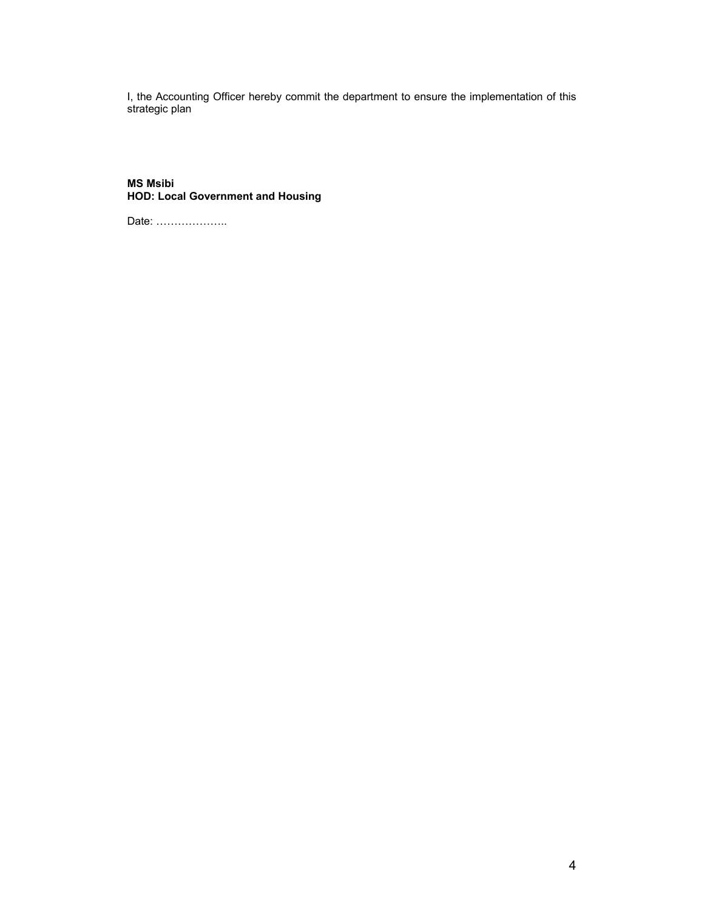I, the Accounting Officer hereby commit the department to ensure the implementation of this strategic plan

### **MS Msibi HOD: Local Government and Housing**

Date: ………………..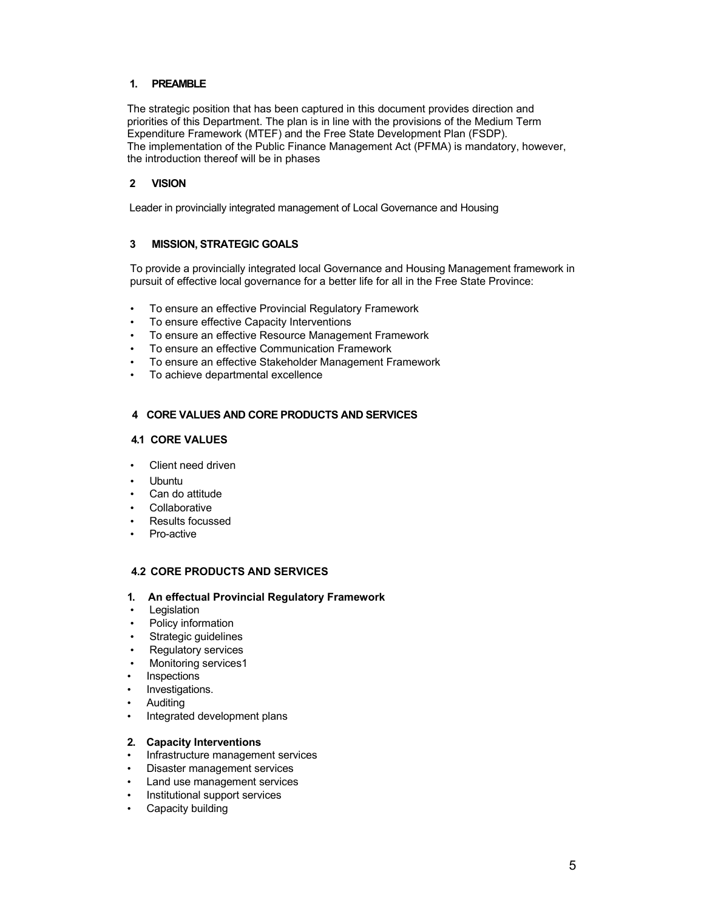#### **1. PREAMBLE**

The strategic position that has been captured in this document provides direction and priorities of this Department. The plan is in line with the provisions of the Medium Term Expenditure Framework (MTEF) and the Free State Development Plan (FSDP). The implementation of the Public Finance Management Act (PFMA) is mandatory, however, the introduction thereof will be in phases

### **2 VISION**

Leader in provincially integrated management of Local Governance and Housing

### **3 MISSION, STRATEGIC GOALS**

To provide a provincially integrated local Governance and Housing Management framework in pursuit of effective local governance for a better life for all in the Free State Province:

- To ensure an effective Provincial Regulatory Framework
- To ensure effective Capacity Interventions
- To ensure an effective Resource Management Framework
- To ensure an effective Communication Framework
- To ensure an effective Stakeholder Management Framework
- To achieve departmental excellence

### **4 CORE VALUES AND CORE PRODUCTS AND SERVICES**

### **4.1 CORE VALUES**

- Client need driven
- Ubuntu
- Can do attitude
- **Collaborative**
- Results focussed
- Pro-active

#### **4.2 CORE PRODUCTS AND SERVICES**

#### **1. An effectual Provincial Regulatory Framework**

- **Legislation**
- Policy information
- Strategic guidelines
- Regulatory services
- Monitoring services1
- **Inspections**
- Investigations.
- Auditing
- Integrated development plans

### **2. Capacity Interventions**

- Infrastructure management services
- Disaster management services
- Land use management services
- Institutional support services
- Capacity building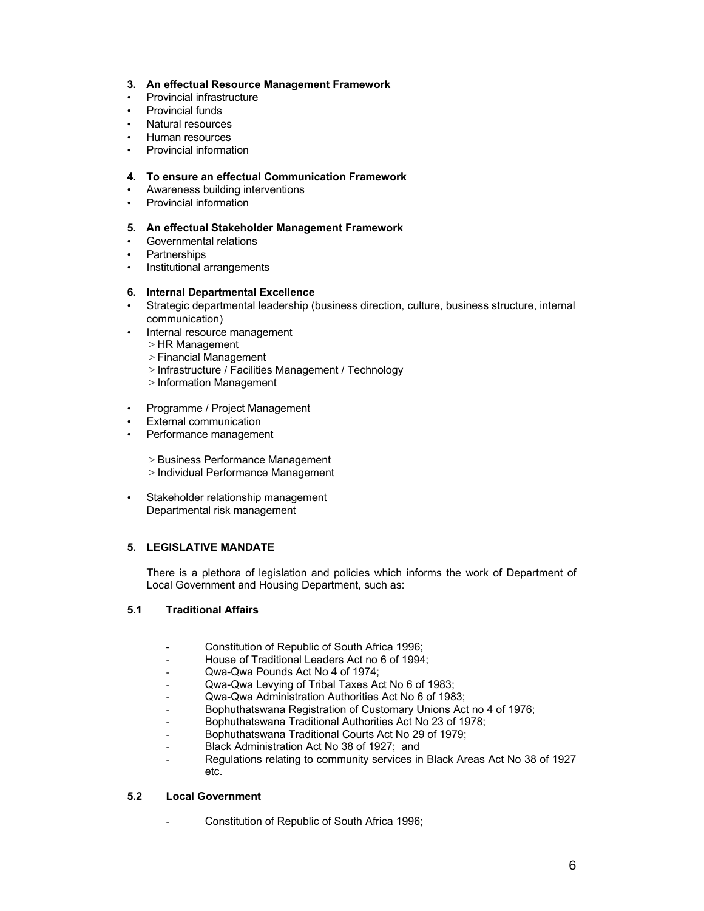#### **3. An effectual Resource Management Framework**

- Provincial infrastructure
- Provincial funds
- Natural resources
- Human resources
- Provincial information

#### **4. To ensure an effectual Communication Framework**

- Awareness building interventions
- Provincial information

#### **5. An effectual Stakeholder Management Framework**

- Governmental relations
- Partnerships
- Institutional arrangements

#### **6. Internal Departmental Excellence**

- Strategic departmental leadership (business direction, culture, business structure, internal communication)
- Internal resource management
	- > HR Management
	- > Financial Management
	- > Infrastructure / Facilities Management / Technology
	- > Information Management
- Programme / Project Management
- **External communication**
- Performance management
	- > Business Performance Management
	- > Individual Performance Management
- Stakeholder relationship management Departmental risk management

### **5. LEGISLATIVE MANDATE**

There is a plethora of legislation and policies which informs the work of Department of Local Government and Housing Department, such as:

### **5.1 Traditional Affairs**

- Constitution of Republic of South Africa 1996;
- House of Traditional Leaders Act no 6 of 1994;
- Qwa-Qwa Pounds Act No 4 of 1974;
- Qwa-Qwa Levying of Tribal Taxes Act No 6 of 1983;
- Qwa-Qwa Administration Authorities Act No 6 of 1983;
- Bophuthatswana Registration of Customary Unions Act no 4 of 1976;
- Bophuthatswana Traditional Authorities Act No 23 of 1978;
- Bophuthatswana Traditional Courts Act No 29 of 1979;
- Black Administration Act No 38 of 1927; and
- Regulations relating to community services in Black Areas Act No 38 of 1927 etc.

### **5.2 Local Government**

- Constitution of Republic of South Africa 1996;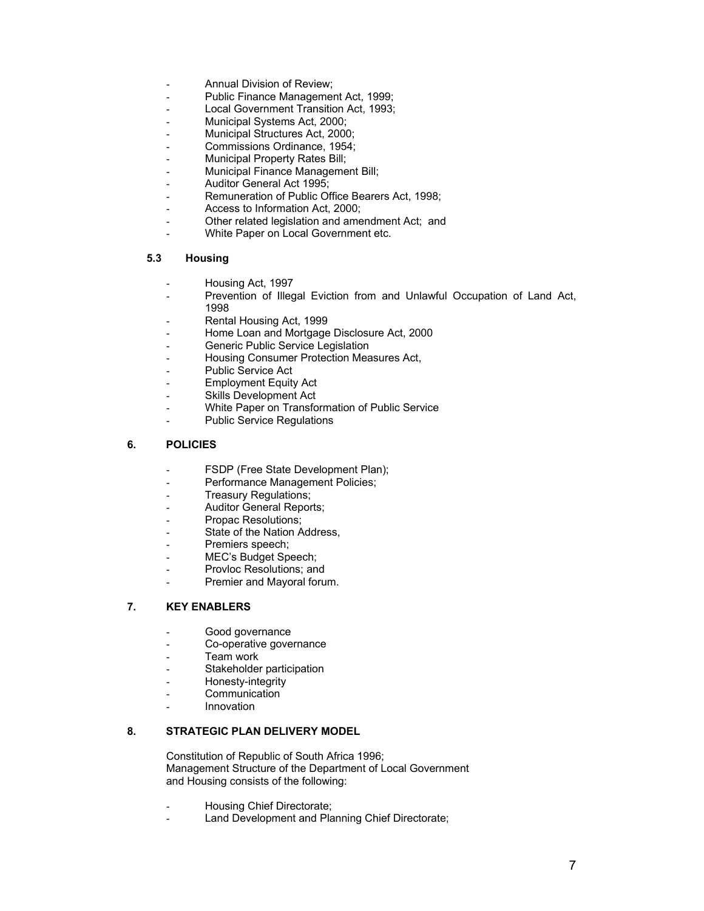- Annual Division of Review;
- Public Finance Management Act, 1999;
- Local Government Transition Act, 1993;
- Municipal Systems Act, 2000;
- Municipal Structures Act, 2000;
- Commissions Ordinance, 1954;
- Municipal Property Rates Bill;
- Municipal Finance Management Bill;
- Auditor General Act 1995;
- Remuneration of Public Office Bearers Act, 1998;
- Access to Information Act, 2000;
- Other related legislation and amendment Act; and
- White Paper on Local Government etc.

#### **5.3 Housing**

- Housing Act, 1997
- Prevention of Illegal Eviction from and Unlawful Occupation of Land Act, 1998
- Rental Housing Act, 1999
- Home Loan and Mortgage Disclosure Act, 2000
- Generic Public Service Legislation
- Housing Consumer Protection Measures Act,
- Public Service Act
- Employment Equity Act
- Skills Development Act
- White Paper on Transformation of Public Service
- Public Service Regulations

### **6. POLICIES**

- FSDP (Free State Development Plan);
- Performance Management Policies;
- Treasury Regulations;
- Auditor General Reports;
- Propac Resolutions;
- State of the Nation Address,
- Premiers speech;
- MEC's Budget Speech;
- Provloc Resolutions; and
- Premier and Mayoral forum.

### **7. KEY ENABLERS**

- Good governance
- Co-operative governance
- Team work
- Stakeholder participation
- Honesty-integrity
- Communication
- **Innovation**

### **8. STRATEGIC PLAN DELIVERY MODEL**

Constitution of Republic of South Africa 1996; Management Structure of the Department of Local Government and Housing consists of the following:

- Housing Chief Directorate;
- Land Development and Planning Chief Directorate;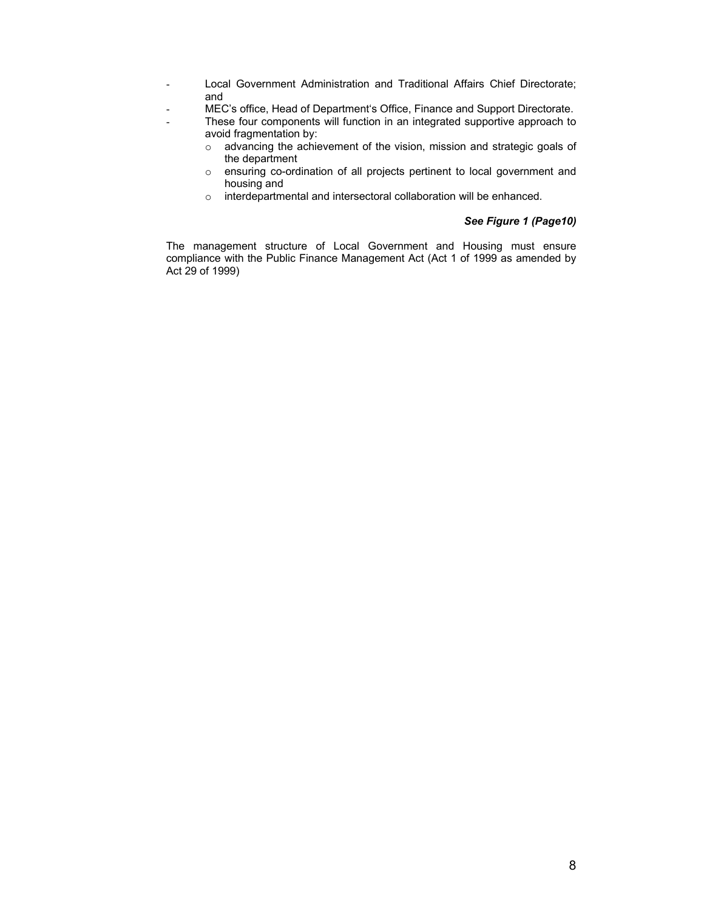- Local Government Administration and Traditional Affairs Chief Directorate; and
- MEC's office, Head of Department's Office, Finance and Support Directorate.
	- These four components will function in an integrated supportive approach to avoid fragmentation by:
		- o advancing the achievement of the vision, mission and strategic goals of the department
		- o ensuring co-ordination of all projects pertinent to local government and housing and
		- o interdepartmental and intersectoral collaboration will be enhanced.

#### *See Figure 1 (Page10)*

The management structure of Local Government and Housing must ensure compliance with the Public Finance Management Act (Act 1 of 1999 as amended by Act 29 of 1999)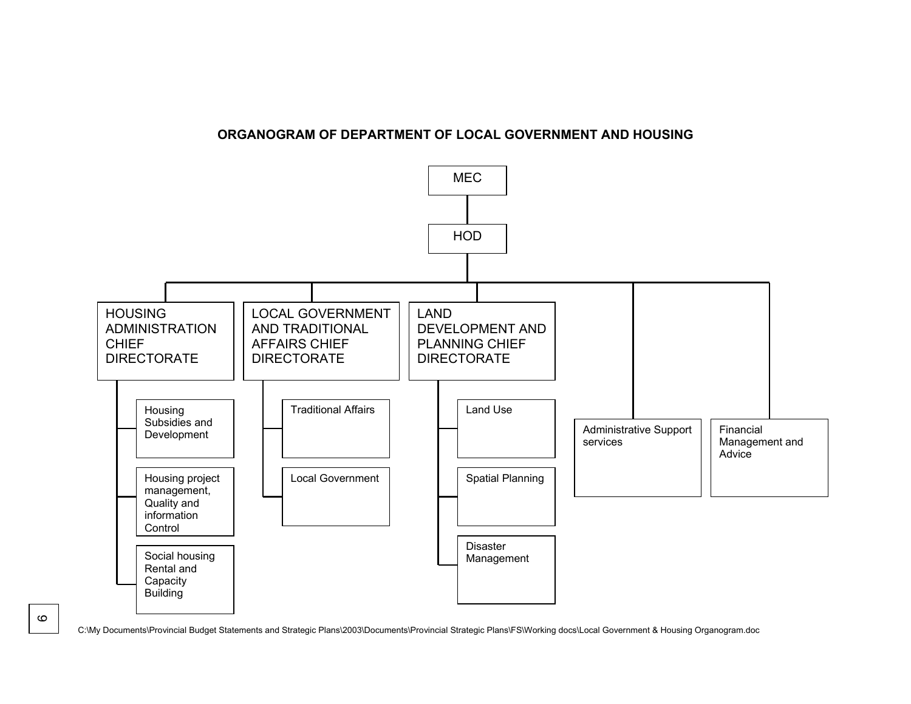### **ORGANOGRAM OF DEPARTMENT OF LOCAL GOVERNMENT AND HOUSING**



C:\My Documents\Provincial Budget Statements and Strategic Plans\2003\Documents\Provincial Strategic Plans\FS\Working docs\Local Government & Housing Organogram.doc

 $\circ$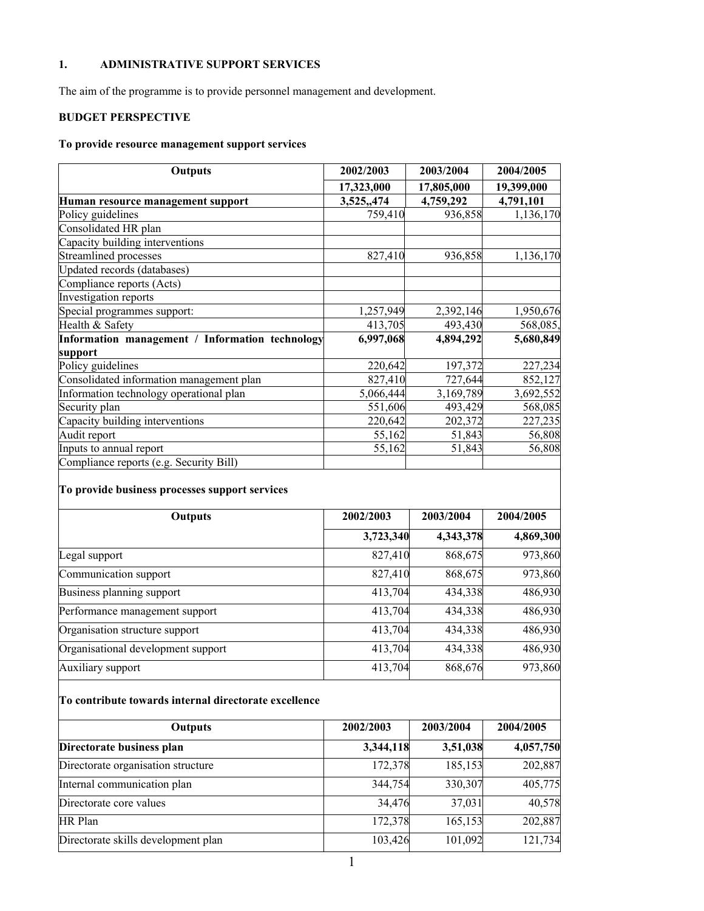# **1. ADMINISTRATIVE SUPPORT SERVICES**

The aim of the programme is to provide personnel management and development.

# **BUDGET PERSPECTIVE**

# **To provide resource management support services**

| <b>Outputs</b>                                                   | 2002/2003  | 2003/2004  | 2004/2005  |
|------------------------------------------------------------------|------------|------------|------------|
|                                                                  | 17,323,000 | 17,805,000 | 19,399,000 |
| Human resource management support                                | 3,525,,474 | 4,759,292  | 4,791,101  |
| Policy guidelines                                                | 759,410    | 936,858    | 1,136,170  |
| Consolidated HR plan                                             |            |            |            |
| Capacity building interventions                                  |            |            |            |
| <b>Streamlined processes</b>                                     | 827,410    | 936,858    | 1,136,170  |
| Updated records (databases)                                      |            |            |            |
| Compliance reports (Acts)                                        |            |            |            |
| Investigation reports                                            |            |            |            |
| Special programmes support:                                      | 1,257,949  | 2,392,146  | 1,950,676  |
| Health & Safety                                                  | 413,705    | 493,430    | 568,085,   |
| Information management / Information technology                  | 6,997,068  | 4,894,292  | 5,680,849  |
| support                                                          |            |            |            |
| Policy guidelines                                                | 220,642    | 197,372    | 227,234    |
| Consolidated information management plan                         | 827,410    | 727,644    | 852,127    |
| Information technology operational plan                          | 5,066,444  | 3,169,789  | 3,692,552  |
| Security plan                                                    | 551,606    | 493,429    | 568,085    |
| Capacity building interventions                                  | 220,642    | 202,372    | 227,235    |
| Audit report                                                     | 55,162     | 51,843     | 56,808     |
| Inputs to annual report                                          | 55,162     | 51,843     | 56,808     |
| Compliance reports (e.g. Security Bill)                          |            |            |            |
| To provide business processes support services<br><b>Outputs</b> | 2002/2003  | 2003/2004  | 2004/2005  |
|                                                                  |            |            |            |
|                                                                  | 3,723,340  | 4,343,378  | 4,869,300  |
| Legal support                                                    | 827,410    | 868,675    | 973,860    |
| Communication support                                            | 827,410    | 868,675    | 973,860    |
| Business planning support                                        | 413,704    | 434,338    | 486,930    |
| Performance management support                                   | 413,704    | 434,338    | 486,930    |
| Organisation structure support                                   | 413,704    | 434,338    | 486,930    |
| Organisational development support                               | 413,704    | 434,338    | 486,930    |
| <b>Auxiliary</b> support                                         | 413,704    | 868,676    | 973,860    |
| To contribute towards internal directorate excellence            |            |            |            |

| <b>Outputs</b>                      | 2002/2003 | 2003/2004 | 2004/2005 |
|-------------------------------------|-----------|-----------|-----------|
| Directorate business plan           | 3,344,118 | 3,51,038  | 4,057,750 |
| Directorate organisation structure  | 172,378   | 185,153   | 202,887   |
| Internal communication plan         | 344,754   | 330,307   | 405,775   |
| Directorate core values             | 34,476    | 37,031    | 40,578    |
| <b>HR Plan</b>                      | 172,378   | 165,153   | 202,887   |
| Directorate skills development plan | 103,426   | 101,092   | 121,734   |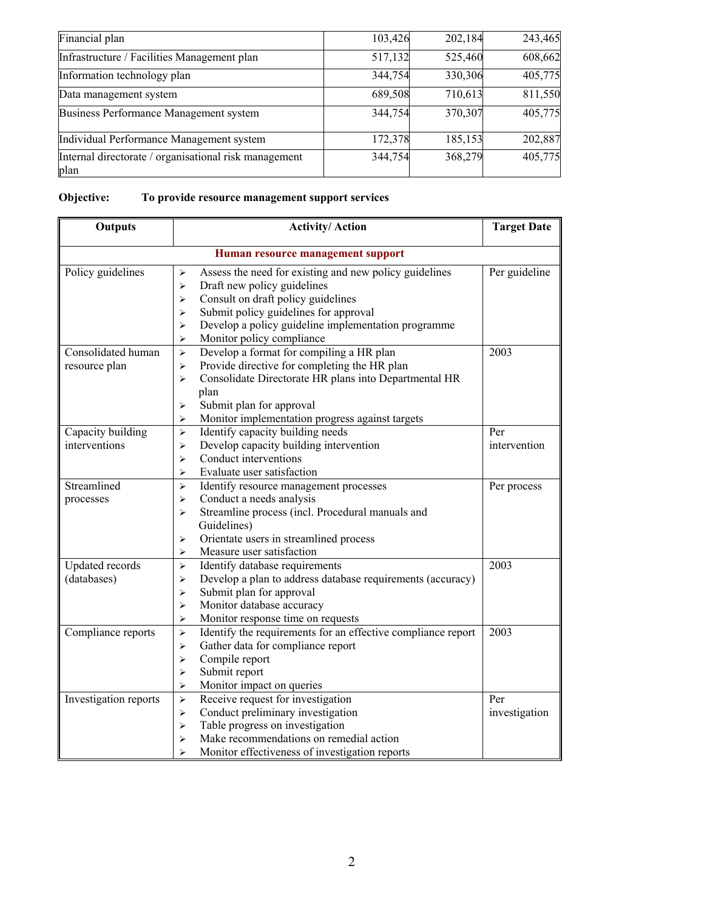| Financial plan                                                | 103,426 | 202,184 | 243,465 |
|---------------------------------------------------------------|---------|---------|---------|
| Infrastructure / Facilities Management plan                   | 517,132 | 525,460 | 608,662 |
| Information technology plan                                   | 344,754 | 330,306 | 405,775 |
| Data management system                                        | 689,508 | 710,613 | 811,550 |
| Business Performance Management system                        | 344,754 | 370,307 | 405,775 |
| Individual Performance Management system                      | 172,378 | 185,153 | 202,887 |
| Internal directorate / organisational risk management<br>plan | 344,754 | 368,279 | 405,775 |

**Objective: To provide resource management support services** 

| Outputs                               | <b>Activity/Action</b>                                                                                                                                                                                                                                                                                     | <b>Target Date</b>   |  |  |  |
|---------------------------------------|------------------------------------------------------------------------------------------------------------------------------------------------------------------------------------------------------------------------------------------------------------------------------------------------------------|----------------------|--|--|--|
| Human resource management support     |                                                                                                                                                                                                                                                                                                            |                      |  |  |  |
| Policy guidelines                     | Assess the need for existing and new policy guidelines<br>↘<br>Draft new policy guidelines<br>$\blacktriangleright$<br>Consult on draft policy guidelines<br>⋗<br>Submit policy guidelines for approval<br>⋗<br>Develop a policy guideline implementation programme<br>⋗<br>Monitor policy compliance<br>⋗ | Per guideline        |  |  |  |
| Consolidated human<br>resource plan   | Develop a format for compiling a HR plan<br>$\blacktriangleright$<br>Provide directive for completing the HR plan<br>$\blacktriangleright$<br>Consolidate Directorate HR plans into Departmental HR<br>➤<br>plan<br>Submit plan for approval<br>➤<br>Monitor implementation progress against targets<br>⋗  | 2003                 |  |  |  |
| Capacity building<br>interventions    | Identify capacity building needs<br>$\blacktriangleright$<br>Develop capacity building intervention<br>➤<br>Conduct interventions<br>➤<br>Evaluate user satisfaction<br>⋗                                                                                                                                  | Per<br>intervention  |  |  |  |
| Streamlined<br>processes              | Identify resource management processes<br>$\blacktriangleright$<br>Conduct a needs analysis<br>➤<br>Streamline process (incl. Procedural manuals and<br>➤<br>Guidelines)<br>Orientate users in streamlined process<br>➤<br>Measure user satisfaction<br>⋗                                                  | Per process          |  |  |  |
| <b>Updated records</b><br>(databases) | Identify database requirements<br>➤<br>Develop a plan to address database requirements (accuracy)<br>⋗<br>Submit plan for approval<br>⋗<br>Monitor database accuracy<br>⋗<br>Monitor response time on requests<br>⋗                                                                                        | 2003                 |  |  |  |
| Compliance reports                    | Identify the requirements for an effective compliance report<br>➤<br>Gather data for compliance report<br>➤<br>Compile report<br>➤<br>Submit report<br>$\blacktriangleright$<br>Monitor impact on queries<br>➤                                                                                             | 2003                 |  |  |  |
| Investigation reports                 | Receive request for investigation<br>➤<br>Conduct preliminary investigation<br>⋗<br>Table progress on investigation<br>⋗<br>Make recommendations on remedial action<br>$\blacktriangleright$<br>Monitor effectiveness of investigation reports<br>↘                                                        | Per<br>investigation |  |  |  |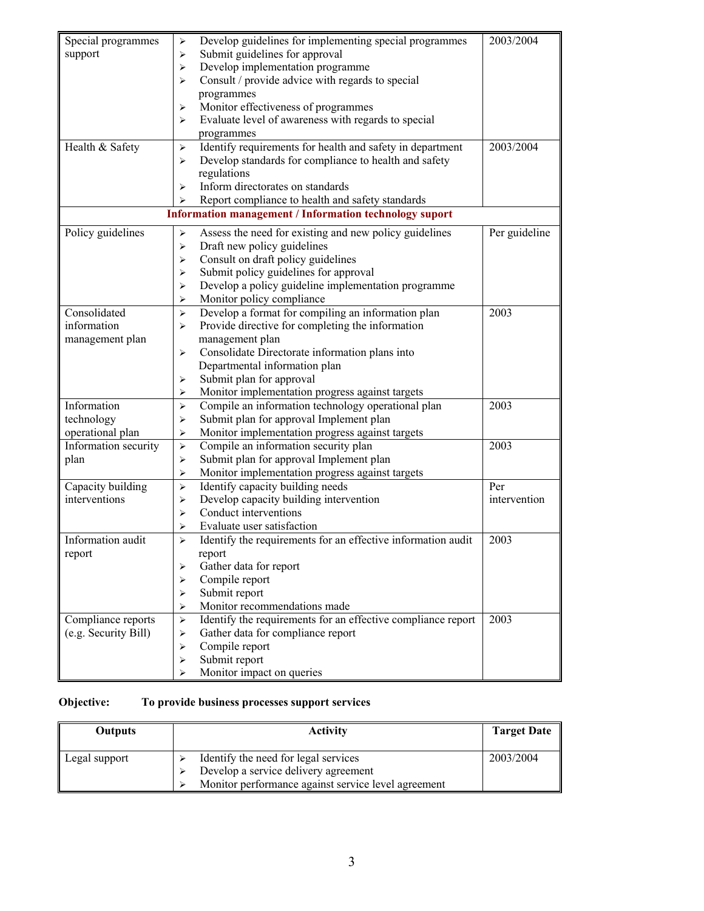| Special programmes   | ➤                          | Develop guidelines for implementing special programmes        | 2003/2004     |
|----------------------|----------------------------|---------------------------------------------------------------|---------------|
| support              | ➤                          | Submit guidelines for approval                                |               |
|                      | ⋗                          | Develop implementation programme                              |               |
|                      | ⋗                          | Consult / provide advice with regards to special              |               |
|                      |                            | programmes                                                    |               |
|                      | ➤                          | Monitor effectiveness of programmes                           |               |
|                      | ⋗                          | Evaluate level of awareness with regards to special           |               |
|                      |                            | programmes                                                    |               |
| Health & Safety      | ➤                          | Identify requirements for health and safety in department     | 2003/2004     |
|                      | ⋗                          | Develop standards for compliance to health and safety         |               |
|                      |                            | regulations                                                   |               |
|                      | ➤                          | Inform directorates on standards                              |               |
|                      | ⋗                          | Report compliance to health and safety standards              |               |
|                      |                            | <b>Information management / Information technology suport</b> |               |
| Policy guidelines    | ⋗                          | Assess the need for existing and new policy guidelines        | Per guideline |
|                      | ➤                          | Draft new policy guidelines                                   |               |
|                      | ➤                          | Consult on draft policy guidelines                            |               |
|                      | ⋗                          | Submit policy guidelines for approval                         |               |
|                      | ➤                          | Develop a policy guideline implementation programme           |               |
|                      | ⋗                          | Monitor policy compliance                                     |               |
| Consolidated         | ➤                          | Develop a format for compiling an information plan            | 2003          |
| information          | ⋗                          | Provide directive for completing the information              |               |
| management plan      |                            | management plan                                               |               |
|                      | ➤                          | Consolidate Directorate information plans into                |               |
|                      |                            | Departmental information plan                                 |               |
|                      | ➤                          | Submit plan for approval                                      |               |
|                      | ➤                          | Monitor implementation progress against targets               |               |
| Information          | ➤                          | Compile an information technology operational plan            | 2003          |
| technology           | ➤                          | Submit plan for approval Implement plan                       |               |
| operational plan     | ➤                          | Monitor implementation progress against targets               |               |
| Information security | ➤                          | Compile an information security plan                          | 2003          |
| plan                 | ➤                          | Submit plan for approval Implement plan                       |               |
|                      | ⋗                          | Monitor implementation progress against targets               |               |
| Capacity building    | ⋗                          | Identify capacity building needs                              | Per           |
| interventions        | ➤                          | Develop capacity building intervention                        | intervention  |
|                      | ⋗                          | Conduct interventions                                         |               |
| Information audit    | ⋗<br>$\blacktriangleright$ | Evaluate user satisfaction                                    | 2003          |
|                      |                            | Identify the requirements for an effective information audit  |               |
| report               |                            | report                                                        |               |
|                      | ➤<br>➤                     | Gather data for report<br>Compile report                      |               |
|                      | ➤                          | Submit report                                                 |               |
|                      | ➤                          | Monitor recommendations made                                  |               |
| Compliance reports   |                            | Identify the requirements for an effective compliance report  | 2003          |
| (e.g. Security Bill) | ➤<br>➤                     | Gather data for compliance report                             |               |
|                      | ➤                          | Compile report                                                |               |
|                      | ➤                          | Submit report                                                 |               |
|                      | ➤                          | Monitor impact on queries                                     |               |
|                      |                            |                                                               |               |

# **Objective: To provide business processes support services**

| <b>Outputs</b> | <b>Activity</b>                                     | <b>Target Date</b> |
|----------------|-----------------------------------------------------|--------------------|
| Legal support  | Identify the need for legal services                | 2003/2004          |
|                | Develop a service delivery agreement                |                    |
|                | Monitor performance against service level agreement |                    |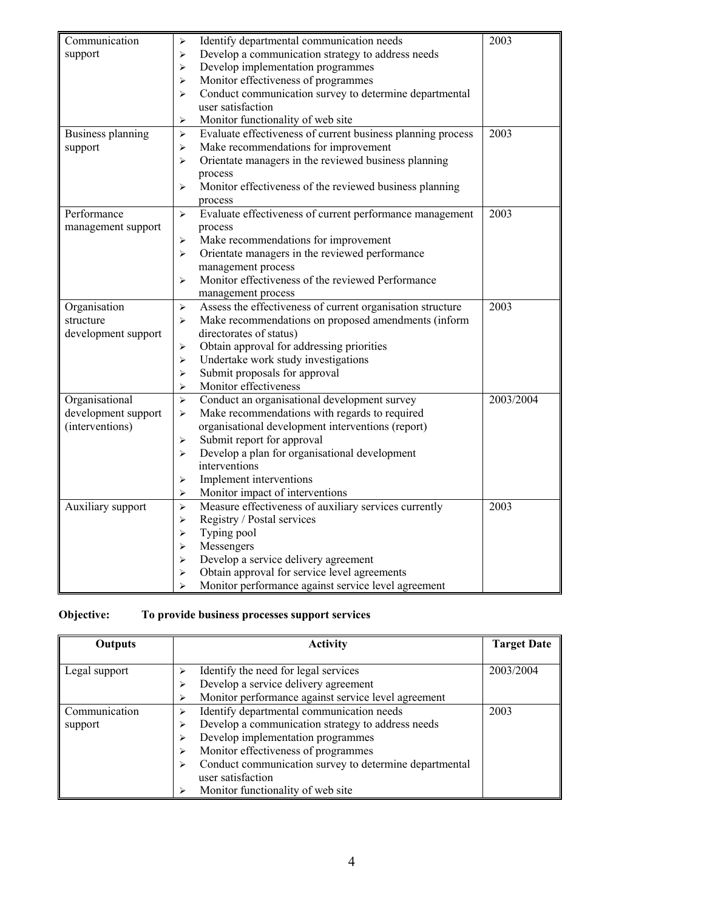| Communication            | ⋗                     | Identify departmental communication needs                   | 2003      |
|--------------------------|-----------------------|-------------------------------------------------------------|-----------|
| support                  | ⋗                     | Develop a communication strategy to address needs           |           |
|                          | ⋗                     | Develop implementation programmes                           |           |
|                          | ⋗                     | Monitor effectiveness of programmes                         |           |
|                          | ➤                     | Conduct communication survey to determine departmental      |           |
|                          |                       | user satisfaction                                           |           |
|                          | ⋗                     | Monitor functionality of web site                           |           |
| <b>Business planning</b> | $\blacktriangleright$ | Evaluate effectiveness of current business planning process | 2003      |
| support                  | ➤                     | Make recommendations for improvement                        |           |
|                          | ➤                     | Orientate managers in the reviewed business planning        |           |
|                          | process               |                                                             |           |
|                          | ⋗                     | Monitor effectiveness of the reviewed business planning     |           |
|                          | process               |                                                             |           |
| Performance              | ➤                     | Evaluate effectiveness of current performance management    | 2003      |
| management support       | process               |                                                             |           |
|                          | ➤                     | Make recommendations for improvement                        |           |
|                          | ➤                     | Orientate managers in the reviewed performance              |           |
|                          |                       | management process                                          |           |
|                          | ➤                     | Monitor effectiveness of the reviewed Performance           |           |
|                          |                       | management process                                          |           |
| Organisation             | ➤                     | Assess the effectiveness of current organisation structure  | 2003      |
| structure                | ➤                     | Make recommendations on proposed amendments (inform         |           |
| development support      |                       | directorates of status)                                     |           |
|                          | ⋗                     | Obtain approval for addressing priorities                   |           |
|                          | ⋗                     | Undertake work study investigations                         |           |
|                          | ⋗                     | Submit proposals for approval                               |           |
|                          | ⋗                     | Monitor effectiveness                                       |           |
| Organisational           | $\blacktriangleright$ | Conduct an organisational development survey                | 2003/2004 |
| development support      | ➤                     | Make recommendations with regards to required               |           |
| (interventions)          |                       | organisational development interventions (report)           |           |
|                          | ➤                     | Submit report for approval                                  |           |
|                          | ⋗                     | Develop a plan for organisational development               |           |
|                          |                       | interventions                                               |           |
|                          | ➤                     | Implement interventions                                     |           |
|                          | ⋗                     | Monitor impact of interventions                             |           |
| Auxiliary support        | ➤                     | Measure effectiveness of auxiliary services currently       | 2003      |
|                          | ⋗                     | Registry / Postal services                                  |           |
|                          | ⋗                     | Typing pool                                                 |           |
|                          | ⋗                     | Messengers                                                  |           |
|                          | ⋗                     | Develop a service delivery agreement                        |           |
|                          | ⋗                     | Obtain approval for service level agreements                |           |
|                          | ⋗                     | Monitor performance against service level agreement         |           |

# **Objective: To provide business processes support services**

| Outputs                  | <b>Activity</b>                                                                                                                                                                                                                                                                                                         | <b>Target Date</b> |
|--------------------------|-------------------------------------------------------------------------------------------------------------------------------------------------------------------------------------------------------------------------------------------------------------------------------------------------------------------------|--------------------|
| Legal support            | Identify the need for legal services<br>↘<br>Develop a service delivery agreement<br>⋗<br>Monitor performance against service level agreement<br>⋗                                                                                                                                                                      | 2003/2004          |
| Communication<br>support | Identify departmental communication needs<br>⋗<br>Develop a communication strategy to address needs<br>⋗<br>Develop implementation programmes<br>⋗<br>Monitor effectiveness of programmes<br>⋗<br>Conduct communication survey to determine departmental<br>⋗<br>user satisfaction<br>Monitor functionality of web site | 2003               |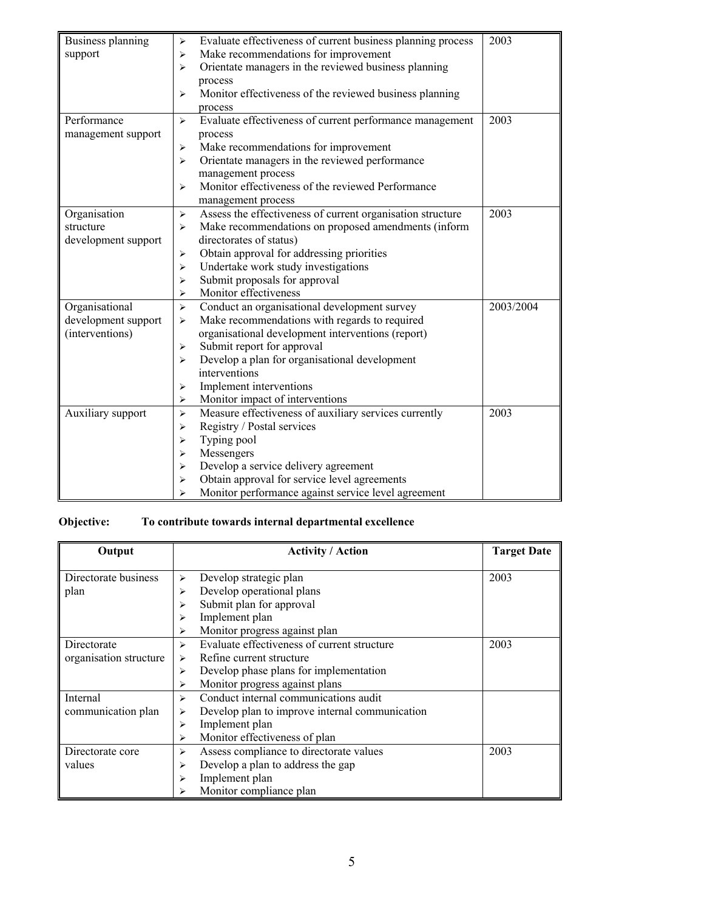| Business planning   | ➤                     | Evaluate effectiveness of current business planning process | 2003      |
|---------------------|-----------------------|-------------------------------------------------------------|-----------|
| support             | ⋗                     | Make recommendations for improvement                        |           |
|                     | ⋗                     | Orientate managers in the reviewed business planning        |           |
|                     |                       | process                                                     |           |
|                     | ⋗                     | Monitor effectiveness of the reviewed business planning     |           |
|                     |                       | process                                                     |           |
| Performance         | ➤                     | Evaluate effectiveness of current performance management    | 2003      |
| management support  |                       | process                                                     |           |
|                     | $\blacktriangleright$ | Make recommendations for improvement                        |           |
|                     | ⋗                     | Orientate managers in the reviewed performance              |           |
|                     |                       | management process                                          |           |
|                     | ⋗                     | Monitor effectiveness of the reviewed Performance           |           |
|                     |                       | management process                                          |           |
| Organisation        | $\blacktriangleright$ | Assess the effectiveness of current organisation structure  | 2003      |
| structure           | $\blacktriangleright$ | Make recommendations on proposed amendments (inform         |           |
| development support |                       | directorates of status)                                     |           |
|                     | ➤                     | Obtain approval for addressing priorities                   |           |
|                     | ➤                     | Undertake work study investigations                         |           |
|                     | $\blacktriangleright$ | Submit proposals for approval                               |           |
|                     | ⋗                     | Monitor effectiveness                                       |           |
| Organisational      | $\blacktriangleright$ | Conduct an organisational development survey                | 2003/2004 |
| development support | ⋗                     | Make recommendations with regards to required               |           |
| (interventions)     |                       | organisational development interventions (report)           |           |
|                     | $\blacktriangleright$ | Submit report for approval                                  |           |
|                     | ⋗                     | Develop a plan for organisational development               |           |
|                     |                       | interventions                                               |           |
|                     | ➤                     | Implement interventions                                     |           |
|                     | ➤                     | Monitor impact of interventions                             |           |
| Auxiliary support   | $\blacktriangleright$ | Measure effectiveness of auxiliary services currently       | 2003      |
|                     | ⋗                     | Registry / Postal services                                  |           |
|                     | ⋗                     | Typing pool                                                 |           |
|                     | ➤                     | Messengers                                                  |           |
|                     | ⋗                     | Develop a service delivery agreement                        |           |
|                     | $\blacktriangleright$ | Obtain approval for service level agreements                |           |
|                     | $\blacktriangleright$ | Monitor performance against service level agreement         |           |

# **Objective: To contribute towards internal departmental excellence**

| Output                 | <b>Activity / Action</b>                            | <b>Target Date</b> |
|------------------------|-----------------------------------------------------|--------------------|
|                        |                                                     |                    |
| Directorate business   | Develop strategic plan<br>⋗                         | 2003               |
| plan                   | Develop operational plans<br>⋗                      |                    |
|                        | Submit plan for approval<br>⋗                       |                    |
|                        | Implement plan<br>⋗                                 |                    |
|                        | Monitor progress against plan<br>⋗                  |                    |
| Directorate            | Evaluate effectiveness of current structure<br>↘    | 2003               |
| organisation structure | Refine current structure<br>⋗                       |                    |
|                        | Develop phase plans for implementation<br>⋗         |                    |
|                        | Monitor progress against plans<br>⋗                 |                    |
| Internal               | Conduct internal communications audit<br>↘          |                    |
| communication plan     | Develop plan to improve internal communication<br>⋗ |                    |
|                        | Implement plan<br>⋗                                 |                    |
|                        | Monitor effectiveness of plan<br>⋗                  |                    |
| Directorate core       | Assess compliance to directorate values<br>⋗        | 2003               |
| values                 | Develop a plan to address the gap<br>➤              |                    |
|                        | Implement plan<br>⋗                                 |                    |
|                        | Monitor compliance plan<br>⋗                        |                    |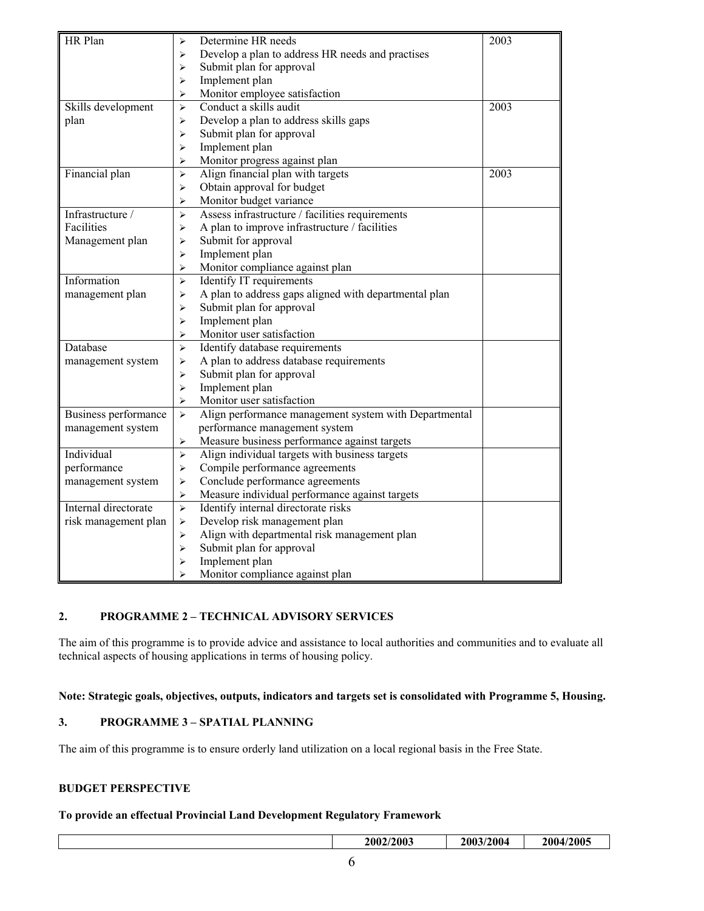| HR Plan              | Determine HR needs<br>⋗                                                        | 2003 |
|----------------------|--------------------------------------------------------------------------------|------|
|                      | Develop a plan to address HR needs and practises<br>➤                          |      |
|                      | Submit plan for approval<br>⋗                                                  |      |
|                      | Implement plan<br>⋗                                                            |      |
|                      | Monitor employee satisfaction<br>➤                                             |      |
| Skills development   | Conduct a skills audit<br>⋗                                                    | 2003 |
| plan                 | Develop a plan to address skills gaps<br>⋗                                     |      |
|                      | Submit plan for approval<br>⋗                                                  |      |
|                      | Implement plan<br>⋗                                                            |      |
|                      | Monitor progress against plan<br>⋗                                             |      |
| Financial plan       | Align financial plan with targets<br>⋗                                         | 2003 |
|                      | Obtain approval for budget<br>⋗                                                |      |
|                      | Monitor budget variance<br>⋗                                                   |      |
| Infrastructure /     | Assess infrastructure / facilities requirements<br>⋗                           |      |
| Facilities           | A plan to improve infrastructure / facilities<br>⋗                             |      |
| Management plan      | Submit for approval<br>⋗                                                       |      |
|                      | Implement plan<br>⋗                                                            |      |
|                      | Monitor compliance against plan<br>⋗                                           |      |
| Information          | Identify IT requirements<br>⋗                                                  |      |
| management plan      | A plan to address gaps aligned with departmental plan<br>⋗                     |      |
|                      | Submit plan for approval<br>⋗                                                  |      |
|                      | Implement plan<br>⋗                                                            |      |
|                      | Monitor user satisfaction<br>⋗                                                 |      |
| Database             | Identify database requirements<br>⋗                                            |      |
| management system    | A plan to address database requirements<br>⋗                                   |      |
|                      | Submit plan for approval<br>⋗                                                  |      |
|                      | Implement plan<br>➤                                                            |      |
|                      | Monitor user satisfaction<br>⋗                                                 |      |
| Business performance | Align performance management system with Departmental<br>$\blacktriangleright$ |      |
| management system    | performance management system                                                  |      |
|                      | Measure business performance against targets<br>⋗                              |      |
| Individual           | Align individual targets with business targets<br>$\blacktriangleright$        |      |
| performance          | Compile performance agreements<br>⋗                                            |      |
| management system    | Conclude performance agreements<br>⋗                                           |      |
|                      | Measure individual performance against targets<br>⋗                            |      |
| Internal directorate | Identify internal directorate risks<br>⋗                                       |      |
| risk management plan | Develop risk management plan<br>➤                                              |      |
|                      | Align with departmental risk management plan<br>⋗                              |      |
|                      | Submit plan for approval<br>⋗                                                  |      |
|                      | Implement plan<br>⋗                                                            |      |
|                      | Monitor compliance against plan<br>⋗                                           |      |

# **2. PROGRAMME 2 – TECHNICAL ADVISORY SERVICES**

The aim of this programme is to provide advice and assistance to local authorities and communities and to evaluate all technical aspects of housing applications in terms of housing policy.

### **Note: Strategic goals, objectives, outputs, indicators and targets set is consolidated with Programme 5, Housing.**

### **3. PROGRAMME 3 – SPATIAL PLANNING**

The aim of this programme is to ensure orderly land utilization on a local regional basis in the Free State.

### **BUDGET PERSPECTIVE**

#### **To provide an effectual Provincial Land Development Regulatory Framework**

|  | 2002/2003 | 2003/2004 | 2004/2005 |
|--|-----------|-----------|-----------|
|--|-----------|-----------|-----------|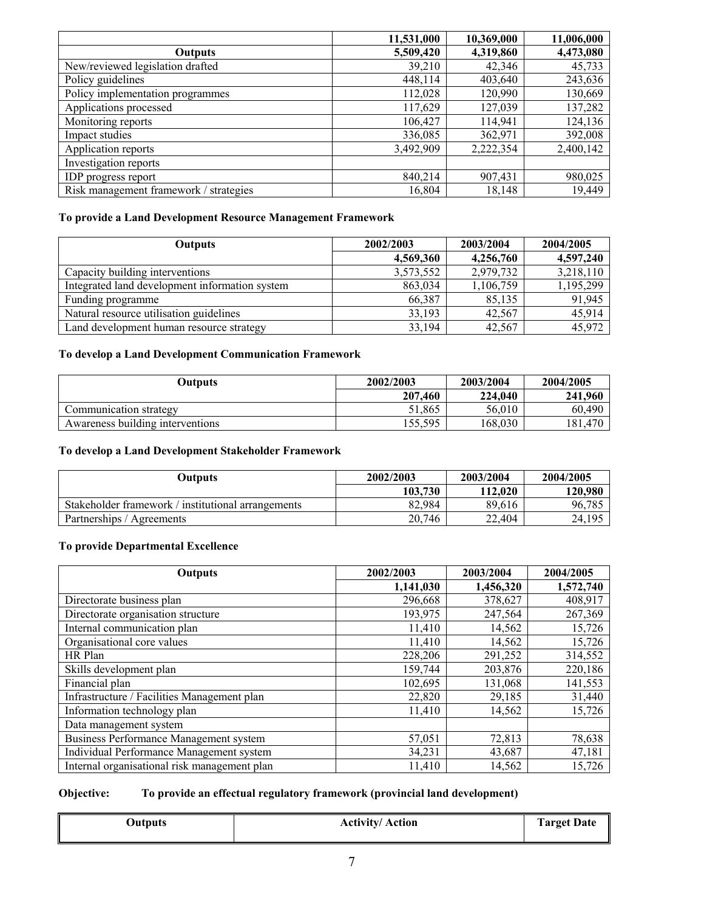|                                        | 11,531,000 | 10,369,000 | 11,006,000 |
|----------------------------------------|------------|------------|------------|
| <b>Outputs</b>                         | 5,509,420  | 4,319,860  | 4,473,080  |
| New/reviewed legislation drafted       | 39,210     | 42,346     | 45,733     |
| Policy guidelines                      | 448,114    | 403,640    | 243,636    |
| Policy implementation programmes       | 112,028    | 120,990    | 130,669    |
| Applications processed                 | 117,629    | 127,039    | 137,282    |
| Monitoring reports                     | 106,427    | 114,941    | 124,136    |
| Impact studies                         | 336,085    | 362,971    | 392,008    |
| Application reports                    | 3,492,909  | 2,222,354  | 2,400,142  |
| Investigation reports                  |            |            |            |
| <b>IDP</b> progress report             | 840,214    | 907,431    | 980,025    |
| Risk management framework / strategies | 16,804     | 18,148     | 19,449     |

# **To provide a Land Development Resource Management Framework**

| <b>Outputs</b>                                 | 2002/2003 | 2003/2004 | 2004/2005 |
|------------------------------------------------|-----------|-----------|-----------|
|                                                | 4,569,360 | 4,256,760 | 4,597,240 |
| Capacity building interventions                | 3,573,552 | 2,979,732 | 3,218,110 |
| Integrated land development information system | 863,034   | 1,106,759 | 1,195,299 |
| Funding programme                              | 66,387    | 85,135    | 91,945    |
| Natural resource utilisation guidelines        | 33,193    | 42,567    | 45,914    |
| Land development human resource strategy       | 33,194    | 42,567    | 45,972    |

### **To develop a Land Development Communication Framework**

| Outputs                          | 2002/2003 | 2003/2004 | 2004/2005 |
|----------------------------------|-----------|-----------|-----------|
|                                  | 207,460   | 224,040   | 241,960   |
| Communication strategy           | 51,865    | 56.010    | 60.490    |
| Awareness building interventions | 155,595   | 168.030   | 181,470   |

# **To develop a Land Development Stakeholder Framework**

| Outputs                                            | 2002/2003 | 2003/2004 | 2004/2005 |
|----------------------------------------------------|-----------|-----------|-----------|
|                                                    | 103,730   | 112,020   | 120,980   |
| Stakeholder framework / institutional arrangements | 82.984    | 89.616    | 96,785    |
| Partnerships / Agreements                          | 20.746    | 22.404    | 24,195    |

# **To provide Departmental Excellence**

| <b>Outputs</b>                               | 2002/2003 | 2003/2004 | 2004/2005 |
|----------------------------------------------|-----------|-----------|-----------|
|                                              | 1,141,030 | 1,456,320 | 1,572,740 |
| Directorate business plan                    | 296,668   | 378,627   | 408,917   |
| Directorate organisation structure           | 193,975   | 247,564   | 267,369   |
| Internal communication plan                  | 11,410    | 14,562    | 15,726    |
| Organisational core values                   | 11,410    | 14,562    | 15,726    |
| HR Plan                                      | 228,206   | 291,252   | 314,552   |
| Skills development plan                      | 159,744   | 203,876   | 220,186   |
| Financial plan                               | 102,695   | 131,068   | 141,553   |
| Infrastructure / Facilities Management plan  | 22,820    | 29,185    | 31,440    |
| Information technology plan                  | 11,410    | 14,562    | 15,726    |
| Data management system                       |           |           |           |
| Business Performance Management system       | 57,051    | 72,813    | 78,638    |
| Individual Performance Management system     | 34,231    | 43,687    | 47,181    |
| Internal organisational risk management plan | 11,410    | 14,562    | 15,726    |

# **Objective: To provide an effectual regulatory framework (provincial land development)**

| <b>Outputs</b> | <b>Activity/ Action</b> | <b>Target Date</b> |
|----------------|-------------------------|--------------------|
|                |                         |                    |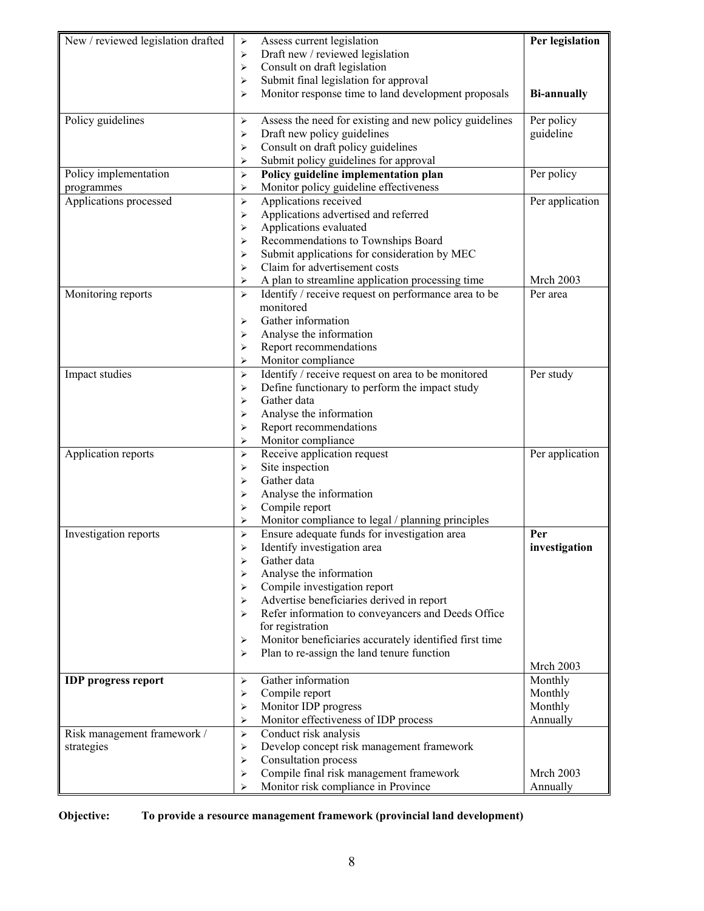| New / reviewed legislation drafted | ⋗                     | Assess current legislation                                    | Per legislation    |
|------------------------------------|-----------------------|---------------------------------------------------------------|--------------------|
|                                    | ⋗                     | Draft new / reviewed legislation                              |                    |
|                                    | ➤                     | Consult on draft legislation                                  |                    |
|                                    | ➤                     | Submit final legislation for approval                         |                    |
|                                    | ⋗                     | Monitor response time to land development proposals           | <b>Bi-annually</b> |
|                                    |                       |                                                               |                    |
| Policy guidelines                  | ➤                     | Assess the need for existing and new policy guidelines        | Per policy         |
|                                    | ➤                     | Draft new policy guidelines                                   | guideline          |
|                                    | ⋗                     | Consult on draft policy guidelines                            |                    |
|                                    | ⋗                     | Submit policy guidelines for approval                         |                    |
| Policy implementation              | $\blacktriangleright$ | Policy guideline implementation plan                          | Per policy         |
| programmes                         | ➤                     | Monitor policy guideline effectiveness                        |                    |
| Applications processed             | $\blacktriangleright$ | Applications received                                         | Per application    |
|                                    | ➤                     | Applications advertised and referred                          |                    |
|                                    | ➤                     | Applications evaluated                                        |                    |
|                                    | ➤                     | Recommendations to Townships Board                            |                    |
|                                    | ➤                     | Submit applications for consideration by MEC                  |                    |
|                                    | ➤                     | Claim for advertisement costs                                 |                    |
|                                    | ➤                     | A plan to streamline application processing time              | Mrch 2003          |
| Monitoring reports                 | $\blacktriangleright$ | Identify / receive request on performance area to be          | Per area           |
|                                    |                       | monitored                                                     |                    |
|                                    | ⋗                     | Gather information                                            |                    |
|                                    | ⋗                     | Analyse the information                                       |                    |
|                                    | ⋗                     | Report recommendations                                        |                    |
|                                    | ➤                     | Monitor compliance                                            |                    |
| Impact studies                     | $\blacktriangleright$ | Identify / receive request on area to be monitored            | Per study          |
|                                    | ➤                     | Define functionary to perform the impact study<br>Gather data |                    |
|                                    | ⋗<br>➤                | Analyse the information                                       |                    |
|                                    | ⋗                     | Report recommendations                                        |                    |
|                                    | ⋗                     | Monitor compliance                                            |                    |
| Application reports                | $\blacktriangleright$ | Receive application request                                   | Per application    |
|                                    | ⋗                     | Site inspection                                               |                    |
|                                    | ⋗                     | Gather data                                                   |                    |
|                                    | ⋗                     | Analyse the information                                       |                    |
|                                    | ⋗                     | Compile report                                                |                    |
|                                    | ⋗                     | Monitor compliance to legal / planning principles             |                    |
| Investigation reports              | $\blacktriangleright$ | Ensure adequate funds for investigation area                  | Per                |
|                                    |                       | Identify investigation area                                   | investigation      |
|                                    | $\blacktriangleright$ | Gather data                                                   |                    |
|                                    | ⋗                     | Analyse the information                                       |                    |
|                                    | ➤                     | Compile investigation report                                  |                    |
|                                    | ➤                     | Advertise beneficiaries derived in report                     |                    |
|                                    | ⋗                     | Refer information to conveyancers and Deeds Office            |                    |
|                                    |                       | for registration                                              |                    |
|                                    | ➤                     | Monitor beneficiaries accurately identified first time        |                    |
|                                    | ➤                     | Plan to re-assign the land tenure function                    |                    |
|                                    |                       |                                                               | Mrch 2003          |
| <b>IDP</b> progress report         | ➤                     | Gather information                                            | Monthly            |
|                                    | ⋗                     | Compile report                                                | Monthly            |
|                                    | ⋗                     | Monitor IDP progress                                          | Monthly            |
|                                    | $\blacktriangleright$ | Monitor effectiveness of IDP process                          | Annually           |
| Risk management framework /        | $\blacktriangleright$ | Conduct risk analysis                                         |                    |
| strategies                         | ➤                     | Develop concept risk management framework                     |                    |
|                                    | ➤                     | Consultation process                                          |                    |
|                                    | ➤                     | Compile final risk management framework                       | <b>Mrch 2003</b>   |
|                                    | ➤                     | Monitor risk compliance in Province                           | Annually           |

**Objective: To provide a resource management framework (provincial land development)**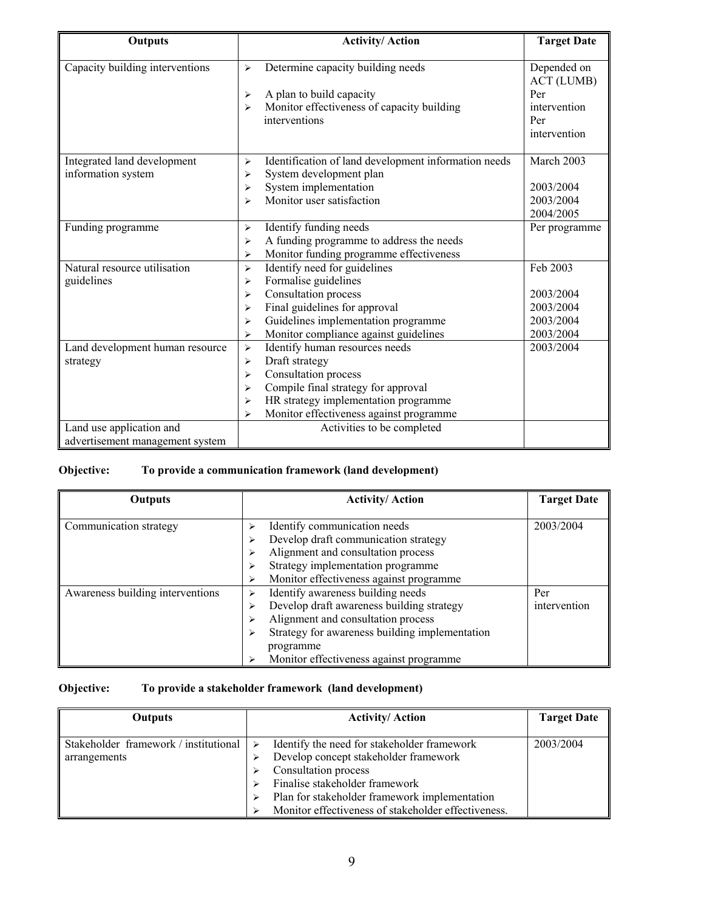| Outputs                                                                 | <b>Activity/Action</b>                                                                                                                                                                                                                                                                                 | <b>Target Date</b>                                                             |
|-------------------------------------------------------------------------|--------------------------------------------------------------------------------------------------------------------------------------------------------------------------------------------------------------------------------------------------------------------------------------------------------|--------------------------------------------------------------------------------|
| Capacity building interventions                                         | Determine capacity building needs<br>$\blacktriangleright$<br>A plan to build capacity<br>➤<br>Monitor effectiveness of capacity building<br>⋗<br>interventions                                                                                                                                        | Depended on<br><b>ACT (LUMB)</b><br>Per<br>intervention<br>Per<br>intervention |
| Integrated land development<br>information system                       | Identification of land development information needs<br>⋗<br>System development plan<br>⋗<br>System implementation<br>⋗<br>Monitor user satisfaction<br>⋗                                                                                                                                              | March 2003<br>2003/2004<br>2003/2004<br>2004/2005                              |
| Funding programme                                                       | Identify funding needs<br>$\blacktriangleright$<br>A funding programme to address the needs<br>⋗<br>Monitor funding programme effectiveness<br>⋗                                                                                                                                                       | Per programme                                                                  |
| Natural resource utilisation<br>guidelines                              | Identify need for guidelines<br>$\blacktriangleright$<br>Formalise guidelines<br>⋗<br>Consultation process<br>⋗<br>Final guidelines for approval<br>⋗<br>Guidelines implementation programme<br>⋗<br>Monitor compliance against guidelines<br>➤                                                        | Feb 2003<br>2003/2004<br>2003/2004<br>2003/2004<br>2003/2004                   |
| Land development human resource<br>strategy<br>Land use application and | Identify human resources needs<br>$\blacktriangleright$<br>Draft strategy<br>➤<br>Consultation process<br>⋗<br>Compile final strategy for approval<br>⋗<br>HR strategy implementation programme<br>$\blacktriangleright$<br>Monitor effectiveness against programme<br>⋗<br>Activities to be completed | 2003/2004                                                                      |
| advertisement management system                                         |                                                                                                                                                                                                                                                                                                        |                                                                                |

# **Objective: To provide a communication framework (land development)**

| <b>Outputs</b>                   | <b>Activity/Action</b>                              | <b>Target Date</b> |
|----------------------------------|-----------------------------------------------------|--------------------|
|                                  |                                                     |                    |
| Communication strategy           | Identify communication needs<br>↘                   | 2003/2004          |
|                                  | Develop draft communication strategy<br>⋗           |                    |
|                                  | Alignment and consultation process<br>⋗             |                    |
|                                  | Strategy implementation programme<br>⋗              |                    |
|                                  | Monitor effectiveness against programme<br>⋗        |                    |
| Awareness building interventions | Identify awareness building needs<br>↘              | Per                |
|                                  | Develop draft awareness building strategy<br>⋗      | intervention       |
|                                  | Alignment and consultation process<br>⋗             |                    |
|                                  | Strategy for awareness building implementation<br>⋗ |                    |
|                                  | programme                                           |                    |
|                                  | Monitor effectiveness against programme             |                    |

# **Objective: To provide a stakeholder framework (land development)**

| <b>Outputs</b>                        | <b>Activity/Action</b>                              | <b>Target Date</b> |
|---------------------------------------|-----------------------------------------------------|--------------------|
|                                       |                                                     |                    |
| Stakeholder framework / institutional | Identify the need for stakeholder framework<br>➤    | 2003/2004          |
| arrangements                          | Develop concept stakeholder framework               |                    |
|                                       | Consultation process                                |                    |
|                                       | Finalise stakeholder framework                      |                    |
|                                       | Plan for stakeholder framework implementation       |                    |
|                                       | Monitor effectiveness of stakeholder effectiveness. |                    |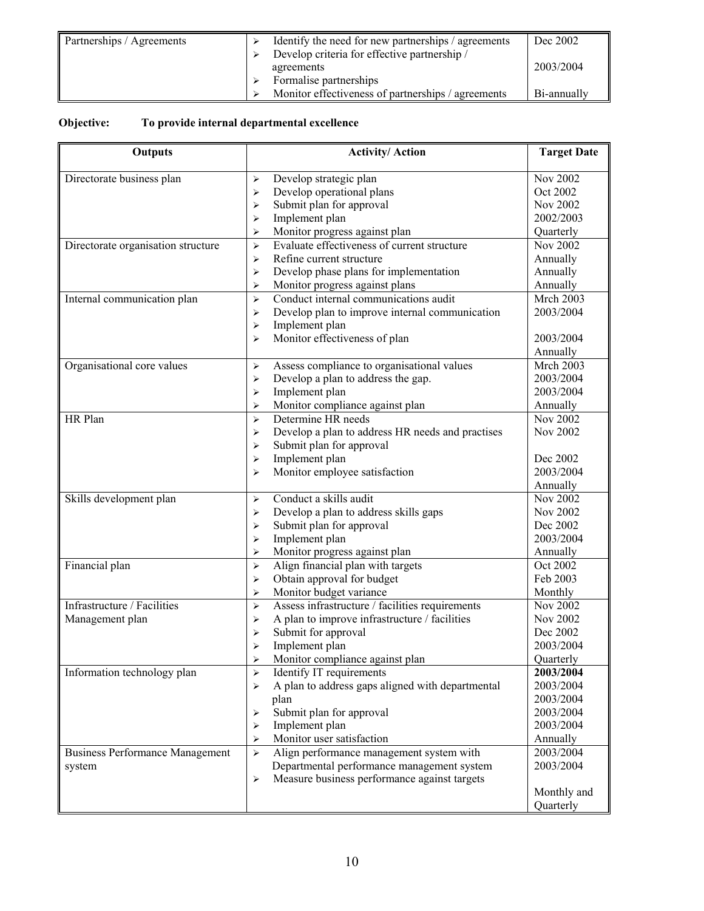| Partnerships / Agreements | Identify the need for new partnerships / agreements | Dec 2002    |
|---------------------------|-----------------------------------------------------|-------------|
|                           | Develop criteria for effective partnership /        |             |
|                           | agreements                                          | 2003/2004   |
|                           | Formalise partnerships                              |             |
|                           | Monitor effectiveness of partnerships / agreements  | Bi-annually |

# **Objective: To provide internal departmental excellence**

| <b>Outputs</b>                                   | <b>Activity/Action</b>                                                                                                                                                                                                    | <b>Target Date</b>                                                        |
|--------------------------------------------------|---------------------------------------------------------------------------------------------------------------------------------------------------------------------------------------------------------------------------|---------------------------------------------------------------------------|
| Directorate business plan                        | Develop strategic plan<br>⋗<br>Develop operational plans<br>➤<br>Submit plan for approval<br>⋗<br>Implement plan<br>➤<br>Monitor progress against plan<br>⋗                                                               | Nov 2002<br>Oct 2002<br>Nov 2002<br>2002/2003<br>Quarterly                |
| Directorate organisation structure               | Evaluate effectiveness of current structure<br>$\blacktriangleright$<br>Refine current structure<br>⋗<br>Develop phase plans for implementation<br>➤<br>Monitor progress against plans<br>⋗                               | Nov 2002<br>Annually<br>Annually<br>Annually                              |
| Internal communication plan                      | Conduct internal communications audit<br>$\blacktriangleright$<br>Develop plan to improve internal communication<br>⋗<br>Implement plan<br>⋗<br>Monitor effectiveness of plan<br>⋗                                        | <b>Mrch 2003</b><br>2003/2004<br>2003/2004<br>Annually                    |
| Organisational core values                       | Assess compliance to organisational values<br>➤<br>Develop a plan to address the gap.<br>➤<br>Implement plan<br>➤<br>Monitor compliance against plan<br>➤                                                                 | <b>Mrch 2003</b><br>2003/2004<br>2003/2004<br>Annually                    |
| HR Plan                                          | Determine HR needs<br>⋗<br>Develop a plan to address HR needs and practises<br>➤<br>Submit plan for approval<br>⋗<br>Implement plan<br>⋗<br>Monitor employee satisfaction<br>⋗                                            | Nov 2002<br><b>Nov 2002</b><br>Dec 2002<br>2003/2004                      |
| Skills development plan                          | Conduct a skills audit<br>$\blacktriangleright$<br>Develop a plan to address skills gaps<br>⋗<br>Submit plan for approval<br>⋗<br>Implement plan<br>⋗<br>Monitor progress against plan<br>⋗                               | Annually<br>Nov 2002<br>Nov 2002<br>Dec 2002<br>2003/2004<br>Annually     |
| Financial plan                                   | Align financial plan with targets<br>➤<br>Obtain approval for budget<br>➤<br>Monitor budget variance<br>⋗                                                                                                                 | Oct 2002<br>Feb 2003<br>Monthly                                           |
| Infrastructure / Facilities<br>Management plan   | Assess infrastructure / facilities requirements<br>$\blacktriangleright$<br>A plan to improve infrastructure / facilities<br>➤<br>Submit for approval<br>⋗<br>Implement plan<br>⋗<br>Monitor compliance against plan<br>⋗ | Nov 2002<br>Nov 2002<br>Dec 2002<br>2003/2004<br>Quarterly                |
| Information technology plan                      | Identify IT requirements<br>$\blacktriangleright$<br>A plan to address gaps aligned with departmental<br>⋗<br>plan<br>Submit plan for approval<br>⋗<br>Implement plan<br>⋗<br>Monitor user satisfaction<br>⋗              | 2003/2004<br>2003/2004<br>2003/2004<br>2003/2004<br>2003/2004<br>Annually |
| <b>Business Performance Management</b><br>system | Align performance management system with<br>$\blacktriangleright$<br>Departmental performance management system<br>Measure business performance against targets<br>➤                                                      | 2003/2004<br>2003/2004<br>Monthly and<br>Quarterly                        |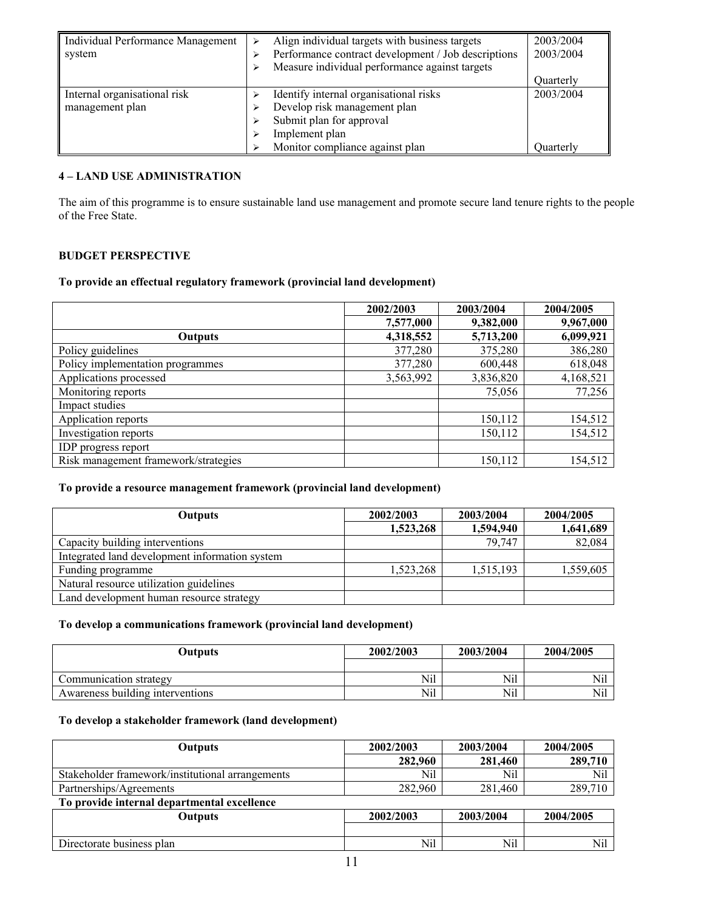| Individual Performance Management | Align individual targets with business targets      | 2003/2004 |
|-----------------------------------|-----------------------------------------------------|-----------|
| system                            | Performance contract development / Job descriptions | 2003/2004 |
|                                   | Measure individual performance against targets      |           |
|                                   |                                                     | Ouarterly |
| Internal organisational risk      | Identify internal organisational risks              | 2003/2004 |
| management plan                   | Develop risk management plan                        |           |
|                                   | Submit plan for approval                            |           |
|                                   | Implement plan                                      |           |
|                                   | Monitor compliance against plan                     | Quarterly |

### **4 – LAND USE ADMINISTRATION**

The aim of this programme is to ensure sustainable land use management and promote secure land tenure rights to the people of the Free State.

### **BUDGET PERSPECTIVE**

### **To provide an effectual regulatory framework (provincial land development)**

|                                      | 2002/2003 | 2003/2004 | 2004/2005 |
|--------------------------------------|-----------|-----------|-----------|
|                                      | 7,577,000 | 9,382,000 | 9,967,000 |
| <b>Outputs</b>                       | 4,318,552 | 5,713,200 | 6,099,921 |
| Policy guidelines                    | 377,280   | 375,280   | 386,280   |
| Policy implementation programmes     | 377,280   | 600,448   | 618,048   |
| Applications processed               | 3,563,992 | 3,836,820 | 4,168,521 |
| Monitoring reports                   |           | 75,056    | 77,256    |
| Impact studies                       |           |           |           |
| Application reports                  |           | 150,112   | 154,512   |
| Investigation reports                |           | 150,112   | 154,512   |
| <b>IDP</b> progress report           |           |           |           |
| Risk management framework/strategies |           | 150,112   | 154,512   |

### **To provide a resource management framework (provincial land development)**

| <b>Outputs</b>                                 | 2002/2003 | 2003/2004 | 2004/2005 |
|------------------------------------------------|-----------|-----------|-----------|
|                                                | 1,523,268 | 1,594,940 | 1,641,689 |
| Capacity building interventions                |           | 79.747    | 82,084    |
| Integrated land development information system |           |           |           |
| Funding programme                              | 1,523,268 | 1,515,193 | 1,559,605 |
| Natural resource utilization guidelines        |           |           |           |
| Land development human resource strategy       |           |           |           |

### **To develop a communications framework (provincial land development)**

| Outputs                          | 2002/2003 | 2003/2004 | 2004/2005 |  |
|----------------------------------|-----------|-----------|-----------|--|
|                                  |           |           |           |  |
| Communication strategy           | Nil       | Nil       | Nil       |  |
| Awareness building interventions | Nil       | Nil       | Nil       |  |

### **To develop a stakeholder framework (land development)**

| Outputs                                          | 2002/2003 | 2003/2004 | 2004/2005 |
|--------------------------------------------------|-----------|-----------|-----------|
|                                                  | 282,960   | 281,460   | 289,710   |
| Stakeholder framework/institutional arrangements | Nil       | Nil       | Nil       |
| Partnerships/Agreements                          | 282,960   | 281,460   | 289,710   |
| To provide internal departmental excellence      |           |           |           |
| <b>Outputs</b>                                   | 2002/2003 | 2003/2004 | 2004/2005 |
|                                                  |           |           |           |
| Directorate business plan                        | Nil       | Nil       | Nil       |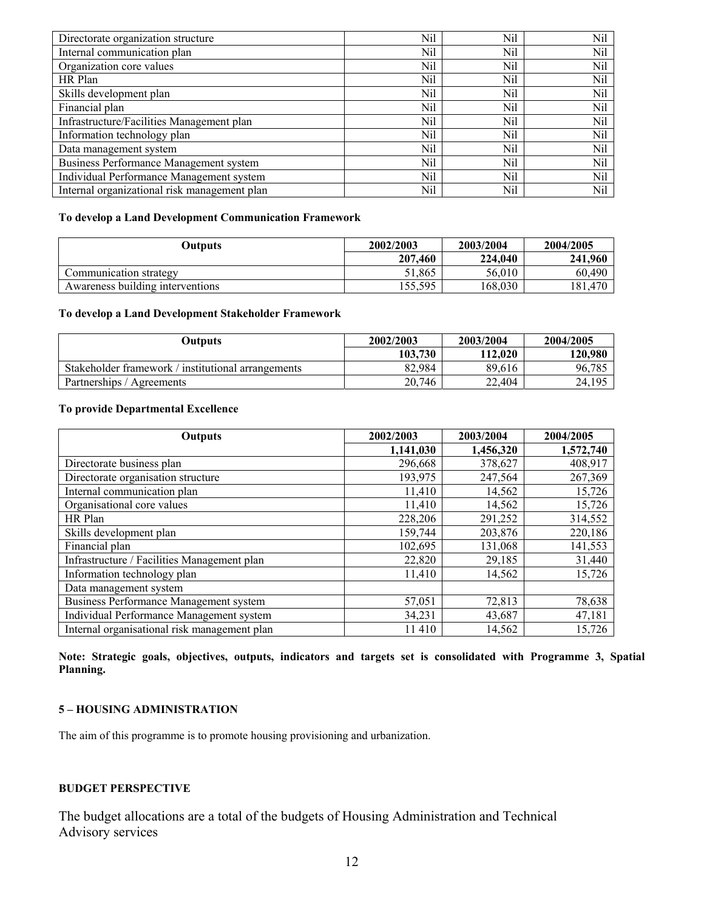| Directorate organization structure           | Nil | Nil | Nil |
|----------------------------------------------|-----|-----|-----|
| Internal communication plan                  | Nil | Nil | Nil |
| Organization core values                     | Nil | Nil | Nil |
| HR Plan                                      | Nil | Nil | Nil |
| Skills development plan                      | Nil | Nil | Nil |
| Financial plan                               | Nil | Nil | Nil |
| Infrastructure/Facilities Management plan    | Nil | Nil | Nil |
| Information technology plan                  | Nil | Nil | Nil |
| Data management system                       | Nil | Nil | Nil |
| Business Performance Management system       | Nil | Nil | Nil |
| Individual Performance Management system     | Nil | Nil | Nil |
| Internal organizational risk management plan | Nil | Nil | Nil |

### **To develop a Land Development Communication Framework**

| Outputs                          | 2002/2003 | 2003/2004 | 2004/2005 |
|----------------------------------|-----------|-----------|-----------|
|                                  | 207,460   | 224,040   | 241,960   |
| Communication strategy           | 51.865    | 56,010    | 60.490    |
| Awareness building interventions | 155.595   | 168,030   | 181,470   |

#### **To develop a Land Development Stakeholder Framework**

| Outputs                                            | 2002/2003 | 2003/2004 | 2004/2005 |
|----------------------------------------------------|-----------|-----------|-----------|
|                                                    | 103,730   | 112.020   | 120.980   |
| Stakeholder framework / institutional arrangements | 82.984    | 89.616    | 96,785    |
| Partnerships / Agreements                          | 20,746    | 22,404    | 24.195    |

### **To provide Departmental Excellence**

| <b>Outputs</b>                               | 2002/2003 | 2003/2004 | 2004/2005 |
|----------------------------------------------|-----------|-----------|-----------|
|                                              | 1,141,030 | 1,456,320 | 1,572,740 |
| Directorate business plan                    | 296,668   | 378,627   | 408,917   |
| Directorate organisation structure           | 193,975   | 247,564   | 267,369   |
| Internal communication plan                  | 11,410    | 14,562    | 15,726    |
| Organisational core values                   | 11,410    | 14,562    | 15,726    |
| HR Plan                                      | 228,206   | 291,252   | 314,552   |
| Skills development plan                      | 159,744   | 203,876   | 220,186   |
| Financial plan                               | 102,695   | 131,068   | 141,553   |
| Infrastructure / Facilities Management plan  | 22,820    | 29,185    | 31,440    |
| Information technology plan                  | 11,410    | 14,562    | 15,726    |
| Data management system                       |           |           |           |
| Business Performance Management system       | 57,051    | 72,813    | 78,638    |
| Individual Performance Management system     | 34,231    | 43,687    | 47,181    |
| Internal organisational risk management plan | 11410     | 14,562    | 15,726    |

**Note: Strategic goals, objectives, outputs, indicators and targets set is consolidated with Programme 3, Spatial Planning.**

### **5 – HOUSING ADMINISTRATION**

The aim of this programme is to promote housing provisioning and urbanization.

### **BUDGET PERSPECTIVE**

The budget allocations are a total of the budgets of Housing Administration and Technical Advisory services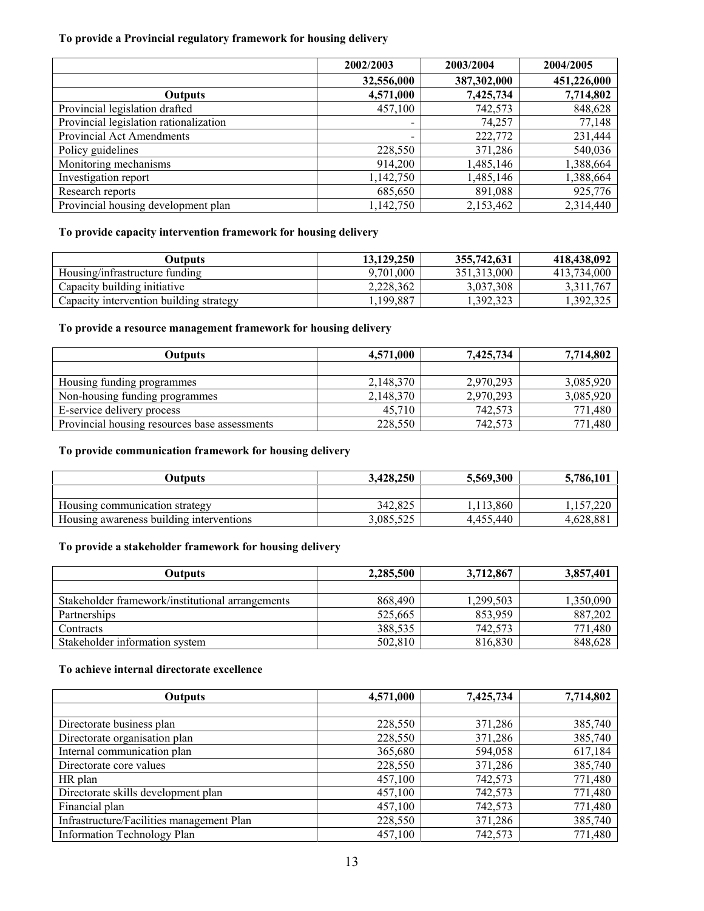### **To provide a Provincial regulatory framework for housing delivery**

|                                        | 2002/2003  | 2003/2004   | 2004/2005   |
|----------------------------------------|------------|-------------|-------------|
|                                        | 32,556,000 | 387,302,000 | 451,226,000 |
| <b>Outputs</b>                         | 4,571,000  | 7,425,734   | 7,714,802   |
| Provincial legislation drafted         | 457,100    | 742,573     | 848,628     |
| Provincial legislation rationalization |            | 74,257      | 77,148      |
| Provincial Act Amendments              |            | 222,772     | 231,444     |
| Policy guidelines                      | 228,550    | 371,286     | 540,036     |
| Monitoring mechanisms                  | 914,200    | 1,485,146   | 1,388,664   |
| Investigation report                   | 1,142,750  | 1,485,146   | 1,388,664   |
| Research reports                       | 685,650    | 891,088     | 925,776     |
| Provincial housing development plan    | 1,142,750  | 2,153,462   | 2,314,440   |

### **To provide capacity intervention framework for housing delivery**

| Outputs                                 | 13,129,250 | 355,742,631 | 418,438,092 |
|-----------------------------------------|------------|-------------|-------------|
| Housing/infrastructure funding          | 9.701.000  | 351.313.000 | 413.734.000 |
| Capacity building initiative            | 2,228,362  | 3,037,308   | 3,311,767   |
| Capacity intervention building strategy | ,199,887   | .392.323    | .392.325    |

### **To provide a resource management framework for housing delivery**

| <b>Outputs</b>                                | 4,571,000 | 7,425,734 | 7,714,802 |
|-----------------------------------------------|-----------|-----------|-----------|
|                                               |           |           |           |
| Housing funding programmes                    | 2,148,370 | 2,970,293 | 3,085,920 |
| Non-housing funding programmes                | 2,148,370 | 2,970,293 | 3,085,920 |
| E-service delivery process                    | 45.710    | 742.573   | 771,480   |
| Provincial housing resources base assessments | 228,550   | 742.573   | 771,480   |

#### **To provide communication framework for housing delivery**

| Outputs                                  | 3.428.250 | 5,569,300 | 5,786,101 |
|------------------------------------------|-----------|-----------|-----------|
|                                          |           |           |           |
| Housing communication strategy           | 342,825   | .113.860  | .157.220  |
| Housing awareness building interventions | 3.085.525 | 4.455.440 | 4,628,881 |

### **To provide a stakeholder framework for housing delivery**

| Outnuts                                          | 2,285,500 | 3,712,867 | 3,857,401 |
|--------------------------------------------------|-----------|-----------|-----------|
|                                                  |           |           |           |
| Stakeholder framework/institutional arrangements | 868.490   | 1,299,503 | ,350,090  |
| Partnerships                                     | 525,665   | 853.959   | 887,202   |
| Contracts                                        | 388,535   | 742,573   | 771,480   |
| Stakeholder information system                   | 502.810   | 816,830   | 848,628   |

### **To achieve internal directorate excellence**

| Outputs                                   | 4,571,000 | 7,425,734 | 7,714,802 |
|-------------------------------------------|-----------|-----------|-----------|
|                                           |           |           |           |
| Directorate business plan                 | 228,550   | 371,286   | 385,740   |
| Directorate organisation plan             | 228,550   | 371,286   | 385,740   |
| Internal communication plan               | 365,680   | 594,058   | 617,184   |
| Directorate core values                   | 228,550   | 371,286   | 385,740   |
| HR plan                                   | 457,100   | 742,573   | 771,480   |
| Directorate skills development plan       | 457,100   | 742,573   | 771,480   |
| Financial plan                            | 457,100   | 742,573   | 771,480   |
| Infrastructure/Facilities management Plan | 228,550   | 371,286   | 385,740   |
| <b>Information Technology Plan</b>        | 457,100   | 742,573   | 771,480   |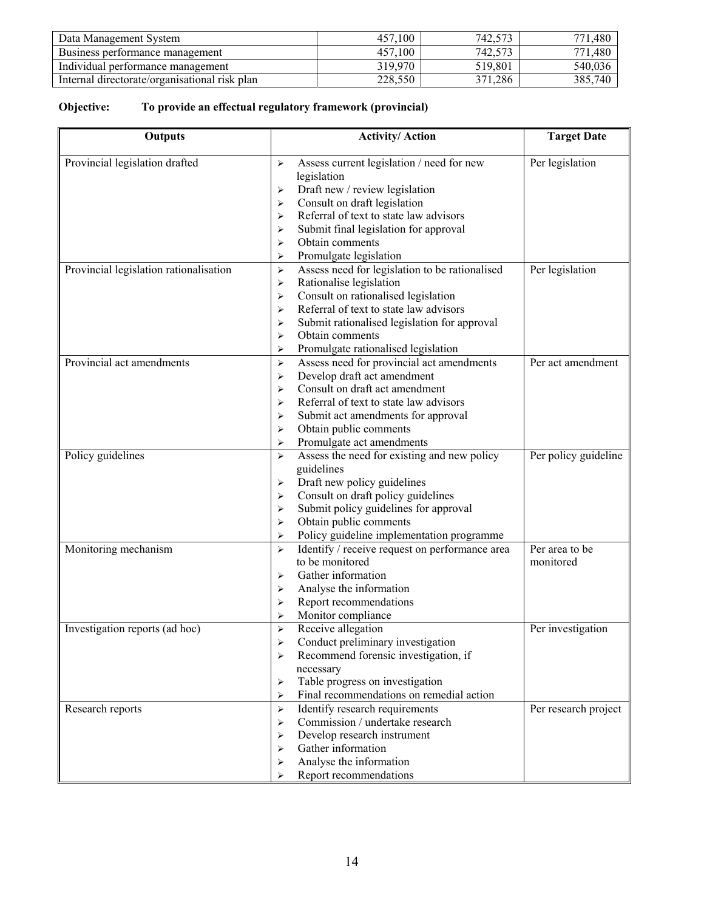| Data Management System                        | 100<br>457 | 742,573 | .480<br>771 |
|-----------------------------------------------|------------|---------|-------------|
| Business performance management               | 457.100    | 742,573 | 771,480     |
| Individual performance management             | 319.970    | 519.801 | 540,036     |
| Internal directorate/organisational risk plan | 228.550    | 371,286 | 385,740     |

| Objective: |  |  | To provide an effectual regulatory framework (provincial) |  |
|------------|--|--|-----------------------------------------------------------|--|
|            |  |  |                                                           |  |

| Outputs                                | <b>Activity/Action</b>                                                                                                                                                                                                                                                                                  | <b>Target Date</b>          |
|----------------------------------------|---------------------------------------------------------------------------------------------------------------------------------------------------------------------------------------------------------------------------------------------------------------------------------------------------------|-----------------------------|
| Provincial legislation drafted         | Assess current legislation / need for new<br>➤<br>legislation<br>Draft new / review legislation<br>➤<br>Consult on draft legislation<br>➤<br>Referral of text to state law advisors<br>⋗<br>Submit final legislation for approval                                                                       | Per legislation             |
|                                        | ➤<br>Obtain comments<br>⋗<br>Promulgate legislation<br>⋗                                                                                                                                                                                                                                                |                             |
| Provincial legislation rationalisation | Assess need for legislation to be rationalised<br>➤<br>Rationalise legislation<br>➤<br>Consult on rationalised legislation<br>➤<br>Referral of text to state law advisors<br>⋗<br>Submit rationalised legislation for approval<br>➤<br>Obtain comments<br>➤<br>Promulgate rationalised legislation<br>⋗ | Per legislation             |
| Provincial act amendments              | Assess need for provincial act amendments<br>➤<br>Develop draft act amendment<br>➤<br>Consult on draft act amendment<br>➤<br>Referral of text to state law advisors<br>⋗<br>Submit act amendments for approval<br>➤<br>Obtain public comments<br>➤<br>Promulgate act amendments<br>⋗                    | Per act amendment           |
| Policy guidelines                      | Assess the need for existing and new policy<br>⋗<br>guidelines<br>Draft new policy guidelines<br>➤<br>Consult on draft policy guidelines<br>⋗<br>Submit policy guidelines for approval<br>➤<br>Obtain public comments<br>➤<br>Policy guideline implementation programme<br>⋗                            | Per policy guideline        |
| Monitoring mechanism                   | Identify / receive request on performance area<br>➤<br>to be monitored<br>Gather information<br>➤<br>Analyse the information<br>➤<br>Report recommendations<br>➤<br>Monitor compliance<br>➤                                                                                                             | Per area to be<br>monitored |
| Investigation reports (ad hoc)         | Receive allegation<br>➤<br>Conduct preliminary investigation<br>Recommend forensic investigation, if<br>➤<br>necessary<br>Table progress on investigation<br>➤<br>Final recommendations on remedial action<br>➤                                                                                         | Per investigation           |
| Research reports                       | Identify research requirements<br>$\blacktriangleright$<br>Commission / undertake research<br>⋗<br>Develop research instrument<br>⋗<br>Gather information<br>⋗<br>Analyse the information<br>➤<br>Report recommendations<br>⋗                                                                           | Per research project        |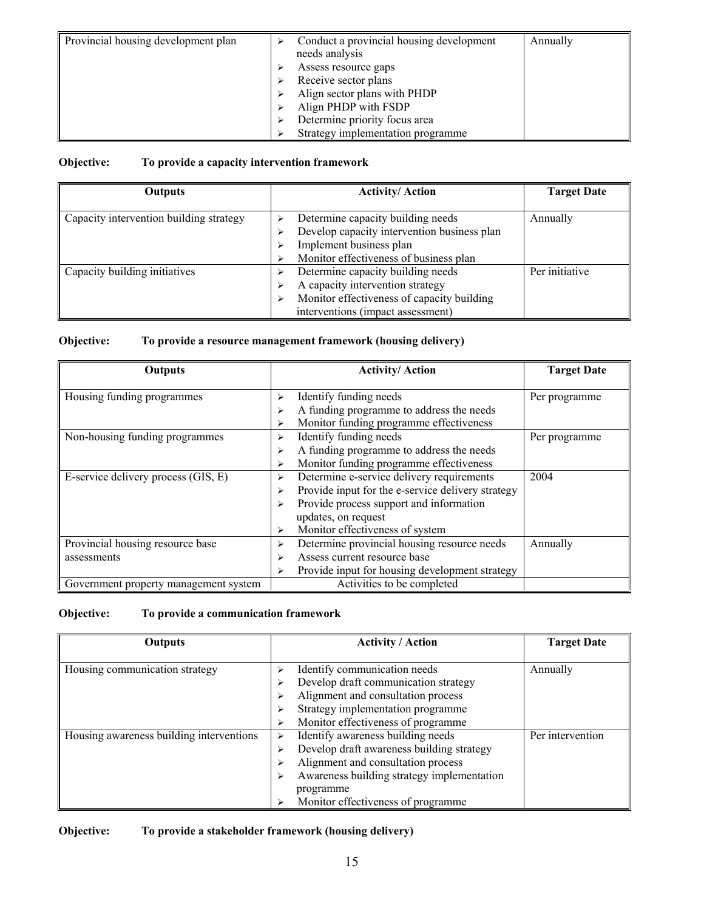| Provincial housing development plan | Conduct a provincial housing development | Annually |
|-------------------------------------|------------------------------------------|----------|
|                                     | needs analysis                           |          |
|                                     | Assess resource gaps                     |          |
|                                     | Receive sector plans                     |          |
|                                     | Align sector plans with PHDP             |          |
|                                     | Align PHDP with FSDP                     |          |
|                                     | Determine priority focus area            |          |
|                                     | Strategy implementation programme        |          |

# **Objective: To provide a capacity intervention framework**

| <b>Outputs</b>                          | <b>Activity/Action</b>                                                                                                                                     | <b>Target Date</b> |
|-----------------------------------------|------------------------------------------------------------------------------------------------------------------------------------------------------------|--------------------|
| Capacity intervention building strategy | Determine capacity building needs<br>↘<br>Develop capacity intervention business plan<br>Implement business plan<br>Monitor effectiveness of business plan | Annually           |
| Capacity building initiatives           | Determine capacity building needs<br>A capacity intervention strategy<br>Monitor effectiveness of capacity building<br>interventions (impact assessment)   | Per initiative     |

# **Objective: To provide a resource management framework (housing delivery)**

| <b>Outputs</b>                        | <b>Activity/Action</b>                                 | <b>Target Date</b> |
|---------------------------------------|--------------------------------------------------------|--------------------|
|                                       |                                                        |                    |
| Housing funding programmes            | Identify funding needs<br>⋗                            | Per programme      |
|                                       | A funding programme to address the needs<br>⋗          |                    |
|                                       | Monitor funding programme effectiveness                |                    |
| Non-housing funding programmes        | Identify funding needs<br>$\blacktriangleright$        | Per programme      |
|                                       | A funding programme to address the needs<br>↘          |                    |
|                                       | Monitor funding programme effectiveness<br>⋗           |                    |
| E-service delivery process (GIS, E)   | Determine e-service delivery requirements<br>⋗         | 2004               |
|                                       | Provide input for the e-service delivery strategy<br>⋗ |                    |
|                                       | Provide process support and information                |                    |
|                                       | updates, on request                                    |                    |
|                                       | Monitor effectiveness of system<br>⋗                   |                    |
| Provincial housing resource base      | Determine provincial housing resource needs<br>⋗       | Annually           |
| assessments                           | Assess current resource base                           |                    |
|                                       | Provide input for housing development strategy         |                    |
| Government property management system | Activities to be completed                             |                    |

# **Objective: To provide a communication framework**

| <b>Outputs</b>                           | <b>Activity / Action</b>                                                                                                                                        | <b>Target Date</b> |
|------------------------------------------|-----------------------------------------------------------------------------------------------------------------------------------------------------------------|--------------------|
| Housing communication strategy           | Identify communication needs<br>⋗<br>Develop draft communication strategy<br>Alignment and consultation process<br>Strategy implementation programme            | Annually           |
| Housing awareness building interventions | Monitor effectiveness of programme<br>Identify awareness building needs<br>⋗<br>Develop draft awareness building strategy<br>Alignment and consultation process | Per intervention   |
|                                          | Awareness building strategy implementation<br>programme<br>Monitor effectiveness of programme                                                                   |                    |

# **Objective: To provide a stakeholder framework (housing delivery)**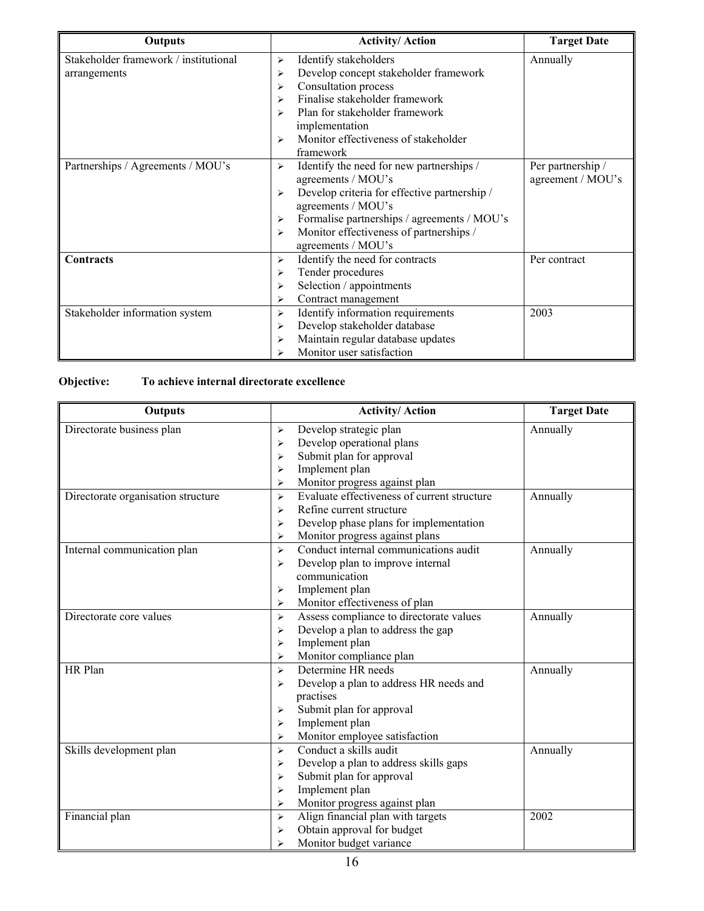| Outputs                               | <b>Activity/Action</b>                        | <b>Target Date</b> |
|---------------------------------------|-----------------------------------------------|--------------------|
| Stakeholder framework / institutional | Identify stakeholders<br>⋗                    | Annually           |
| arrangements                          | Develop concept stakeholder framework<br>↘    |                    |
|                                       | Consultation process<br>⋗                     |                    |
|                                       | Finalise stakeholder framework<br>⋗           |                    |
|                                       | Plan for stakeholder framework                |                    |
|                                       | implementation                                |                    |
|                                       | Monitor effectiveness of stakeholder<br>↘     |                    |
|                                       | framework                                     |                    |
| Partnerships / Agreements / MOU's     | Identify the need for new partnerships /<br>⋗ | Per partnership /  |
|                                       | agreements / MOU's                            | agreement / MOU's  |
|                                       | Develop criteria for effective partnership /  |                    |
|                                       | agreements / MOU's                            |                    |
|                                       | Formalise partnerships / agreements / MOU's   |                    |
|                                       | Monitor effectiveness of partnerships /<br>↘  |                    |
|                                       | agreements / MOU's                            |                    |
| Contracts                             | Identify the need for contracts<br>↘          | Per contract       |
|                                       | Tender procedures<br>⋗                        |                    |
|                                       | Selection / appointments<br>⋗                 |                    |
|                                       | Contract management<br>⋗                      |                    |
| Stakeholder information system        | Identify information requirements<br>⋗        | 2003               |
|                                       | Develop stakeholder database<br>⋗             |                    |
|                                       | Maintain regular database updates             |                    |
|                                       | Monitor user satisfaction                     |                    |

# **Objective: To achieve internal directorate excellence**

| <b>Outputs</b>                     | <b>Activity/Action</b>                                               | <b>Target Date</b> |
|------------------------------------|----------------------------------------------------------------------|--------------------|
| Directorate business plan          | Develop strategic plan<br>↘                                          | Annually           |
|                                    | Develop operational plans<br>⋗                                       |                    |
|                                    | Submit plan for approval<br>↘                                        |                    |
|                                    | Implement plan<br>↘                                                  |                    |
|                                    | Monitor progress against plan<br>⋗                                   |                    |
| Directorate organisation structure | Evaluate effectiveness of current structure<br>$\blacktriangleright$ | Annually           |
|                                    | Refine current structure<br>⋗                                        |                    |
|                                    | Develop phase plans for implementation<br>⋗                          |                    |
|                                    | Monitor progress against plans<br>⋗                                  |                    |
| Internal communication plan        | Conduct internal communications audit<br>$\blacktriangleright$       | Annually           |
|                                    | Develop plan to improve internal<br>⋗                                |                    |
|                                    | communication                                                        |                    |
|                                    | Implement plan<br>⋗                                                  |                    |
|                                    | Monitor effectiveness of plan<br>↘                                   |                    |
| Directorate core values            | Assess compliance to directorate values<br>$\blacktriangleright$     | Annually           |
|                                    | Develop a plan to address the gap<br>⋗                               |                    |
|                                    | Implement plan<br>⋗                                                  |                    |
|                                    | Monitor compliance plan<br>↘                                         |                    |
| HR Plan                            | Determine HR needs<br>$\blacktriangleright$                          | Annually           |
|                                    | Develop a plan to address HR needs and<br>↘                          |                    |
|                                    | practises                                                            |                    |
|                                    | Submit plan for approval<br>⋗                                        |                    |
|                                    | Implement plan<br>↘                                                  |                    |
|                                    | Monitor employee satisfaction<br>⋗                                   |                    |
| Skills development plan            | Conduct a skills audit<br>$\blacktriangleright$                      | Annually           |
|                                    | Develop a plan to address skills gaps<br>↘                           |                    |
|                                    | Submit plan for approval<br>⋗                                        |                    |
|                                    | Implement plan<br>↘                                                  |                    |
|                                    | Monitor progress against plan<br>⋗                                   |                    |
| Financial plan                     | Align financial plan with targets<br>$\blacktriangleright$           | 2002               |
|                                    | Obtain approval for budget<br>⋗                                      |                    |
|                                    | Monitor budget variance<br>↘                                         |                    |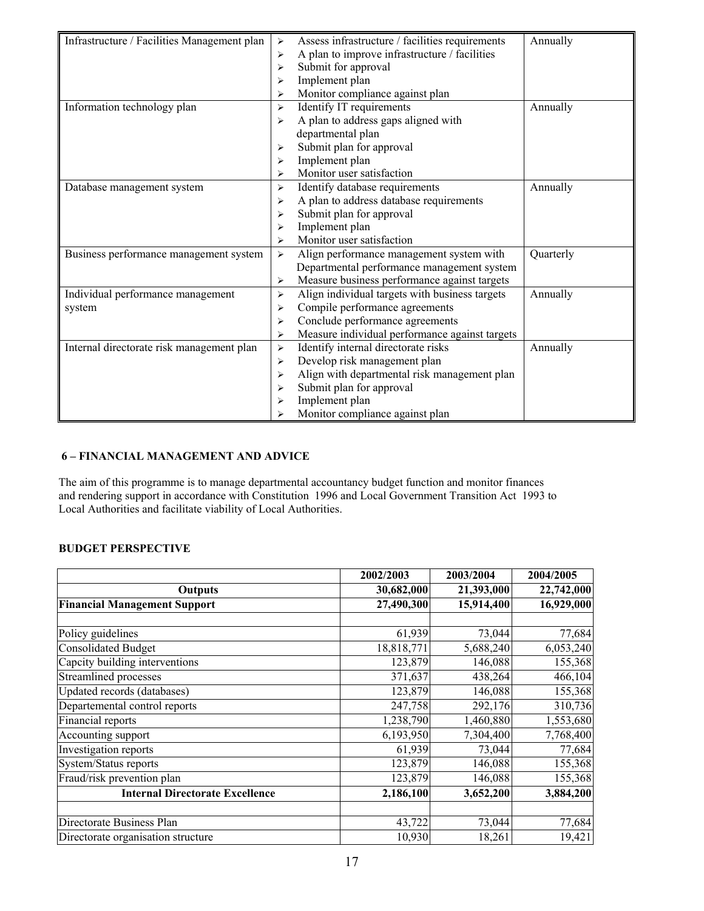| Infrastructure / Facilities Management plan | ➤                     | Assess infrastructure / facilities requirements | Annually  |
|---------------------------------------------|-----------------------|-------------------------------------------------|-----------|
|                                             |                       | A plan to improve infrastructure / facilities   |           |
|                                             |                       | Submit for approval                             |           |
|                                             |                       | Implement plan                                  |           |
|                                             |                       | Monitor compliance against plan                 |           |
| Information technology plan                 | ↘                     | Identify IT requirements                        | Annually  |
|                                             | ⋗                     | A plan to address gaps aligned with             |           |
|                                             |                       | departmental plan                               |           |
|                                             |                       | Submit plan for approval                        |           |
|                                             |                       | Implement plan                                  |           |
|                                             |                       | Monitor user satisfaction                       |           |
| Database management system                  | ⋗                     | Identify database requirements                  | Annually  |
|                                             |                       | A plan to address database requirements         |           |
|                                             |                       | Submit plan for approval                        |           |
|                                             |                       | Implement plan                                  |           |
|                                             | ⋗                     | Monitor user satisfaction                       |           |
| Business performance management system      | $\blacktriangleright$ | Align performance management system with        | Quarterly |
|                                             |                       | Departmental performance management system      |           |
|                                             | ⋗                     | Measure business performance against targets    |           |
| Individual performance management           | ⋗                     | Align individual targets with business targets  | Annually  |
| system                                      |                       | Compile performance agreements                  |           |
|                                             |                       | Conclude performance agreements                 |           |
|                                             | ⋗                     | Measure individual performance against targets  |           |
| Internal directorate risk management plan   | ↘                     | Identify internal directorate risks             | Annually  |
|                                             | ⋗                     | Develop risk management plan                    |           |
|                                             |                       | Align with departmental risk management plan    |           |
|                                             |                       | Submit plan for approval                        |           |
|                                             |                       | Implement plan                                  |           |
|                                             |                       | Monitor compliance against plan                 |           |

### **6 – FINANCIAL MANAGEMENT AND ADVICE**

The aim of this programme is to manage departmental accountancy budget function and monitor finances and rendering support in accordance with Constitution 1996 and Local Government Transition Act 1993 to Local Authorities and facilitate viability of Local Authorities.

### **BUDGET PERSPECTIVE**

|                                        | 2002/2003  | 2003/2004  | 2004/2005  |
|----------------------------------------|------------|------------|------------|
| Outputs                                | 30,682,000 | 21,393,000 | 22,742,000 |
| <b>Financial Management Support</b>    | 27,490,300 | 15,914,400 | 16,929,000 |
|                                        |            |            |            |
| Policy guidelines                      | 61,939     | 73,044     | 77,684     |
| <b>Consolidated Budget</b>             | 18,818,771 | 5,688,240  | 6,053,240  |
| Capcity building interventions         | 123,879    | 146,088    | 155,368    |
| Streamlined processes                  | 371,637    | 438,264    | 466,104    |
| Updated records (databases)            | 123,879    | 146,088    | 155,368    |
| Departemental control reports          | 247,758    | 292,176    | 310,736    |
| Financial reports                      | 1,238,790  | 1,460,880  | 1,553,680  |
| Accounting support                     | 6,193,950  | 7,304,400  | 7,768,400  |
| Investigation reports                  | 61,939     | 73,044     | 77,684     |
| System/Status reports                  | 123,879    | 146,088    | 155,368    |
| Fraud/risk prevention plan             | 123,879    | 146,088    | 155,368    |
| <b>Internal Directorate Excellence</b> | 2,186,100  | 3,652,200  | 3,884,200  |
|                                        |            |            |            |
| Directorate Business Plan              | 43,722     | 73,044     | 77,684     |
| Directorate organisation structure     | 10,930     | 18,261     | 19,421     |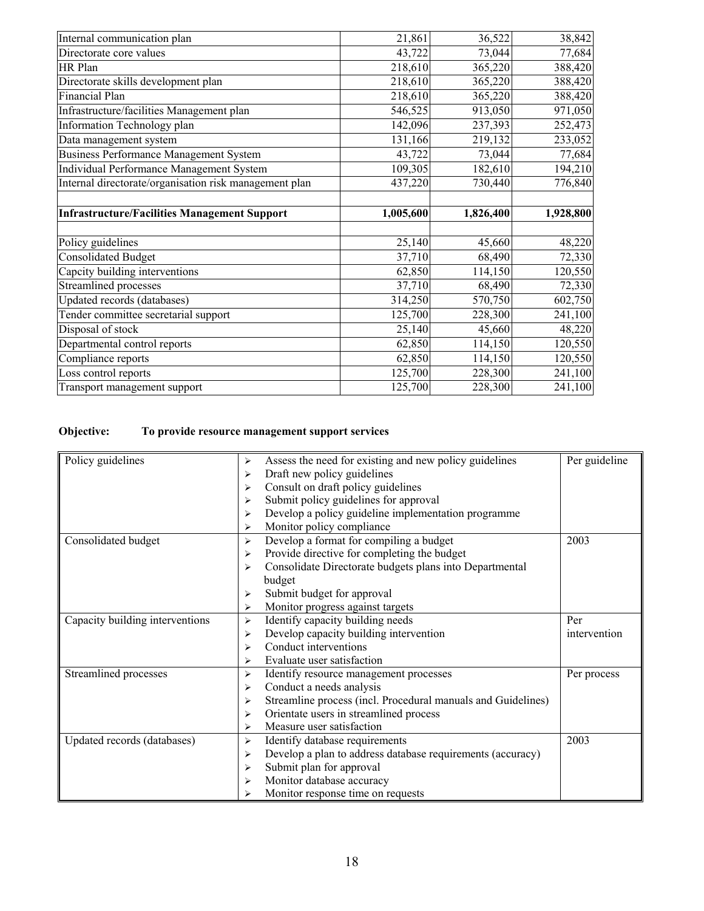| 21,861    | 36,522             | 38,842             |
|-----------|--------------------|--------------------|
| 43,722    | 73,044             | 77,684             |
| 218,610   | 365,220            | 388,420            |
| 218,610   | 365,220            | 388,420            |
| 218,610   | 365,220            | 388,420            |
| 546,525   | 913,050            | 971,050            |
| 142,096   | 237,393            | 252,473            |
| 131,166   | 219,132            | 233,052            |
| 43,722    | 73,044             | 77,684             |
| 109,305   | 182,610            | 194,210            |
| 437,220   | 730,440            | 776,840            |
|           |                    |                    |
| 1,005,600 | 1,826,400          | 1,928,800          |
|           |                    |                    |
| 25,140    | 45,660             | 48,220             |
|           |                    |                    |
| 37,710    | 68,490             | 72,330             |
| 62,850    | 114,150            | 120,550            |
| 37,710    | 68,490             | 72,330             |
| 314,250   | 570,750            | 602,750            |
| 125,700   | 228,300            | 241,100            |
| 25,140    | 45,660             | 48,220             |
| 62,850    | 114,150            | 120,550            |
| 62,850    | 114,150            | 120,550            |
| 125,700   | 228,300<br>228,300 | 241,100<br>241,100 |
|           |                    |                    |

# **Objective: To provide resource management support services**

| Policy guidelines               | ⋗ | Assess the need for existing and new policy guidelines       | Per guideline |
|---------------------------------|---|--------------------------------------------------------------|---------------|
|                                 | ⋗ | Draft new policy guidelines                                  |               |
|                                 | ➤ | Consult on draft policy guidelines                           |               |
|                                 | ➤ | Submit policy guidelines for approval                        |               |
|                                 |   |                                                              |               |
|                                 | ➤ | Develop a policy guideline implementation programme          |               |
|                                 | ➤ | Monitor policy compliance                                    |               |
| Consolidated budget             | ➤ | Develop a format for compiling a budget                      | 2003          |
|                                 | ➤ | Provide directive for completing the budget                  |               |
|                                 | ➤ | Consolidate Directorate budgets plans into Departmental      |               |
|                                 |   | budget                                                       |               |
|                                 | ⋗ | Submit budget for approval                                   |               |
|                                 | ➤ | Monitor progress against targets                             |               |
| Capacity building interventions | ➤ | Identify capacity building needs                             | Per           |
|                                 | ➤ | Develop capacity building intervention                       | intervention  |
|                                 | ↘ | Conduct interventions                                        |               |
|                                 | ⋗ | Evaluate user satisfaction                                   |               |
| Streamlined processes           | ➤ | Identify resource management processes                       | Per process   |
|                                 | ➤ | Conduct a needs analysis                                     |               |
|                                 | ➤ | Streamline process (incl. Procedural manuals and Guidelines) |               |
|                                 | ⋗ | Orientate users in streamlined process                       |               |
|                                 | ⋗ | Measure user satisfaction                                    |               |
| Updated records (databases)     | ➤ | Identify database requirements                               | 2003          |
|                                 | ➤ | Develop a plan to address database requirements (accuracy)   |               |
|                                 | ➤ | Submit plan for approval                                     |               |
|                                 | ⋗ | Monitor database accuracy                                    |               |
|                                 | ⋗ | Monitor response time on requests                            |               |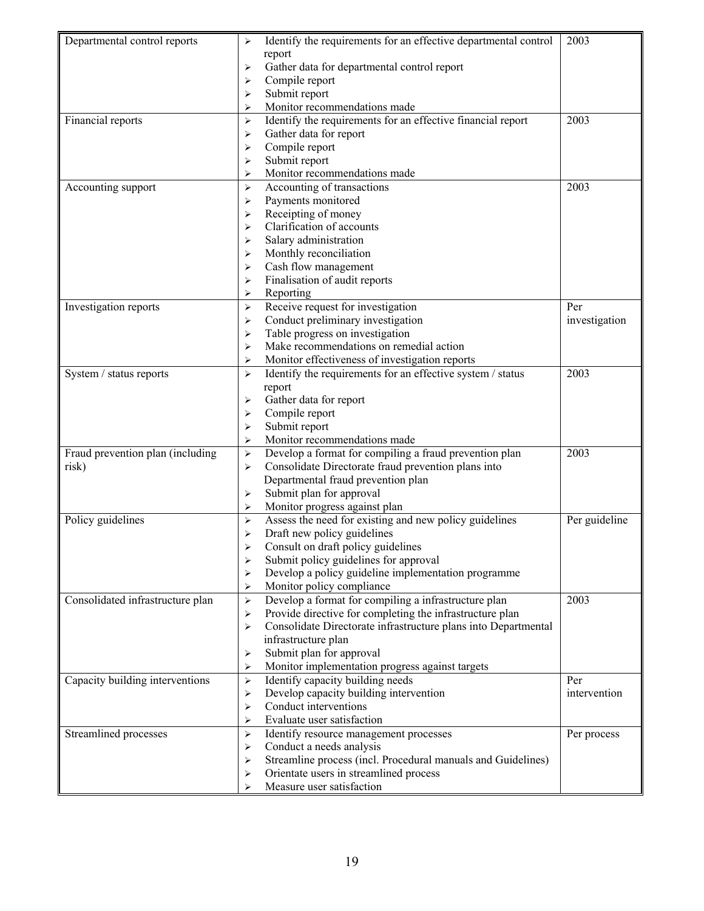| Departmental control reports     | ➤      | Identify the requirements for an effective departmental control            | 2003          |
|----------------------------------|--------|----------------------------------------------------------------------------|---------------|
|                                  |        | report                                                                     |               |
|                                  | ➤      | Gather data for departmental control report                                |               |
|                                  | ➤      | Compile report                                                             |               |
|                                  | ➤      | Submit report                                                              |               |
|                                  | ➤      | Monitor recommendations made                                               |               |
| Financial reports                | ➤      | Identify the requirements for an effective financial report                | 2003          |
|                                  | ⋗      | Gather data for report                                                     |               |
|                                  | ⋗      | Compile report                                                             |               |
|                                  | ➤      | Submit report                                                              |               |
|                                  | ⋗      | Monitor recommendations made                                               |               |
| Accounting support               | ⋗      | Accounting of transactions                                                 | 2003          |
|                                  | ➤      | Payments monitored                                                         |               |
|                                  | ➤      | Receipting of money                                                        |               |
|                                  | ➤      | Clarification of accounts                                                  |               |
|                                  | ⋗      | Salary administration                                                      |               |
|                                  | ➤      | Monthly reconciliation                                                     |               |
|                                  | ➤      | Cash flow management                                                       |               |
|                                  | ➤      | Finalisation of audit reports                                              |               |
|                                  | ➤      | Reporting                                                                  |               |
| Investigation reports            | ➤      | Receive request for investigation                                          | Per           |
|                                  | ⋗      | Conduct preliminary investigation                                          | investigation |
|                                  | ⋗      | Table progress on investigation<br>Make recommendations on remedial action |               |
|                                  | ➤      |                                                                            |               |
|                                  | ➤      | Monitor effectiveness of investigation reports                             | 2003          |
| System / status reports          | ⋗      | Identify the requirements for an effective system / status                 |               |
|                                  |        | report<br>Gather data for report                                           |               |
|                                  | ➤<br>➤ | Compile report                                                             |               |
|                                  | ⋗      | Submit report                                                              |               |
|                                  | ➤      | Monitor recommendations made                                               |               |
| Fraud prevention plan (including | ⋗      | Develop a format for compiling a fraud prevention plan                     | 2003          |
| risk)                            | ⋗      | Consolidate Directorate fraud prevention plans into                        |               |
|                                  |        | Departmental fraud prevention plan                                         |               |
|                                  | ➤      | Submit plan for approval                                                   |               |
|                                  | ⋗      | Monitor progress against plan                                              |               |
| Policy guidelines                | ➤      | Assess the need for existing and new policy guidelines                     | Per guideline |
|                                  | ⋗      | Draft new policy guidelines                                                |               |
|                                  |        | Consult on draft policy guidelines                                         |               |
|                                  | ➤      | Submit policy guidelines for approval                                      |               |
|                                  | ➤      | Develop a policy guideline implementation programme                        |               |
|                                  | ➤      | Monitor policy compliance                                                  |               |
| Consolidated infrastructure plan | ➤      | Develop a format for compiling a infrastructure plan                       | 2003          |
|                                  | ⋗      | Provide directive for completing the infrastructure plan                   |               |
|                                  | ➤      | Consolidate Directorate infrastructure plans into Departmental             |               |
|                                  |        | infrastructure plan                                                        |               |
|                                  | ➤      | Submit plan for approval                                                   |               |
|                                  | ➤      | Monitor implementation progress against targets                            |               |
| Capacity building interventions  | ➤      | Identify capacity building needs                                           | Per           |
|                                  | ➤      | Develop capacity building intervention                                     | intervention  |
|                                  | ➤      | Conduct interventions                                                      |               |
|                                  | ➤      | Evaluate user satisfaction                                                 |               |
| Streamlined processes            | ➤      | Identify resource management processes                                     | Per process   |
|                                  | ➤      | Conduct a needs analysis                                                   |               |
|                                  | ➤      | Streamline process (incl. Procedural manuals and Guidelines)               |               |
|                                  | ➤      | Orientate users in streamlined process                                     |               |
|                                  | ⋗      | Measure user satisfaction                                                  |               |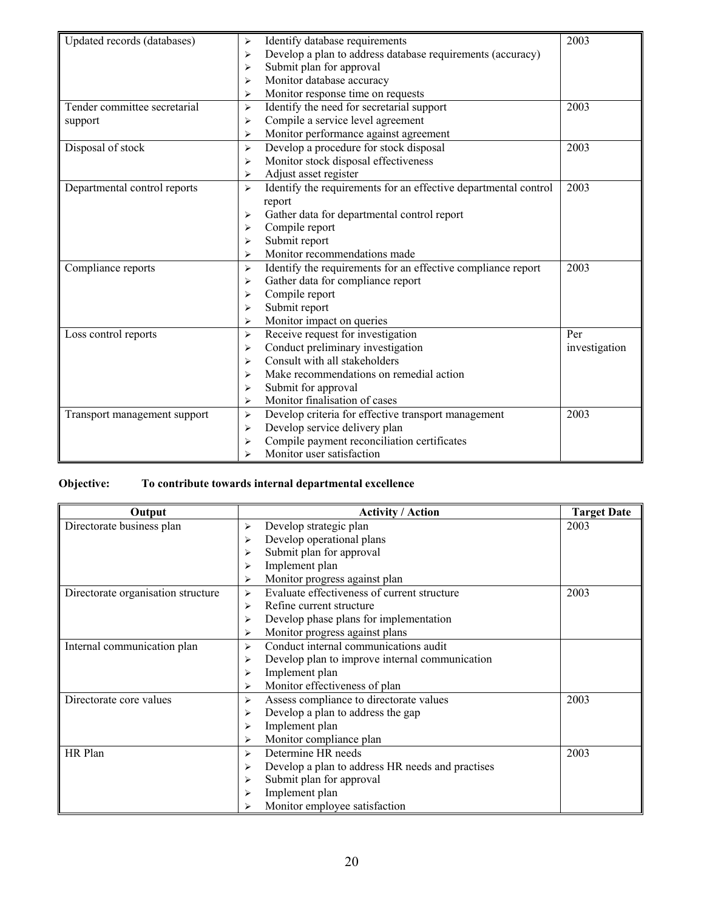| Updated records (databases)  | Identify database requirements<br>➤                                                   | 2003          |
|------------------------------|---------------------------------------------------------------------------------------|---------------|
|                              | Develop a plan to address database requirements (accuracy)<br>⋗                       |               |
|                              | Submit plan for approval<br>⋗                                                         |               |
|                              | Monitor database accuracy<br>⋗                                                        |               |
|                              | Monitor response time on requests<br>➤                                                |               |
| Tender committee secretarial | Identify the need for secretarial support<br>➤                                        | 2003          |
| support                      | Compile a service level agreement<br>⋗                                                |               |
|                              | Monitor performance against agreement<br>⋗                                            |               |
| Disposal of stock            | Develop a procedure for stock disposal<br>➤                                           | 2003          |
|                              | Monitor stock disposal effectiveness<br>⋗                                             |               |
|                              | Adjust asset register<br>➤                                                            |               |
| Departmental control reports | Identify the requirements for an effective departmental control<br>➤                  | 2003          |
|                              | report                                                                                |               |
|                              | Gather data for departmental control report<br>➤                                      |               |
|                              | Compile report<br>⋗                                                                   |               |
|                              | Submit report<br>⋗                                                                    |               |
|                              | Monitor recommendations made<br>⋗                                                     |               |
| Compliance reports           | Identify the requirements for an effective compliance report<br>$\blacktriangleright$ | 2003          |
|                              | Gather data for compliance report<br>➤                                                |               |
|                              | Compile report<br>⋗                                                                   |               |
|                              | Submit report<br>⋗                                                                    |               |
|                              | Monitor impact on queries<br>➤                                                        |               |
| Loss control reports         | Receive request for investigation<br>➤                                                | Per           |
|                              | Conduct preliminary investigation<br>⋗                                                | investigation |
|                              | Consult with all stakeholders<br>↘                                                    |               |
|                              | Make recommendations on remedial action<br>⋗                                          |               |
|                              | Submit for approval<br>⋗                                                              |               |
|                              | Monitor finalisation of cases<br>⋗                                                    |               |
| Transport management support | Develop criteria for effective transport management<br>➤                              | 2003          |
|                              | Develop service delivery plan<br>⋗                                                    |               |
|                              | Compile payment reconciliation certificates<br>⋗                                      |               |
|                              | Monitor user satisfaction                                                             |               |

# **Objective: To contribute towards internal departmental excellence**

| Output                             | <b>Activity / Action</b>                              | <b>Target Date</b> |
|------------------------------------|-------------------------------------------------------|--------------------|
| Directorate business plan          | Develop strategic plan<br>➤                           | 2003               |
|                                    | Develop operational plans<br>⋗                        |                    |
|                                    | Submit plan for approval<br>⋗                         |                    |
|                                    | Implement plan<br>⋗                                   |                    |
|                                    | Monitor progress against plan<br>➤                    |                    |
| Directorate organisation structure | Evaluate effectiveness of current structure<br>⋗      | 2003               |
|                                    | Refine current structure<br>⋗                         |                    |
|                                    | Develop phase plans for implementation<br>➤           |                    |
|                                    | Monitor progress against plans<br>⋗                   |                    |
| Internal communication plan        | Conduct internal communications audit<br>⋗            |                    |
|                                    | Develop plan to improve internal communication<br>⋗   |                    |
|                                    | Implement plan<br>⋗                                   |                    |
|                                    | Monitor effectiveness of plan<br>⋗                    |                    |
| Directorate core values            | Assess compliance to directorate values<br>➤          | 2003               |
|                                    | Develop a plan to address the gap<br>➤                |                    |
|                                    | Implement plan<br>⋗                                   |                    |
|                                    | Monitor compliance plan<br>⋗                          |                    |
| HR Plan                            | Determine HR needs<br>↘                               | 2003               |
|                                    | Develop a plan to address HR needs and practises<br>⋗ |                    |
|                                    | Submit plan for approval<br>⋗                         |                    |
|                                    | Implement plan<br>⋗                                   |                    |
|                                    | Monitor employee satisfaction                         |                    |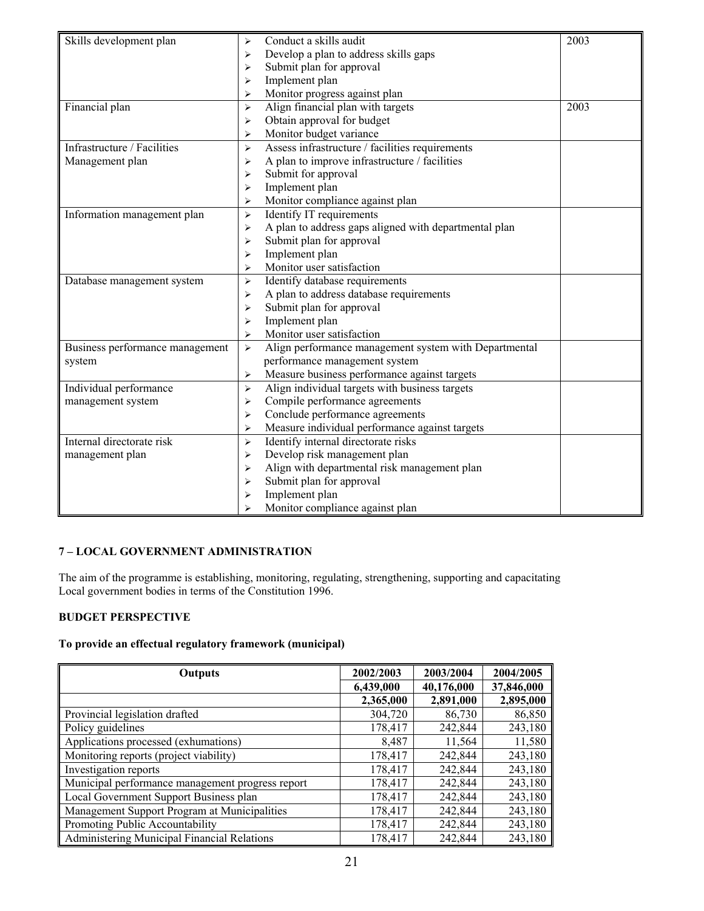| Skills development plan         | ➤                     | Conduct a skills audit                                | 2003 |
|---------------------------------|-----------------------|-------------------------------------------------------|------|
|                                 | ➤                     | Develop a plan to address skills gaps                 |      |
|                                 | ⋗                     | Submit plan for approval                              |      |
|                                 | ➤                     | Implement plan                                        |      |
|                                 | ⋗                     | Monitor progress against plan                         |      |
| Financial plan                  | $\blacktriangleright$ | Align financial plan with targets                     | 2003 |
|                                 | ➤                     | Obtain approval for budget                            |      |
|                                 | ➤                     | Monitor budget variance                               |      |
| Infrastructure / Facilities     | ➤                     | Assess infrastructure / facilities requirements       |      |
| Management plan                 | ➤                     | A plan to improve infrastructure / facilities         |      |
|                                 | ➤                     | Submit for approval                                   |      |
|                                 | ➤                     | Implement plan                                        |      |
|                                 | ➤                     | Monitor compliance against plan                       |      |
| Information management plan     | $\blacktriangleright$ | Identify IT requirements                              |      |
|                                 | ⋗                     | A plan to address gaps aligned with departmental plan |      |
|                                 | ⋗                     | Submit plan for approval                              |      |
|                                 | ⋗                     | Implement plan                                        |      |
|                                 | ➤                     | Monitor user satisfaction                             |      |
| Database management system      | ⋗                     | Identify database requirements                        |      |
|                                 | ➤                     | A plan to address database requirements               |      |
|                                 | ⋗                     | Submit plan for approval                              |      |
|                                 | ➤                     | Implement plan                                        |      |
|                                 | ➤                     | Monitor user satisfaction                             |      |
| Business performance management | $\blacktriangleright$ | Align performance management system with Departmental |      |
| system                          |                       | performance management system                         |      |
|                                 | ➤                     | Measure business performance against targets          |      |
| Individual performance          | ➤                     | Align individual targets with business targets        |      |
| management system               | ➤                     | Compile performance agreements                        |      |
|                                 | ➤                     | Conclude performance agreements                       |      |
|                                 | ⋗                     | Measure individual performance against targets        |      |
| Internal directorate risk       | ➤                     | Identify internal directorate risks                   |      |
| management plan                 | $\blacktriangleright$ | Develop risk management plan                          |      |
|                                 | ➤                     | Align with departmental risk management plan          |      |
|                                 | ➤                     | Submit plan for approval                              |      |
|                                 | ➤                     | Implement plan                                        |      |
|                                 | $\blacktriangleright$ | Monitor compliance against plan                       |      |

### **7 – LOCAL GOVERNMENT ADMINISTRATION**

The aim of the programme is establishing, monitoring, regulating, strengthening, supporting and capacitating Local government bodies in terms of the Constitution 1996.

### **BUDGET PERSPECTIVE**

# **To provide an effectual regulatory framework (municipal)**

| <b>Outputs</b>                                   | 2002/2003 | 2003/2004  | 2004/2005  |
|--------------------------------------------------|-----------|------------|------------|
|                                                  | 6,439,000 | 40,176,000 | 37,846,000 |
|                                                  | 2,365,000 | 2,891,000  | 2,895,000  |
| Provincial legislation drafted                   | 304,720   | 86,730     | 86,850     |
| Policy guidelines                                | 178,417   | 242,844    | 243,180    |
| Applications processed (exhumations)             | 8,487     | 11,564     | 11,580     |
| Monitoring reports (project viability)           | 178,417   | 242,844    | 243,180    |
| Investigation reports                            | 178,417   | 242,844    | 243,180    |
| Municipal performance management progress report | 178,417   | 242,844    | 243,180    |
| Local Government Support Business plan           | 178,417   | 242,844    | 243,180    |
| Management Support Program at Municipalities     | 178,417   | 242,844    | 243,180    |
| Promoting Public Accountability                  | 178,417   | 242,844    | 243,180    |
| Administering Municipal Financial Relations      | 178,417   | 242,844    | 243,180    |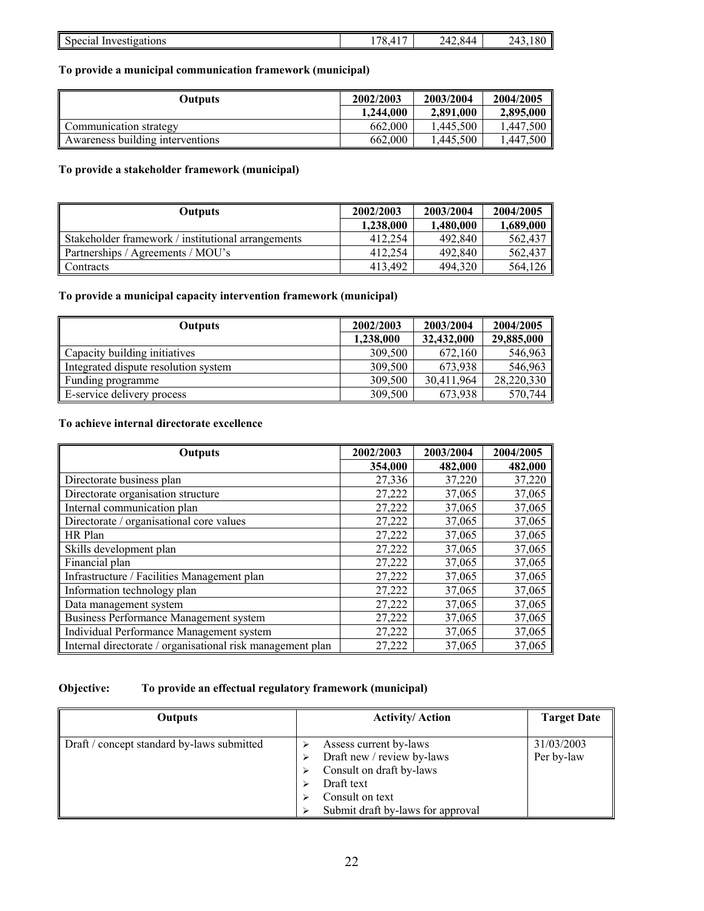|  | $\overline{\phantom{a}}$<br>Investigations<br>Special<br>HIVE | $\sqrt{2}$<br>.<br>ັ<br>$\mathbf{r}$ | $\overline{\phantom{a}}$<br>$\Lambda$<br>.<br>$\Delta\Delta$<br>′ ∠⊾<br>-<br>-- | $\Omega$<br>$11^\circ$<br>' ou<br>∸<br>. |
|--|---------------------------------------------------------------|--------------------------------------|---------------------------------------------------------------------------------|------------------------------------------|
|--|---------------------------------------------------------------|--------------------------------------|---------------------------------------------------------------------------------|------------------------------------------|

**To provide a municipal communication framework (municipal)** 

| <b>Outputs</b>                   | 2002/2003 | 2003/2004 | 2004/2005 |
|----------------------------------|-----------|-----------|-----------|
|                                  | 1,244,000 | 2,891,000 | 2,895,000 |
| Communication strategy           | 662,000   | 1.445.500 | .447.500  |
| Awareness building interventions | 662,000   | 1.445.500 | ,447,500  |

### **To provide a stakeholder framework (municipal)**

| <b>Outputs</b>                                     | 2002/2003 | 2003/2004 | 2004/2005 |
|----------------------------------------------------|-----------|-----------|-----------|
|                                                    | 1.238.000 | 1.480.000 | 1,689,000 |
| Stakeholder framework / institutional arrangements | 412.254   | 492,840   | 562,437   |
| Partnerships / Agreements / MOU's                  | 412.254   | 492,840   | 562,437   |
| <b>Contracts</b>                                   | 413.492   | 494.320   | 564,126   |

### **To provide a municipal capacity intervention framework (municipal)**

| <b>Outputs</b>                       | 2002/2003 | 2003/2004  | 2004/2005  |
|--------------------------------------|-----------|------------|------------|
|                                      | 1,238,000 | 32,432,000 | 29,885,000 |
| Capacity building initiatives        | 309,500   | 672,160    | 546,963    |
| Integrated dispute resolution system | 309,500   | 673,938    | 546,963    |
| Funding programme                    | 309,500   | 30,411,964 | 28,220,330 |
| E-service delivery process           | 309,500   | 673,938    | 570,744    |

### **To achieve internal directorate excellence**

| <b>Outputs</b>                                             | 2002/2003 | 2003/2004 | 2004/2005 |
|------------------------------------------------------------|-----------|-----------|-----------|
|                                                            | 354,000   | 482,000   | 482,000   |
| Directorate business plan                                  | 27,336    | 37,220    | 37,220    |
| Directorate organisation structure                         | 27,222    | 37,065    | 37,065    |
| Internal communication plan                                | 27,222    | 37,065    | 37,065    |
| Directorate / organisational core values                   | 27,222    | 37,065    | 37,065    |
| HR Plan                                                    | 27,222    | 37,065    | 37,065    |
| Skills development plan                                    | 27,222    | 37,065    | 37,065    |
| Financial plan                                             | 27,222    | 37,065    | 37,065    |
| Infrastructure / Facilities Management plan                | 27,222    | 37,065    | 37,065    |
| Information technology plan                                | 27,222    | 37,065    | 37,065    |
| Data management system                                     | 27,222    | 37,065    | 37,065    |
| Business Performance Management system                     | 27,222    | 37,065    | 37,065    |
| Individual Performance Management system                   | 27,222    | 37,065    | 37,065    |
| Internal directorate / organisational risk management plan | 27,222    | 37,065    | 37,065    |

### **Objective: To provide an effectual regulatory framework (municipal)**

| Outputs                                    | <b>Activity/Action</b>                                                                                                                                 | <b>Target Date</b>       |
|--------------------------------------------|--------------------------------------------------------------------------------------------------------------------------------------------------------|--------------------------|
| Draft / concept standard by-laws submitted | Assess current by-laws<br>Draft new / review by-laws<br>Consult on draft by-laws<br>Draft text<br>Consult on text<br>Submit draft by-laws for approval | 31/03/2003<br>Per by-law |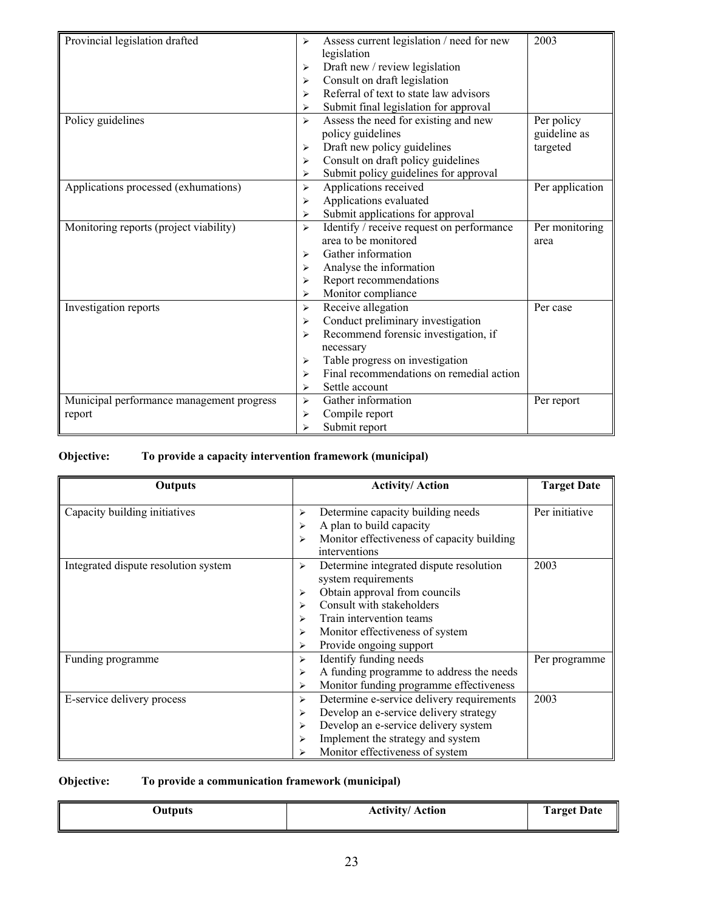| Provincial legislation drafted            | ⋗ | Assess current legislation / need for new | 2003            |
|-------------------------------------------|---|-------------------------------------------|-----------------|
|                                           |   | legislation                               |                 |
|                                           | ➤ | Draft new / review legislation            |                 |
|                                           | ➤ | Consult on draft legislation              |                 |
|                                           | ↘ | Referral of text to state law advisors    |                 |
|                                           | ⋗ | Submit final legislation for approval     |                 |
| Policy guidelines                         | ↘ | Assess the need for existing and new      | Per policy      |
|                                           |   | policy guidelines                         | guideline as    |
|                                           | ⋗ | Draft new policy guidelines               | targeted        |
|                                           | ⋗ | Consult on draft policy guidelines        |                 |
|                                           | ⋗ | Submit policy guidelines for approval     |                 |
| Applications processed (exhumations)      | ➤ | Applications received                     | Per application |
|                                           | ⋗ | Applications evaluated                    |                 |
|                                           | ➤ | Submit applications for approval          |                 |
| Monitoring reports (project viability)    | ⋗ | Identify / receive request on performance | Per monitoring  |
|                                           |   | area to be monitored                      | area            |
|                                           | ⋗ | Gather information                        |                 |
|                                           | ➤ | Analyse the information                   |                 |
|                                           | ⋗ | Report recommendations                    |                 |
|                                           | ⋗ | Monitor compliance                        |                 |
| Investigation reports                     | ➤ | Receive allegation                        | Per case        |
|                                           | ⋗ | Conduct preliminary investigation         |                 |
|                                           | ⋗ | Recommend forensic investigation, if      |                 |
|                                           |   | necessary                                 |                 |
|                                           | ➤ | Table progress on investigation           |                 |
|                                           | ⋗ | Final recommendations on remedial action  |                 |
|                                           | ⋗ | Settle account                            |                 |
| Municipal performance management progress | ➤ | Gather information                        | Per report      |
| report                                    | ➤ | Compile report                            |                 |
|                                           |   | Submit report                             |                 |

# **Objective: To provide a capacity intervention framework (municipal)**

| <b>Outputs</b>                       | <b>Activity/Action</b>                                                                                                                                                                                                                                         | <b>Target Date</b> |
|--------------------------------------|----------------------------------------------------------------------------------------------------------------------------------------------------------------------------------------------------------------------------------------------------------------|--------------------|
| Capacity building initiatives        | Determine capacity building needs<br>⋗<br>A plan to build capacity<br>⋗<br>Monitor effectiveness of capacity building<br>⋗<br>interventions                                                                                                                    | Per initiative     |
| Integrated dispute resolution system | Determine integrated dispute resolution<br>$\blacktriangleright$<br>system requirements<br>Obtain approval from councils<br>⋗<br>Consult with stakeholders<br>Train intervention teams<br>Monitor effectiveness of system<br>⋗<br>Provide ongoing support<br>⋗ | 2003               |
| Funding programme                    | Identify funding needs<br>↘<br>A funding programme to address the needs<br>⋗<br>Monitor funding programme effectiveness<br>⋗                                                                                                                                   | Per programme      |
| E-service delivery process           | Determine e-service delivery requirements<br>⋗<br>Develop an e-service delivery strategy<br>↘<br>Develop an e-service delivery system<br>⋗<br>Implement the strategy and system<br>Monitor effectiveness of system<br>⋗                                        | 2003               |

**Objective: To provide a communication framework (municipal)** 

| Outputs | <b>Activity/ Action</b> | <b>Target Date</b> |
|---------|-------------------------|--------------------|
|         |                         |                    |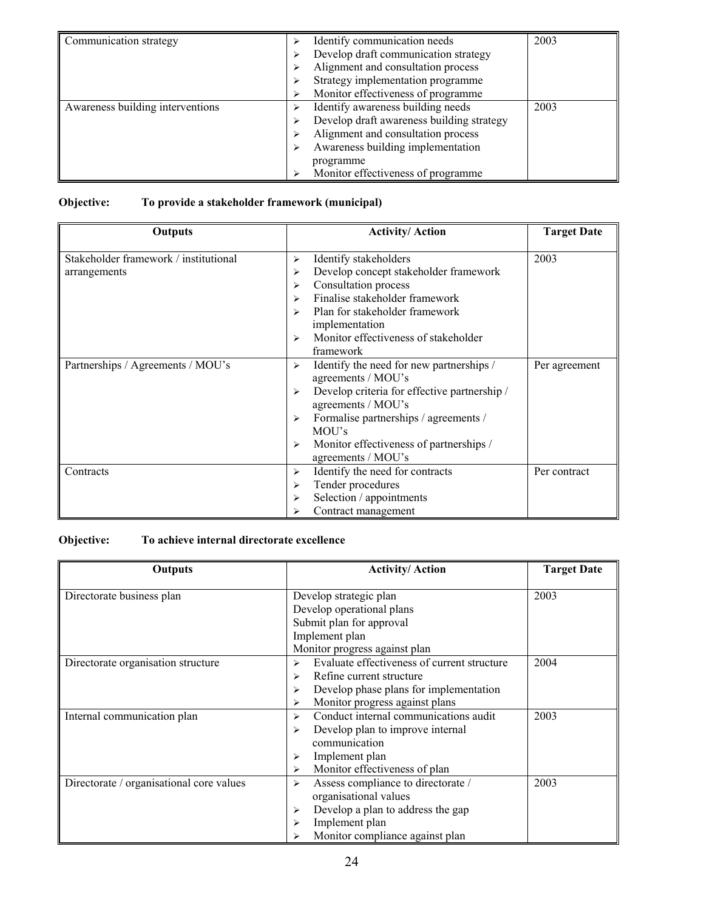| Communication strategy           |   | Identify communication needs<br>Develop draft communication strategy<br>Alignment and consultation process<br>Strategy implementation programme<br>Monitor effectiveness of programme                        | 2003 |
|----------------------------------|---|--------------------------------------------------------------------------------------------------------------------------------------------------------------------------------------------------------------|------|
| Awareness building interventions | ⋗ | Identify awareness building needs<br>Develop draft awareness building strategy<br>Alignment and consultation process<br>Awareness building implementation<br>programme<br>Monitor effectiveness of programme | 2003 |

# **Objective: To provide a stakeholder framework (municipal)**

| <b>Outputs</b>                                        | <b>Activity/Action</b>                                                                                                                                                                                                                                                                     | <b>Target Date</b> |
|-------------------------------------------------------|--------------------------------------------------------------------------------------------------------------------------------------------------------------------------------------------------------------------------------------------------------------------------------------------|--------------------|
| Stakeholder framework / institutional<br>arrangements | Identify stakeholders<br>⋗<br>Develop concept stakeholder framework<br>⋗<br>Consultation process<br>⋗<br>Finalise stakeholder framework<br>↘<br>Plan for stakeholder framework<br>$\blacktriangleright$<br>implementation<br>Monitor effectiveness of stakeholder<br>↘<br>framework        | 2003               |
| Partnerships / Agreements / MOU's                     | Identify the need for new partnerships /<br>$\blacktriangleright$<br>agreements / MOU's<br>Develop criteria for effective partnership /<br>➤<br>agreements / MOU's<br>Formalise partnerships / agreements /<br>MOU's<br>Monitor effectiveness of partnerships /<br>➤<br>agreements / MOU's | Per agreement      |
| Contracts                                             | Identify the need for contracts<br>⋗<br>Tender procedures<br>⋗<br>Selection / appointments<br>Contract management                                                                                                                                                                          | Per contract       |

# **Objective: To achieve internal directorate excellence**

| <b>Outputs</b>                           | <b>Activity/Action</b>                                                                                                                                                                                   | <b>Target Date</b> |
|------------------------------------------|----------------------------------------------------------------------------------------------------------------------------------------------------------------------------------------------------------|--------------------|
| Directorate business plan                | Develop strategic plan<br>Develop operational plans<br>Submit plan for approval<br>Implement plan                                                                                                        | 2003               |
| Directorate organisation structure       | Monitor progress against plan<br>Evaluate effectiveness of current structure<br>↘<br>Refine current structure<br>⋗<br>Develop phase plans for implementation<br>➤<br>Monitor progress against plans<br>⋗ | 2004               |
| Internal communication plan              | Conduct internal communications audit<br>↘<br>Develop plan to improve internal<br>⋗<br>communication<br>Implement plan<br>⋗<br>Monitor effectiveness of plan                                             | 2003               |
| Directorate / organisational core values | Assess compliance to directorate /<br>$\blacktriangleright$<br>organisational values<br>Develop a plan to address the gap<br>⋗<br>Implement plan<br>Monitor compliance against plan                      | 2003               |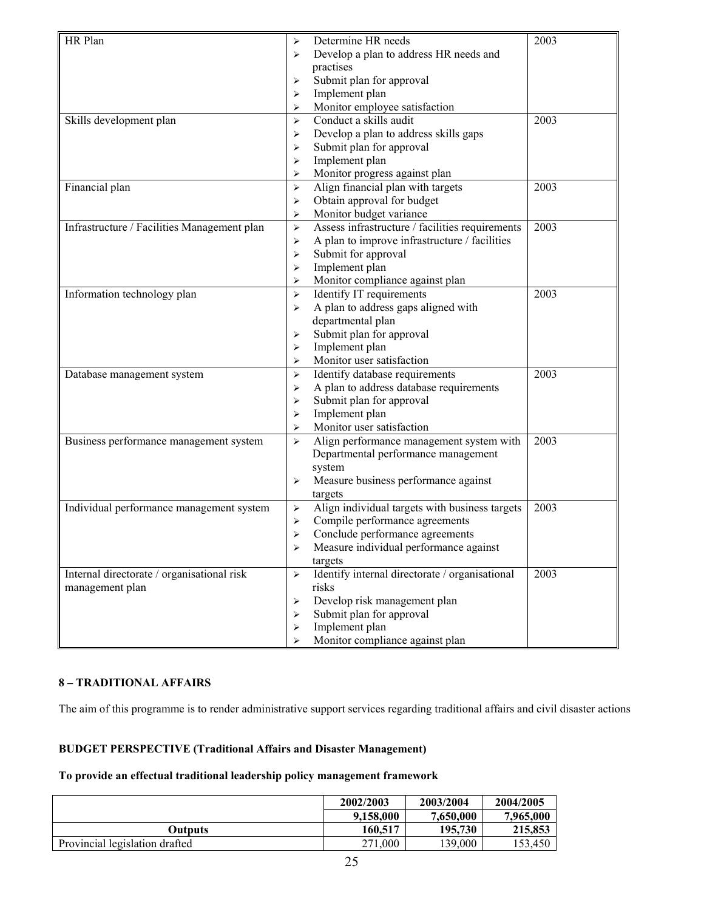| HR Plan                                     | ⋗                     | Determine HR needs                                                               | 2003 |
|---------------------------------------------|-----------------------|----------------------------------------------------------------------------------|------|
|                                             | ⋗                     | Develop a plan to address HR needs and                                           |      |
|                                             |                       | practises                                                                        |      |
|                                             | ⋗                     | Submit plan for approval                                                         |      |
|                                             | ➤                     | Implement plan                                                                   |      |
|                                             | ⋗                     | Monitor employee satisfaction                                                    |      |
| Skills development plan                     | ⋗                     | Conduct a skills audit                                                           | 2003 |
|                                             | ⋗                     | Develop a plan to address skills gaps                                            |      |
|                                             | ⋗                     | Submit plan for approval                                                         |      |
|                                             | ⋗                     | Implement plan                                                                   |      |
|                                             | ⋗                     | Monitor progress against plan                                                    |      |
| Financial plan                              | $\blacktriangleright$ | Align financial plan with targets                                                | 2003 |
|                                             | ➤                     | Obtain approval for budget                                                       |      |
|                                             | ➤                     | Monitor budget variance                                                          |      |
| Infrastructure / Facilities Management plan | ➤                     | Assess infrastructure / facilities requirements                                  | 2003 |
|                                             | ➤                     | A plan to improve infrastructure / facilities                                    |      |
|                                             | ➤                     | Submit for approval                                                              |      |
|                                             | ➤                     | Implement plan                                                                   |      |
|                                             | ➤                     | Monitor compliance against plan                                                  |      |
| Information technology plan                 | ➤                     | Identify IT requirements                                                         | 2003 |
|                                             | ⋗                     | A plan to address gaps aligned with                                              |      |
|                                             |                       | departmental plan                                                                |      |
|                                             | ⋗                     | Submit plan for approval                                                         |      |
|                                             | ⋗                     | Implement plan                                                                   |      |
|                                             | ⋗                     | Monitor user satisfaction                                                        |      |
|                                             | $\blacktriangleright$ | Identify database requirements                                                   | 2003 |
| Database management system                  | ⋗                     | A plan to address database requirements                                          |      |
|                                             |                       | Submit plan for approval                                                         |      |
|                                             | ➤<br>➤                | Implement plan                                                                   |      |
|                                             | ⋗                     | Monitor user satisfaction                                                        |      |
|                                             | $\blacktriangleright$ |                                                                                  | 2003 |
| Business performance management system      |                       | Align performance management system with                                         |      |
|                                             |                       | Departmental performance management<br>system                                    |      |
|                                             |                       | Measure business performance against                                             |      |
|                                             | ➤                     |                                                                                  |      |
|                                             |                       | targets                                                                          | 2003 |
| Individual performance management system    | ⋗<br>⋗                | Align individual targets with business targets<br>Compile performance agreements |      |
|                                             |                       | Conclude performance agreements                                                  |      |
|                                             | ➤                     |                                                                                  |      |
|                                             |                       | Measure individual performance against                                           |      |
|                                             |                       | targets                                                                          | 2003 |
| Internal directorate / organisational risk  | $\blacktriangleright$ | Identify internal directorate / organisational                                   |      |
| management plan                             |                       | risks                                                                            |      |
|                                             | ⋗                     | Develop risk management plan                                                     |      |
|                                             | ⋗                     | Submit plan for approval                                                         |      |
|                                             | ➤                     | Implement plan                                                                   |      |
|                                             | ⋗                     | Monitor compliance against plan                                                  |      |

# **8 – TRADITIONAL AFFAIRS**

The aim of this programme is to render administrative support services regarding traditional affairs and civil disaster actions

# **BUDGET PERSPECTIVE (Traditional Affairs and Disaster Management)**

### **To provide an effectual traditional leadership policy management framework**

|                                | 2002/2003 | 2003/2004 | 2004/2005 |
|--------------------------------|-----------|-----------|-----------|
|                                | 9,158,000 | 7,650,000 | 7,965,000 |
| Outputs                        | 160,517   | 195,730   | 215,853   |
| Provincial legislation drafted | 271.000   | 139.000   | 153.450   |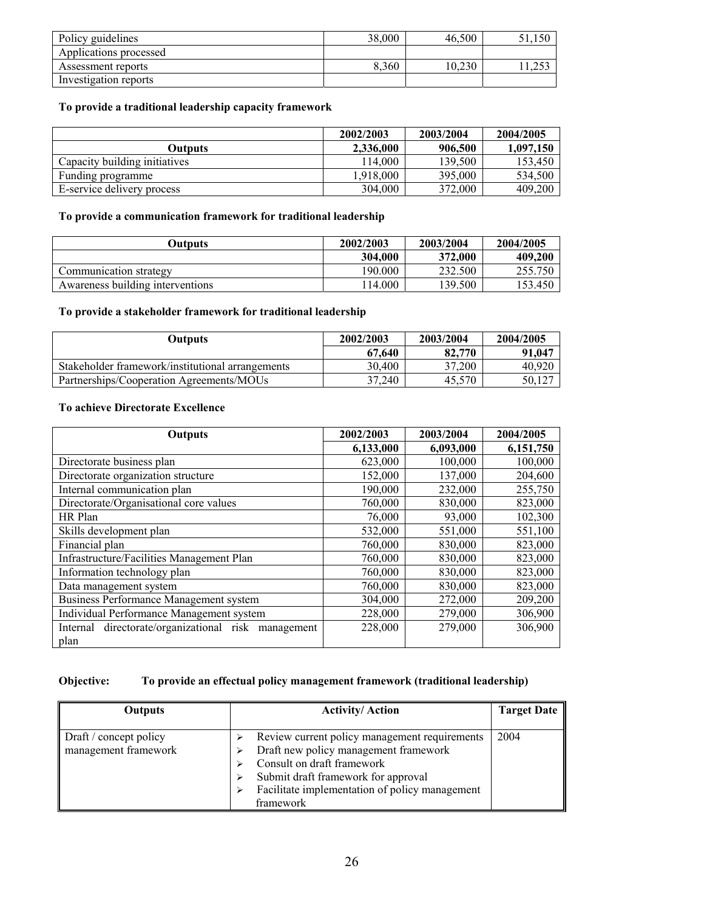| Policy guidelines      | 38,000 | 46.500 |       |
|------------------------|--------|--------|-------|
| Applications processed |        |        |       |
| Assessment reports     | 8.360  | 0.230  | ت ب ک |
| Investigation reports  |        |        |       |

### **To provide a traditional leadership capacity framework**

|                               | 2002/2003 | 2003/2004 | 2004/2005 |
|-------------------------------|-----------|-----------|-----------|
| Outputs                       | 2,336,000 | 906,500   | 1,097,150 |
| Capacity building initiatives | 114,000   | 139.500   | 153,450   |
| Funding programme             | 1.918.000 | 395,000   | 534,500   |
| E-service delivery process    | 304,000   | 372,000   | 409,200   |

### **To provide a communication framework for traditional leadership**

| Outputs                          | 2002/2003 | 2003/2004 | 2004/2005 |
|----------------------------------|-----------|-----------|-----------|
|                                  | 304,000   | 372,000   | 409,200   |
| Communication strategy           | 190.000   | 232.500   | 255.750   |
| Awareness building interventions | 114.000   | 139.500   | 153.450   |

# **To provide a stakeholder framework for traditional leadership**

| Outputs                                          | 2002/2003 | 2003/2004 | 2004/2005 |
|--------------------------------------------------|-----------|-----------|-----------|
|                                                  | 67,640    | 82,770    | 91,047    |
| Stakeholder framework/institutional arrangements | 30.400    | 37,200    | 40.920    |
| Partnerships/Cooperation Agreements/MOUs         | 37.240    | 45.570    | 50,127    |

### **To achieve Directorate Excellence**

| <b>Outputs</b>                                      | 2002/2003 | 2003/2004 | 2004/2005 |
|-----------------------------------------------------|-----------|-----------|-----------|
|                                                     | 6,133,000 | 6,093,000 | 6,151,750 |
| Directorate business plan                           | 623,000   | 100,000   | 100,000   |
| Directorate organization structure                  | 152,000   | 137,000   | 204,600   |
| Internal communication plan                         | 190,000   | 232,000   | 255,750   |
| Directorate/Organisational core values              | 760,000   | 830,000   | 823,000   |
| HR Plan                                             | 76,000    | 93,000    | 102,300   |
| Skills development plan                             | 532,000   | 551,000   | 551,100   |
| Financial plan                                      | 760,000   | 830,000   | 823,000   |
| Infrastructure/Facilities Management Plan           | 760,000   | 830,000   | 823,000   |
| Information technology plan                         | 760,000   | 830,000   | 823,000   |
| Data management system                              | 760,000   | 830,000   | 823,000   |
| Business Performance Management system              | 304,000   | 272,000   | 209,200   |
| Individual Performance Management system            | 228,000   | 279,000   | 306,900   |
| Internal directorate/organizational risk management | 228,000   | 279,000   | 306,900   |
| plan                                                |           |           |           |

### **Objective: To provide an effectual policy management framework (traditional leadership)**

| <b>Outputs</b>                                 | <b>Activity/Action</b>                                                                                                                                                                                                     | <b>Target Date</b> |
|------------------------------------------------|----------------------------------------------------------------------------------------------------------------------------------------------------------------------------------------------------------------------------|--------------------|
| Draft / concept policy<br>management framework | Review current policy management requirements<br>Draft new policy management framework<br>Consult on draft framework<br>Submit draft framework for approval<br>Facilitate implementation of policy management<br>framework | 2004               |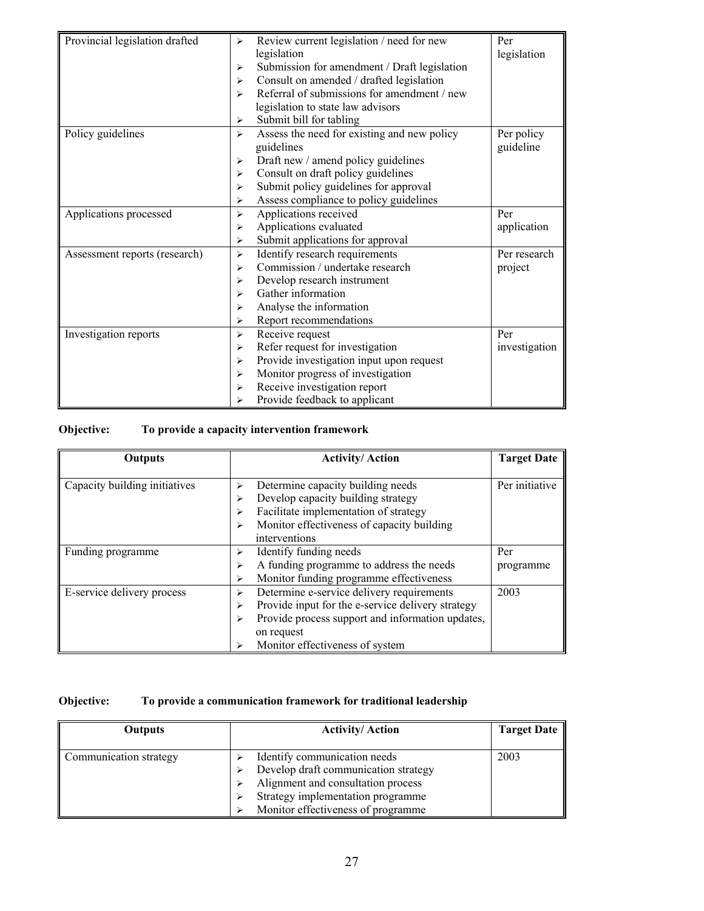| Provincial legislation drafted | Review current legislation / need for new<br>$\blacktriangleright$   | Per           |
|--------------------------------|----------------------------------------------------------------------|---------------|
|                                | legislation                                                          | legislation   |
|                                | Submission for amendment / Draft legislation<br>➤                    |               |
|                                | Consult on amended / drafted legislation<br>⋗                        |               |
|                                | Referral of submissions for amendment / new<br>↘                     |               |
|                                | legislation to state law advisors                                    |               |
|                                | Submit bill for tabling<br>➤                                         |               |
| Policy guidelines              | Assess the need for existing and new policy<br>$\blacktriangleright$ | Per policy    |
|                                | guidelines                                                           | guideline     |
|                                | Draft new / amend policy guidelines<br>➤                             |               |
|                                | Consult on draft policy guidelines<br>⋗                              |               |
|                                | Submit policy guidelines for approval<br>⋗                           |               |
|                                | Assess compliance to policy guidelines<br>⋗                          |               |
| Applications processed         | Applications received<br>➤                                           | Per           |
|                                | Applications evaluated<br>⋗                                          | application   |
|                                | Submit applications for approval<br>⋗                                |               |
| Assessment reports (research)  | Identify research requirements<br>➤                                  | Per research  |
|                                | Commission / undertake research<br>⋗                                 | project       |
|                                | Develop research instrument<br>➤                                     |               |
|                                | Gather information<br>⋗                                              |               |
|                                | Analyse the information<br>⋗                                         |               |
|                                | Report recommendations<br>⋗                                          |               |
| Investigation reports          | Receive request<br>➤                                                 | Per           |
|                                | Refer request for investigation<br>⋗                                 | investigation |
|                                | Provide investigation input upon request<br>⋗                        |               |
|                                | Monitor progress of investigation<br>⋗                               |               |
|                                | Receive investigation report<br>⋗                                    |               |
|                                | Provide feedback to applicant<br>⋗                                   |               |

# **Objective: To provide a capacity intervention framework**

| <b>Outputs</b>                | <b>Activity/Action</b>                                 | <b>Target Date</b> |
|-------------------------------|--------------------------------------------------------|--------------------|
|                               |                                                        |                    |
| Capacity building initiatives | Determine capacity building needs<br>⋗                 | Per initiative     |
|                               | Develop capacity building strategy<br>⋗                |                    |
|                               | Facilitate implementation of strategy<br>⋗             |                    |
|                               | Monitor effectiveness of capacity building<br>⋗        |                    |
|                               | interventions                                          |                    |
| Funding programme             | Identify funding needs<br>⋗                            | Per                |
|                               | A funding programme to address the needs<br>⋗          | programme          |
|                               | Monitor funding programme effectiveness<br>⋗           |                    |
| E-service delivery process    | Determine e-service delivery requirements<br>⋗         | 2003               |
|                               | Provide input for the e-service delivery strategy<br>⋗ |                    |
|                               | Provide process support and information updates,<br>⋗  |                    |
|                               | on request                                             |                    |
|                               | Monitor effectiveness of system                        |                    |

# **Objective: To provide a communication framework for traditional leadership**

| <b>Outputs</b>         | <b>Activity/Action</b>                                                                                                                                                                | <b>Target Date</b> |
|------------------------|---------------------------------------------------------------------------------------------------------------------------------------------------------------------------------------|--------------------|
| Communication strategy | Identify communication needs<br>Develop draft communication strategy<br>Alignment and consultation process<br>Strategy implementation programme<br>Monitor effectiveness of programme | 2003               |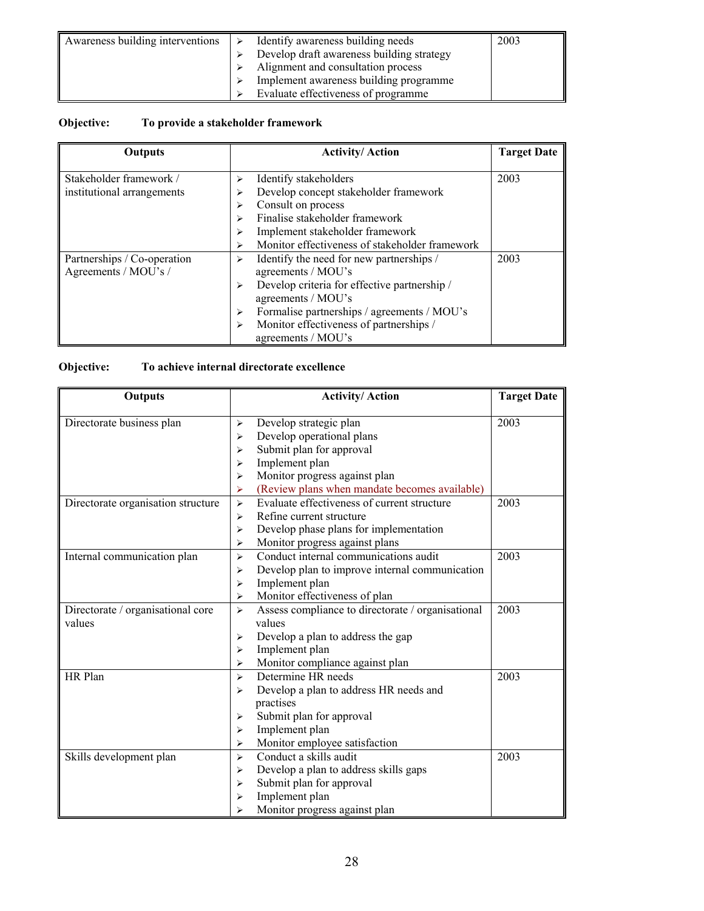| Awareness building interventions | $\triangleright$ | Identify awareness building needs         | 2003 |
|----------------------------------|------------------|-------------------------------------------|------|
|                                  |                  | Develop draft awareness building strategy |      |
|                                  |                  | Alignment and consultation process        |      |
|                                  |                  | Implement awareness building programme    |      |
|                                  |                  | Evaluate effectiveness of programme       |      |

# **Objective: To provide a stakeholder framework**

| <b>Outputs</b>                                        | <b>Activity/Action</b>                                                                                                                                                                                                                                                   | <b>Target Date</b> |
|-------------------------------------------------------|--------------------------------------------------------------------------------------------------------------------------------------------------------------------------------------------------------------------------------------------------------------------------|--------------------|
| Stakeholder framework /<br>institutional arrangements | Identify stakeholders<br>⋗<br>Develop concept stakeholder framework<br>⋗<br>Consult on process<br>⋗                                                                                                                                                                      | 2003               |
|                                                       | Finalise stakeholder framework<br>⋗<br>Implement stakeholder framework<br>⋗<br>Monitor effectiveness of stakeholder framework<br>↘                                                                                                                                       |                    |
| Partnerships / Co-operation<br>Agreements / MOU's /   | Identify the need for new partnerships /<br>⋗<br>agreements / MOU's<br>Develop criteria for effective partnership /<br>⋗<br>agreements / MOU's<br>Formalise partnerships / agreements / MOU's<br>⋗<br>Monitor effectiveness of partnerships /<br>⋗<br>agreements / MOU's | 2003               |

# **Objective: To achieve internal directorate excellence**

| Outputs                            | <b>Activity/Action</b>                                                     | <b>Target Date</b> |
|------------------------------------|----------------------------------------------------------------------------|--------------------|
| Directorate business plan          | Develop strategic plan<br>$\blacktriangleright$                            | 2003               |
|                                    | Develop operational plans<br>⋗                                             |                    |
|                                    | Submit plan for approval<br>⋗                                              |                    |
|                                    | Implement plan<br>⋗                                                        |                    |
|                                    | Monitor progress against plan<br>⋗                                         |                    |
|                                    | (Review plans when mandate becomes available)<br>➤                         |                    |
| Directorate organisation structure | Evaluate effectiveness of current structure<br>$\blacktriangleright$       | 2003               |
|                                    | Refine current structure<br>$\blacktriangleright$                          |                    |
|                                    | Develop phase plans for implementation<br>⋗                                |                    |
|                                    | Monitor progress against plans<br>⋗                                        |                    |
| Internal communication plan        | Conduct internal communications audit<br>$\blacktriangleright$             | 2003               |
|                                    | Develop plan to improve internal communication<br>⋗                        |                    |
|                                    | Implement plan<br>⋗                                                        |                    |
|                                    | Monitor effectiveness of plan<br>⋗                                         |                    |
| Directorate / organisational core  | Assess compliance to directorate / organisational<br>$\blacktriangleright$ | 2003               |
| values                             | values                                                                     |                    |
|                                    | Develop a plan to address the gap<br>$\blacktriangleright$                 |                    |
|                                    | Implement plan<br>➤                                                        |                    |
|                                    | Monitor compliance against plan<br>⋗                                       |                    |
| HR Plan                            | Determine HR needs<br>$\blacktriangleright$                                | 2003               |
|                                    | Develop a plan to address HR needs and<br>⋗                                |                    |
|                                    | practises                                                                  |                    |
|                                    | Submit plan for approval<br>⋗                                              |                    |
|                                    | Implement plan<br>➤                                                        |                    |
|                                    | Monitor employee satisfaction<br>➤                                         |                    |
| Skills development plan            | Conduct a skills audit<br>$\blacktriangleright$                            | 2003               |
|                                    | Develop a plan to address skills gaps<br>⋗                                 |                    |
|                                    | Submit plan for approval<br>⋗                                              |                    |
|                                    | Implement plan<br>⋗                                                        |                    |
|                                    | Monitor progress against plan<br>↘                                         |                    |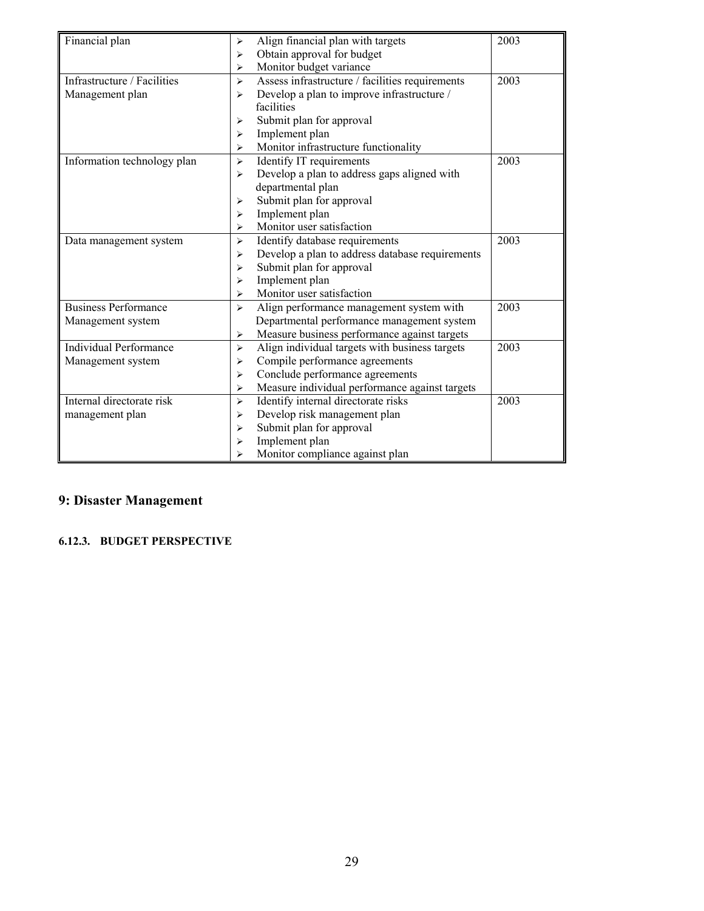| Financial plan                | $\blacktriangleright$ | Align financial plan with targets               | 2003 |
|-------------------------------|-----------------------|-------------------------------------------------|------|
|                               | ⋗                     | Obtain approval for budget                      |      |
|                               | ⋗                     | Monitor budget variance                         |      |
| Infrastructure / Facilities   | $\blacktriangleright$ | Assess infrastructure / facilities requirements | 2003 |
| Management plan               | $\blacktriangleright$ | Develop a plan to improve infrastructure /      |      |
|                               |                       | facilities                                      |      |
|                               | ➤                     | Submit plan for approval                        |      |
|                               | ⋗                     | Implement plan                                  |      |
|                               | ⋗                     | Monitor infrastructure functionality            |      |
| Information technology plan   | ➤                     | Identify IT requirements                        | 2003 |
|                               | $\blacktriangleright$ | Develop a plan to address gaps aligned with     |      |
|                               |                       | departmental plan                               |      |
|                               | ⋗                     | Submit plan for approval                        |      |
|                               | $\blacktriangleright$ | Implement plan                                  |      |
|                               | ⋗                     | Monitor user satisfaction                       |      |
| Data management system        | $\blacktriangleright$ | Identify database requirements                  | 2003 |
|                               | $\blacktriangleright$ | Develop a plan to address database requirements |      |
|                               | ⋗                     | Submit plan for approval                        |      |
|                               | ⋗                     | Implement plan                                  |      |
|                               | ↘                     | Monitor user satisfaction                       |      |
| <b>Business Performance</b>   | $\blacktriangleright$ | Align performance management system with        | 2003 |
| Management system             |                       | Departmental performance management system      |      |
|                               | $\blacktriangleright$ | Measure business performance against targets    |      |
| <b>Individual Performance</b> | $\blacktriangleright$ | Align individual targets with business targets  | 2003 |
| Management system             | ➤                     | Compile performance agreements                  |      |
|                               | ⋗                     | Conclude performance agreements                 |      |
|                               | $\blacktriangleright$ | Measure individual performance against targets  |      |
| Internal directorate risk     | $\blacktriangleright$ | Identify internal directorate risks             | 2003 |
| management plan               | ⋗                     | Develop risk management plan                    |      |
|                               | ⋗                     | Submit plan for approval                        |      |
|                               | ⋗                     | Implement plan                                  |      |
|                               | ⋗                     | Monitor compliance against plan                 |      |

# **9: Disaster Management**

# **6.12.3. BUDGET PERSPECTIVE**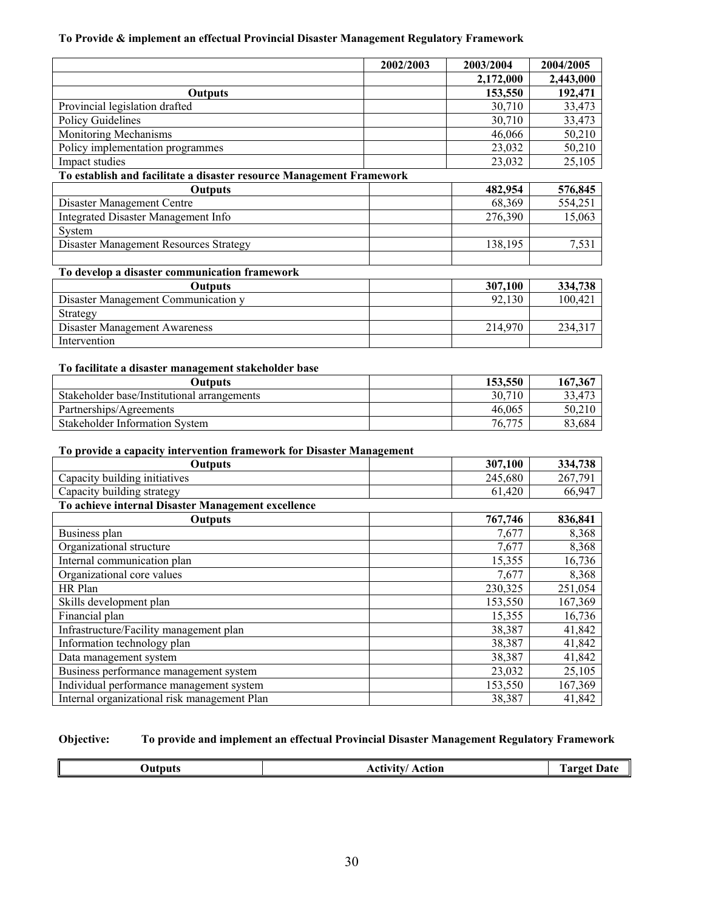# **To Provide & implement an effectual Provincial Disaster Management Regulatory Framework**

|                                                                      | 2002/2003 | 2003/2004         | 2004/2005 |
|----------------------------------------------------------------------|-----------|-------------------|-----------|
|                                                                      |           | 2,172,000         | 2,443,000 |
| <b>Outputs</b>                                                       |           | 153,550           | 192,471   |
| Provincial legislation drafted                                       |           | 30,710            | 33,473    |
| <b>Policy Guidelines</b>                                             |           | 30,710            | 33,473    |
| Monitoring Mechanisms                                                |           | 46,066            | 50,210    |
| Policy implementation programmes                                     |           | 23,032            | 50,210    |
| Impact studies                                                       |           | 23,032            | 25,105    |
| To establish and facilitate a disaster resource Management Framework |           |                   |           |
| <b>Outputs</b>                                                       |           | 482,954           | 576,845   |
| Disaster Management Centre                                           |           | 68,369            | 554,251   |
| <b>Integrated Disaster Management Info</b>                           |           | 276,390           | 15,063    |
| System                                                               |           |                   |           |
| <b>Disaster Management Resources Strategy</b>                        |           | 138,195           | 7,531     |
|                                                                      |           |                   |           |
| To develop a disaster communication framework                        |           |                   |           |
| <b>Outputs</b>                                                       |           | 307,100           | 334,738   |
| Disaster Management Communication y                                  |           | 92,130            | 100,421   |
| Strategy                                                             |           |                   |           |
| <b>Disaster Management Awareness</b>                                 |           | 214,970           | 234,317   |
| Intervention                                                         |           |                   |           |
|                                                                      |           |                   |           |
| To facilitate a disaster management stakeholder base                 |           |                   |           |
| Outputs                                                              |           | 153,550<br>30,710 | 167,367   |
| Stakeholder base/Institutional arrangements                          |           |                   | 33,473    |
| Partnerships/Agreements<br>Stakeholder Information System            |           | 46,065<br>76,775  | 50,210    |
|                                                                      |           |                   | 83,684    |
| To provide a capacity intervention framework for Disaster Management |           |                   |           |
| <b>Outputs</b>                                                       |           | 307,100           | 334,738   |
| Capacity building initiatives                                        |           | 245,680           | 267,791   |
| Capacity building strategy                                           |           | 61,420            | 66,947    |
| To achieve internal Disaster Management excellence                   |           |                   |           |
| <b>Outputs</b>                                                       |           | 767,746           | 836,841   |
| Business plan                                                        |           | 7,677             | 8,368     |
| Organizational structure                                             |           | 7,677             | 8,368     |
| Internal communication plan                                          |           | 15,355            | 16,736    |
| Organizational core values                                           |           | 7,677             | 8,368     |
| HR Plan                                                              |           | 230,325           | 251,054   |
| Skills development plan                                              |           | 153,550           | 167,369   |
| Financial plan                                                       |           | 15,355            | 16,736    |
| Infrastructure/Facility management plan                              |           | 38,387            | 41,842    |
| Information technology plan                                          |           | 38,387            | 41,842    |
| Data management system                                               |           | 38,387            | 41,842    |
| Business performance management system                               |           | 23,032            | 25,105    |
| Individual performance management system                             |           | 153,550           | 167,369   |
| Internal organizational risk management Plan                         |           | 38,387            | 41,842    |

# **Objective: To provide and implement an effectual Provincial Disaster Management Regulatory Framework**

| Jutnuts | Actr<br>ction | __<br>$\alpha$ ra<br>- ^ 4<br>.<br>$\overline{\phantom{a}}$ |
|---------|---------------|-------------------------------------------------------------|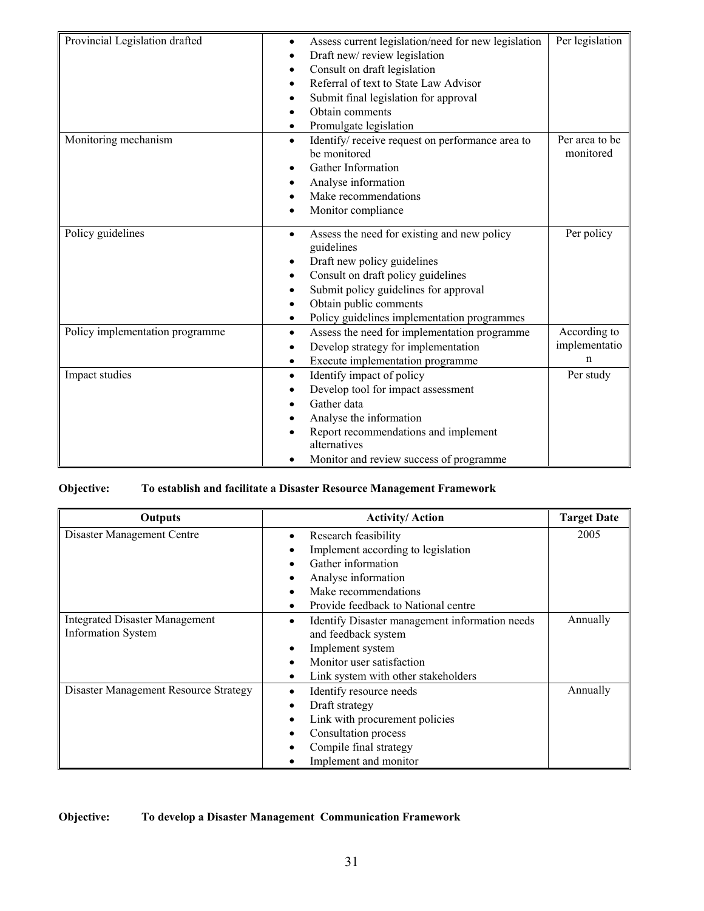| Provincial Legislation drafted  | Assess current legislation/need for new legislation<br>$\bullet$<br>Draft new/review legislation<br>Consult on draft legislation<br>٠<br>Referral of text to State Law Advisor<br>Submit final legislation for approval<br>Obtain comments<br>Promulgate legislation<br>$\bullet$                         | Per legislation                    |
|---------------------------------|-----------------------------------------------------------------------------------------------------------------------------------------------------------------------------------------------------------------------------------------------------------------------------------------------------------|------------------------------------|
| Monitoring mechanism            | Identify/receive request on performance area to<br>$\bullet$<br>be monitored<br>Gather Information<br>Analyse information<br>Make recommendations<br>Monitor compliance<br>$\bullet$                                                                                                                      | Per area to be<br>monitored        |
| Policy guidelines               | Assess the need for existing and new policy<br>$\bullet$<br>guidelines<br>Draft new policy guidelines<br>$\bullet$<br>Consult on draft policy guidelines<br>$\bullet$<br>Submit policy guidelines for approval<br>Obtain public comments<br>$\bullet$<br>Policy guidelines implementation programmes<br>٠ | Per policy                         |
| Policy implementation programme | Assess the need for implementation programme<br>$\bullet$<br>Develop strategy for implementation<br>$\bullet$<br>Execute implementation programme<br>$\bullet$                                                                                                                                            | According to<br>implementatio<br>n |
| Impact studies                  | Identify impact of policy<br>$\bullet$<br>Develop tool for impact assessment<br>Gather data<br>Analyse the information<br>Report recommendations and implement<br>alternatives<br>Monitor and review success of programme                                                                                 | Per study                          |

# **Objective: To establish and facilitate a Disaster Resource Management Framework**

| Outputs                               | <b>Activity/Action</b>                                      | <b>Target Date</b> |
|---------------------------------------|-------------------------------------------------------------|--------------------|
| Disaster Management Centre            | Research feasibility<br>$\bullet$                           | 2005               |
|                                       | Implement according to legislation                          |                    |
|                                       | Gather information                                          |                    |
|                                       | Analyse information                                         |                    |
|                                       | Make recommendations                                        |                    |
|                                       | Provide feedback to National centre                         |                    |
| <b>Integrated Disaster Management</b> | Identify Disaster management information needs<br>$\bullet$ | Annually           |
| <b>Information System</b>             | and feedback system                                         |                    |
|                                       | Implement system                                            |                    |
|                                       | Monitor user satisfaction                                   |                    |
|                                       | Link system with other stakeholders                         |                    |
| Disaster Management Resource Strategy | Identify resource needs                                     | Annually           |
|                                       | Draft strategy                                              |                    |
|                                       | Link with procurement policies                              |                    |
|                                       | Consultation process                                        |                    |
|                                       | Compile final strategy                                      |                    |
|                                       | Implement and monitor                                       |                    |

# **Objective: To develop a Disaster Management Communication Framework**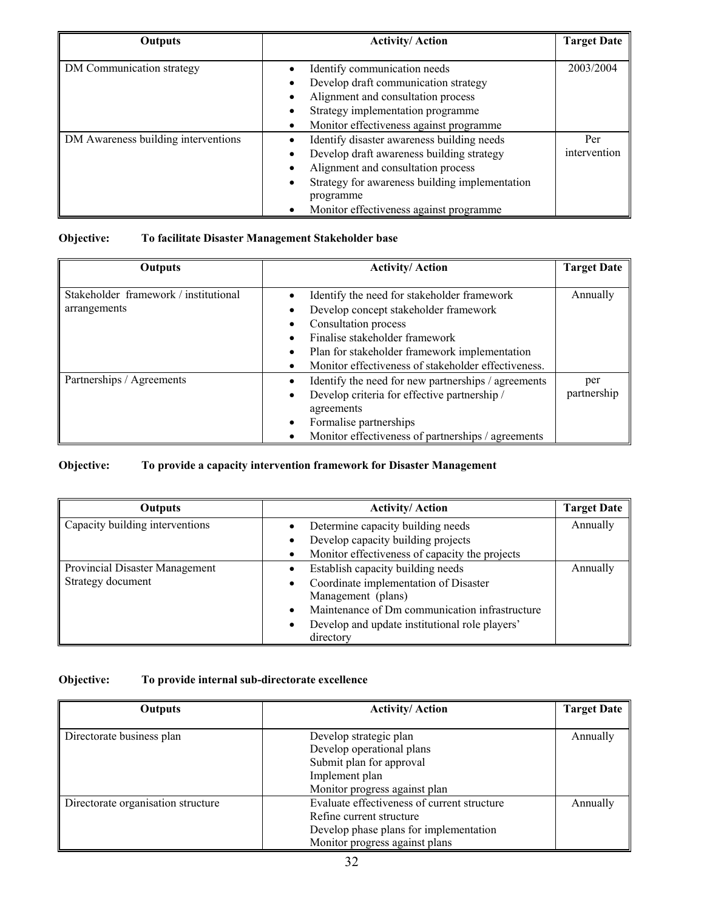| <b>Outputs</b>                      | <b>Activity/Action</b>                                      | <b>Target Date</b> |
|-------------------------------------|-------------------------------------------------------------|--------------------|
|                                     |                                                             |                    |
| DM Communication strategy           | Identify communication needs                                | 2003/2004          |
|                                     | Develop draft communication strategy<br>$\bullet$           |                    |
|                                     | Alignment and consultation process                          |                    |
|                                     | Strategy implementation programme<br>$\bullet$              |                    |
|                                     | Monitor effectiveness against programme                     |                    |
| DM Awareness building interventions | Identify disaster awareness building needs                  | Per                |
|                                     | Develop draft awareness building strategy<br>٠              | intervention       |
|                                     | Alignment and consultation process<br>$\bullet$             |                    |
|                                     | Strategy for awareness building implementation<br>$\bullet$ |                    |
|                                     | programme                                                   |                    |
|                                     | Monitor effectiveness against programme<br>$\bullet$        |                    |

# **Objective: To facilitate Disaster Management Stakeholder base**

| Outputs                                               | <b>Activity/Action</b>                                                                                                                                                                                                                                                                | <b>Target Date</b> |  |
|-------------------------------------------------------|---------------------------------------------------------------------------------------------------------------------------------------------------------------------------------------------------------------------------------------------------------------------------------------|--------------------|--|
| Stakeholder framework / institutional<br>arrangements | Identify the need for stakeholder framework<br>Develop concept stakeholder framework<br>$\bullet$<br>Consultation process<br>Finalise stakeholder framework<br>Plan for stakeholder framework implementation<br>٠<br>Monitor effectiveness of stakeholder effectiveness.<br>$\bullet$ | Annually           |  |
| Partnerships / Agreements                             | Identify the need for new partnerships / agreements<br>$\bullet$<br>Develop criteria for effective partnership /<br>$\bullet$<br>agreements<br>Formalise partnerships<br>٠<br>Monitor effectiveness of partnerships / agreements                                                      | per<br>partnership |  |

# **Objective: To provide a capacity intervention framework for Disaster Management**

| <b>Outputs</b>                                      | <b>Activity/Action</b>                                                                                                                                                                                                                                   | <b>Target Date</b> |
|-----------------------------------------------------|----------------------------------------------------------------------------------------------------------------------------------------------------------------------------------------------------------------------------------------------------------|--------------------|
| Capacity building interventions                     | Determine capacity building needs<br>Develop capacity building projects<br>$\bullet$<br>Monitor effectiveness of capacity the projects                                                                                                                   | Annually           |
| Provincial Disaster Management<br>Strategy document | Establish capacity building needs<br>Coordinate implementation of Disaster<br>$\bullet$<br>Management (plans)<br>Maintenance of Dm communication infrastructure<br>$\bullet$<br>Develop and update institutional role players'<br>$\bullet$<br>directory | Annually           |

# **Objective: To provide internal sub-directorate excellence**

| <b>Outputs</b>                                                                                                                                                                            | <b>Activity/Action</b>                                                                                                             | <b>Target Date</b> |
|-------------------------------------------------------------------------------------------------------------------------------------------------------------------------------------------|------------------------------------------------------------------------------------------------------------------------------------|--------------------|
| Directorate business plan                                                                                                                                                                 | Develop strategic plan<br>Develop operational plans<br>Submit plan for approval<br>Implement plan<br>Monitor progress against plan | Annually           |
| Evaluate effectiveness of current structure<br>Directorate organisation structure<br>Refine current structure<br>Develop phase plans for implementation<br>Monitor progress against plans |                                                                                                                                    | Annually           |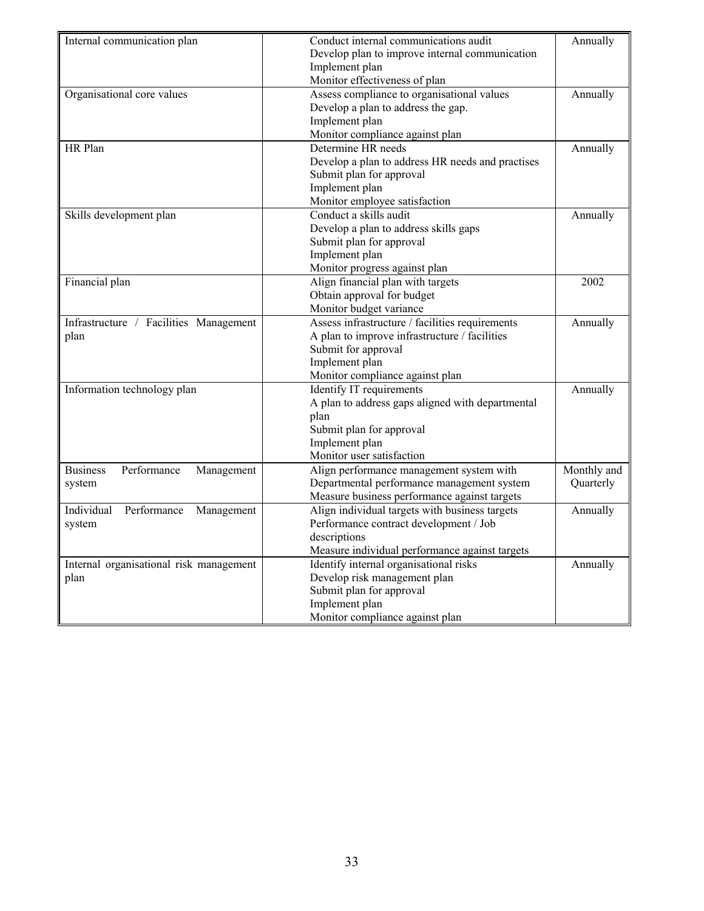| Internal communication plan                  | Conduct internal communications audit            | Annually    |
|----------------------------------------------|--------------------------------------------------|-------------|
|                                              | Develop plan to improve internal communication   |             |
|                                              | Implement plan                                   |             |
|                                              | Monitor effectiveness of plan                    |             |
| Organisational core values                   | Assess compliance to organisational values       | Annually    |
|                                              | Develop a plan to address the gap.               |             |
|                                              | Implement plan                                   |             |
|                                              | Monitor compliance against plan                  |             |
| HR Plan                                      | Determine HR needs                               | Annually    |
|                                              | Develop a plan to address HR needs and practises |             |
|                                              | Submit plan for approval                         |             |
|                                              | Implement plan                                   |             |
|                                              | Monitor employee satisfaction                    |             |
| Skills development plan                      | Conduct a skills audit                           | Annually    |
|                                              | Develop a plan to address skills gaps            |             |
|                                              | Submit plan for approval                         |             |
|                                              | Implement plan                                   |             |
|                                              |                                                  |             |
|                                              | Monitor progress against plan                    |             |
| Financial plan                               | Align financial plan with targets                | 2002        |
|                                              | Obtain approval for budget                       |             |
|                                              | Monitor budget variance                          |             |
| Infrastructure / Facilities Management       | Assess infrastructure / facilities requirements  | Annually    |
| plan                                         | A plan to improve infrastructure / facilities    |             |
|                                              | Submit for approval                              |             |
|                                              | Implement plan                                   |             |
|                                              | Monitor compliance against plan                  |             |
| Information technology plan                  | <b>Identify IT requirements</b>                  | Annually    |
|                                              | A plan to address gaps aligned with departmental |             |
|                                              | plan                                             |             |
|                                              | Submit plan for approval                         |             |
|                                              | Implement plan                                   |             |
|                                              | Monitor user satisfaction                        |             |
| Performance<br><b>Business</b><br>Management | Align performance management system with         | Monthly and |
| system                                       | Departmental performance management system       | Quarterly   |
|                                              | Measure business performance against targets     |             |
| Individual<br>Performance<br>Management      | Align individual targets with business targets   | Annually    |
| system                                       | Performance contract development / Job           |             |
|                                              | descriptions                                     |             |
|                                              | Measure individual performance against targets   |             |
| Internal organisational risk management      | Identify internal organisational risks           | Annually    |
| plan                                         | Develop risk management plan                     |             |
|                                              | Submit plan for approval                         |             |
|                                              | Implement plan                                   |             |
|                                              | Monitor compliance against plan                  |             |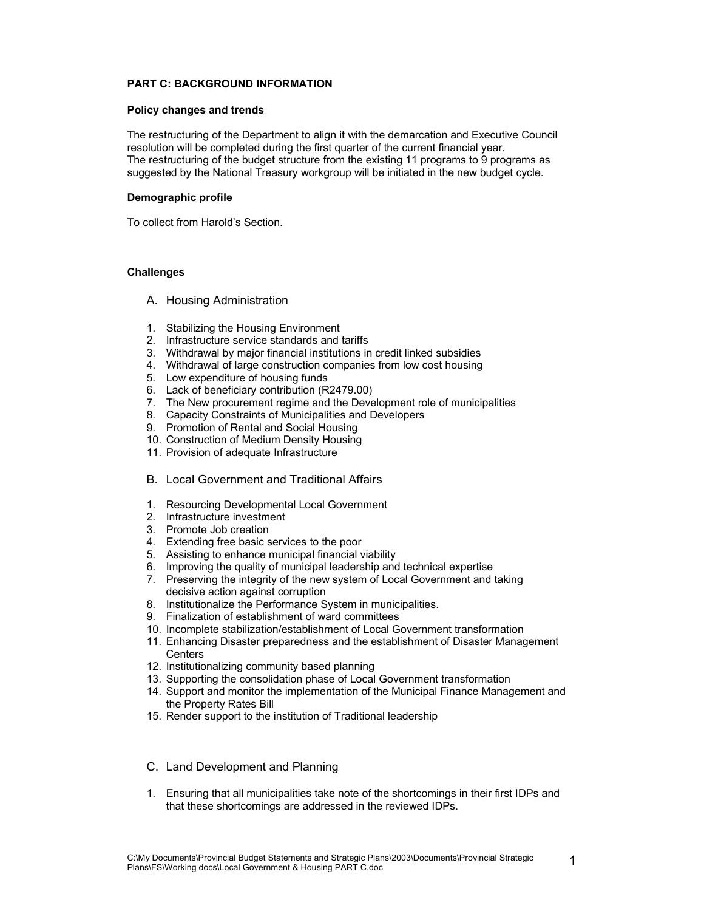#### **PART C: BACKGROUND INFORMATION**

#### **Policy changes and trends**

The restructuring of the Department to align it with the demarcation and Executive Council resolution will be completed during the first quarter of the current financial year. The restructuring of the budget structure from the existing 11 programs to 9 programs as suggested by the National Treasury workgroup will be initiated in the new budget cycle.

#### **Demographic profile**

To collect from Harold's Section.

#### **Challenges**

- A. Housing Administration
- 1. Stabilizing the Housing Environment
- 2. Infrastructure service standards and tariffs
- 3. Withdrawal by major financial institutions in credit linked subsidies
- 4. Withdrawal of large construction companies from low cost housing
- 5. Low expenditure of housing funds
- 6. Lack of beneficiary contribution (R2479.00)
- 7. The New procurement regime and the Development role of municipalities
- 8. Capacity Constraints of Municipalities and Developers
- 9. Promotion of Rental and Social Housing
- 10. Construction of Medium Density Housing
- 11. Provision of adequate Infrastructure
- B. Local Government and Traditional Affairs
- 1. Resourcing Developmental Local Government
- 2. Infrastructure investment
- 3. Promote Job creation
- 4. Extending free basic services to the poor
- 5. Assisting to enhance municipal financial viability
- 6. Improving the quality of municipal leadership and technical expertise
- 7. Preserving the integrity of the new system of Local Government and taking decisive action against corruption
- 8. Institutionalize the Performance System in municipalities.
- 9. Finalization of establishment of ward committees
- 10. Incomplete stabilization/establishment of Local Government transformation
- 11. Enhancing Disaster preparedness and the establishment of Disaster Management **Centers**
- 12. Institutionalizing community based planning
- 13. Supporting the consolidation phase of Local Government transformation
- 14. Support and monitor the implementation of the Municipal Finance Management and the Property Rates Bill
- 15. Render support to the institution of Traditional leadership

#### C. Land Development and Planning

1. Ensuring that all municipalities take note of the shortcomings in their first IDPs and that these shortcomings are addressed in the reviewed IDPs.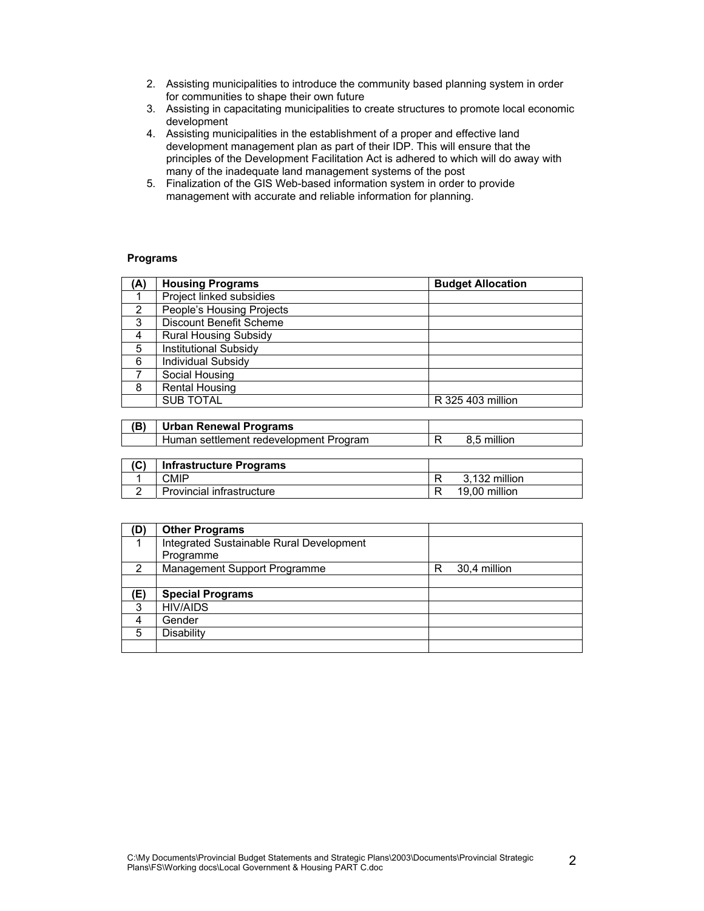- 2. Assisting municipalities to introduce the community based planning system in order for communities to shape their own future
- 3. Assisting in capacitating municipalities to create structures to promote local economic development
- 4. Assisting municipalities in the establishment of a proper and effective land development management plan as part of their IDP. This will ensure that the principles of the Development Facilitation Act is adhered to which will do away with many of the inadequate land management systems of the post
- 5. Finalization of the GIS Web-based information system in order to provide management with accurate and reliable information for planning.

#### **Programs**

| (A) | <b>Housing Programs</b>        | <b>Budget Allocation</b> |
|-----|--------------------------------|--------------------------|
|     | Project linked subsidies       |                          |
| 2   | People's Housing Projects      |                          |
| 3   | <b>Discount Benefit Scheme</b> |                          |
| 4   | <b>Rural Housing Subsidy</b>   |                          |
| 5   | <b>Institutional Subsidy</b>   |                          |
| 6   | <b>Individual Subsidy</b>      |                          |
|     | Social Housing                 |                          |
| 8   | <b>Rental Housing</b>          |                          |
|     | <b>SUB TOTAL</b>               | R 325 403 million        |

| <b>Urban Renewal Programs</b>                 |             |
|-----------------------------------------------|-------------|
| <b>Human settlement redevelopment Program</b> | 8.5 million |

| (C) | <b>Infrastructure Programs</b> |               |
|-----|--------------------------------|---------------|
|     | CMIP                           | 3.132 million |
|     | Provincial infrastructure      | 19.00 million |

| (D | <b>Other Programs</b>                    |   |              |
|----|------------------------------------------|---|--------------|
|    | Integrated Sustainable Rural Development |   |              |
|    | Programme                                |   |              |
| 2  | Management Support Programme             | R | 30,4 million |
|    |                                          |   |              |
| Έ  | <b>Special Programs</b>                  |   |              |
| 3  | <b>HIV/AIDS</b>                          |   |              |
| 4  | Gender                                   |   |              |
| 5  | <b>Disability</b>                        |   |              |
|    |                                          |   |              |